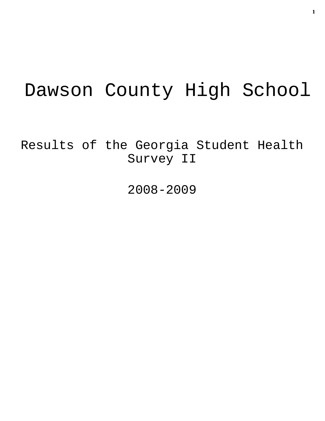# Dawson County High School

Results of the Georgia Student Health Survey II

2008-2009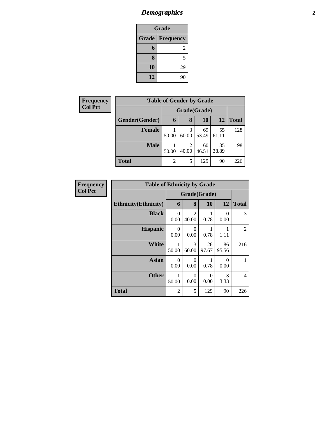## *Demographics* **2**

| <b>Grade</b> |                  |  |  |  |  |
|--------------|------------------|--|--|--|--|
| <b>Grade</b> | <b>Frequency</b> |  |  |  |  |
| 6            | 2                |  |  |  |  |
| 8            | 5                |  |  |  |  |
| 10           | 129              |  |  |  |  |
| 12           | 90               |  |  |  |  |

| <b>Frequency</b> | <b>Table of Gender by Grade</b> |                     |                           |              |             |     |  |
|------------------|---------------------------------|---------------------|---------------------------|--------------|-------------|-----|--|
| <b>Col Pct</b>   |                                 | Grade(Grade)        |                           |              |             |     |  |
|                  | Gender(Gender)                  | 6                   | 12                        | <b>Total</b> |             |     |  |
|                  | <b>Female</b>                   | 50.00               | 3<br>69<br>60.00<br>53.49 |              | 55<br>61.11 | 128 |  |
|                  | <b>Male</b>                     | 2<br>40.00<br>50.00 |                           | 60<br>46.51  | 35<br>38.89 | 98  |  |
|                  | <b>Total</b>                    | $\overline{2}$      | 5                         | 129          | 90          | 226 |  |

| <b>Frequency</b> | <b>Table of Ethnicity by Grade</b> |                  |                         |                  |                  |                |
|------------------|------------------------------------|------------------|-------------------------|------------------|------------------|----------------|
| <b>Col Pct</b>   | Grade(Grade)                       |                  |                         |                  |                  |                |
|                  | <b>Ethnicity</b> (Ethnicity)       | 6                | 8                       | 10               | 12               | <b>Total</b>   |
|                  | <b>Black</b>                       | $\Omega$<br>0.00 | $\mathfrak{D}$<br>40.00 | 0.78             | $\Omega$<br>0.00 | 3              |
|                  | <b>Hispanic</b>                    | $\Omega$<br>0.00 | 0<br>0.00               | 0.78             | 1.11             | 2              |
|                  | White                              | 50.00            | 3<br>60.00              | 126<br>97.67     | 86<br>95.56      | 216            |
|                  | <b>Asian</b>                       | $\Omega$<br>0.00 | $\Omega$<br>0.00        | 0.78             | 0<br>0.00        | 1              |
|                  | <b>Other</b>                       | 1<br>50.00       | $\Omega$<br>0.00        | $\Omega$<br>0.00 | 3<br>3.33        | $\overline{4}$ |
|                  | <b>Total</b>                       | $\overline{2}$   | 5                       | 129              | 90               | 226            |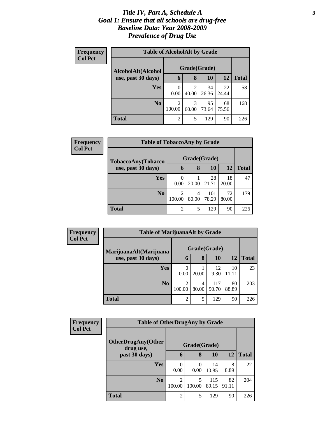#### *Title IV, Part A, Schedule A* **3** *Goal 1: Ensure that all schools are drug-free Baseline Data: Year 2008-2009 Prevalence of Drug Use*

| Frequency<br><b>Col Pct</b> | <b>Table of AlcoholAlt by Grade</b> |                          |            |             |             |              |  |  |  |  |
|-----------------------------|-------------------------------------|--------------------------|------------|-------------|-------------|--------------|--|--|--|--|
|                             | AlcoholAlt(Alcohol                  | Grade(Grade)             |            |             |             |              |  |  |  |  |
|                             | use, past 30 days)                  | 6                        | 8          | 10          | 12          | <b>Total</b> |  |  |  |  |
|                             | <b>Yes</b>                          | $\left( \right)$<br>0.00 | 2<br>40.00 | 34<br>26.36 | 22<br>24.44 | 58           |  |  |  |  |
|                             | N <sub>0</sub>                      | $\overline{2}$<br>100.00 | 3<br>60.00 | 95<br>73.64 | 68<br>75.56 | 168          |  |  |  |  |
|                             | Total                               | $\overline{2}$           | 5          | 129         | 90          | 226          |  |  |  |  |

| Frequency<br><b>Col Pct</b> | <b>Table of TobaccoAny by Grade</b> |                |            |              |             |              |  |  |
|-----------------------------|-------------------------------------|----------------|------------|--------------|-------------|--------------|--|--|
|                             | TobaccoAny(Tobacco                  | Grade(Grade)   |            |              |             |              |  |  |
|                             | use, past 30 days)                  | 6              | 8          | 10           | 12          | <b>Total</b> |  |  |
|                             | <b>Yes</b>                          | 0.00           | 20.00      | 28<br>21.71  | 18<br>20.00 | 47           |  |  |
|                             | N <sub>0</sub>                      | 2<br>100.00    | 4<br>80.00 | 101<br>78.29 | 72<br>80.00 | 179          |  |  |
|                             | <b>Total</b>                        | $\overline{2}$ | 5          | 129          | 90          | 226          |  |  |

| Frequency<br><b>Col Pct</b> | <b>Table of MarijuanaAlt by Grade</b>        |                  |            |              |             |              |
|-----------------------------|----------------------------------------------|------------------|------------|--------------|-------------|--------------|
|                             | MarijuanaAlt(Marijuana<br>use, past 30 days) | Grade(Grade)     |            |              |             |              |
|                             |                                              | 6                | 8          | 10           | 12          | <b>Total</b> |
|                             | <b>Yes</b>                                   | $\theta$<br>0.00 | 20.00      | 12<br>9.30   | 10<br>11.11 | 23           |
|                             | N <sub>0</sub>                               | 2<br>100.00      | 4<br>80.00 | 117<br>90.70 | 80<br>88.89 | 203          |
|                             | <b>Total</b>                                 | $\overline{2}$   |            | 129          | 90          | 226          |

| <b>Frequency</b> | <b>Table of OtherDrugAny by Grade</b>  |                  |             |              |             |              |
|------------------|----------------------------------------|------------------|-------------|--------------|-------------|--------------|
| <b>Col Pct</b>   | <b>OtherDrugAny(Other</b><br>drug use, | Grade(Grade)     |             |              |             |              |
|                  | past 30 days)                          | 6                | 8           | 10           | 12          | <b>Total</b> |
|                  | <b>Yes</b>                             | $\theta$<br>0.00 | 0<br>0.00   | 14<br>10.85  | 8<br>8.89   | 22           |
|                  | N <sub>0</sub>                         | 2<br>100.00      | 5<br>100.00 | 115<br>89.15 | 82<br>91.11 | 204          |
|                  | <b>Total</b>                           | $\overline{2}$   | 5           | 129          | 90          | 226          |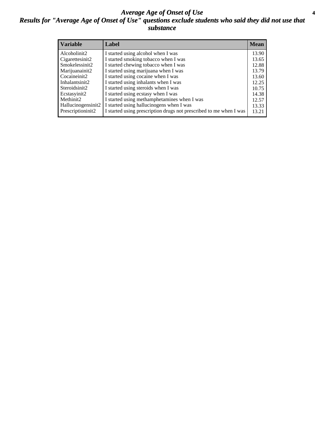#### *Average Age of Onset of Use* **4** *Results for "Average Age of Onset of Use" questions exclude students who said they did not use that substance*

| <b>Variable</b>    | Label                                                              | <b>Mean</b> |
|--------------------|--------------------------------------------------------------------|-------------|
| Alcoholinit2       | I started using alcohol when I was                                 | 13.90       |
| Cigarettesinit2    | I started smoking tobacco when I was                               | 13.65       |
| Smokelessinit2     | I started chewing tobacco when I was                               | 12.88       |
| Marijuanainit2     | I started using marijuana when I was                               | 13.79       |
| Cocaineinit2       | I started using cocaine when I was                                 | 13.60       |
| Inhalantsinit2     | I started using inhalants when I was                               | 12.25       |
| Steroidsinit2      | I started using steroids when I was                                | 10.75       |
| Ecstasyinit2       | I started using ecstasy when I was                                 | 14.38       |
| Methinit2          | I started using methamphetamines when I was                        | 12.57       |
| Hallucinogensinit2 | I started using hallucinogens when I was                           | 13.33       |
| Prescriptioninit2  | I started using prescription drugs not prescribed to me when I was | 13.21       |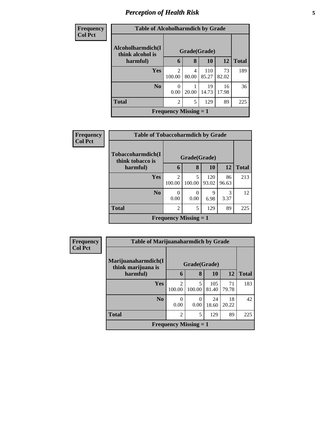# *Perception of Health Risk* **5**

| <b>Frequency</b> | <b>Table of Alcoholharmdich by Grade</b> |                              |            |              |             |              |  |  |
|------------------|------------------------------------------|------------------------------|------------|--------------|-------------|--------------|--|--|
| <b>Col Pct</b>   | Alcoholharmdich(I<br>think alcohol is    | Grade(Grade)                 |            |              |             |              |  |  |
|                  | harmful)                                 | 6                            | 8          | 10           | 12          | <b>Total</b> |  |  |
|                  | <b>Yes</b>                               | $\mathfrak{D}$<br>100.00     | 4<br>80.00 | 110<br>85.27 | 73<br>82.02 | 189          |  |  |
|                  | N <sub>o</sub>                           | 0<br>0.00                    | 20.00      | 19<br>14.73  | 16<br>17.98 | 36           |  |  |
|                  | <b>Total</b>                             | $\overline{2}$               | 5          | 129          | 89          | 225          |  |  |
|                  |                                          | <b>Frequency Missing = 1</b> |            |              |             |              |  |  |

| <b>Frequency</b> | <b>Table of Tobaccoharmdich by Grade</b> |                              |              |              |             |              |  |
|------------------|------------------------------------------|------------------------------|--------------|--------------|-------------|--------------|--|
| <b>Col Pct</b>   | Tobaccoharmdich(I<br>think tobacco is    |                              | Grade(Grade) |              |             |              |  |
|                  | harmful)                                 | 6                            | 8            | <b>10</b>    | <b>12</b>   | <b>Total</b> |  |
|                  | <b>Yes</b>                               | $\mathfrak{D}$<br>100.00     | 5<br>100.00  | 120<br>93.02 | 86<br>96.63 | 213          |  |
|                  | N <sub>o</sub>                           | 0<br>0.00                    | 0<br>0.00    | 9<br>6.98    | 3<br>3.37   | 12           |  |
|                  | <b>Total</b>                             | $\overline{2}$               | 5            | 129          | 89          | 225          |  |
|                  |                                          | <b>Frequency Missing = 1</b> |              |              |             |              |  |

| Frequency      | <b>Table of Marijuanaharmdich by Grade</b> |                              |             |              |             |              |  |
|----------------|--------------------------------------------|------------------------------|-------------|--------------|-------------|--------------|--|
| <b>Col Pct</b> | Marijuanaharmdich(I<br>think marijuana is  | Grade(Grade)                 |             |              |             |              |  |
|                | harmful)                                   | 6                            | 8           | <b>10</b>    | 12          | <b>Total</b> |  |
|                | <b>Yes</b>                                 | $\overline{2}$<br>100.00     | 5<br>100.00 | 105<br>81.40 | 71<br>79.78 | 183          |  |
|                | N <sub>0</sub>                             | 0<br>0.00                    | 0<br>0.00   | 24<br>18.60  | 18<br>20.22 | 42           |  |
|                | <b>Total</b>                               | $\overline{2}$               | 5           | 129          | 89          | 225          |  |
|                |                                            | <b>Frequency Missing = 1</b> |             |              |             |              |  |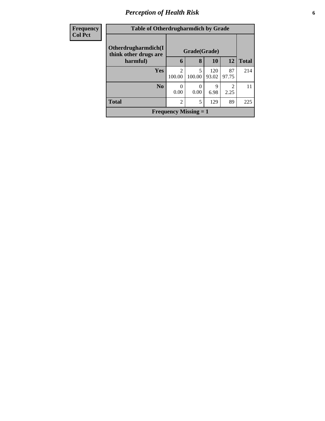# *Perception of Health Risk* **6**

| <b>Frequency</b> | <b>Table of Otherdrugharmdich by Grade</b>    |                              |              |              |                        |              |
|------------------|-----------------------------------------------|------------------------------|--------------|--------------|------------------------|--------------|
| <b>Col Pct</b>   | Otherdrugharmdich(I)<br>think other drugs are |                              | Grade(Grade) |              |                        |              |
|                  | harmful)                                      | 6                            | 8            | 10           | 12                     | <b>Total</b> |
|                  | <b>Yes</b>                                    | $\mathfrak{D}$<br>100.00     | 5<br>100.00  | 120<br>93.02 | 87<br>97.75            | 214          |
|                  | No.                                           | 0<br>0.00                    | 0<br>0.00    | 9<br>6.98    | $\mathfrak{D}$<br>2.25 | 11           |
|                  | <b>Total</b>                                  | $\mathfrak{D}$               | 5            | 129          | 89                     | 225          |
|                  |                                               | <b>Frequency Missing = 1</b> |              |              |                        |              |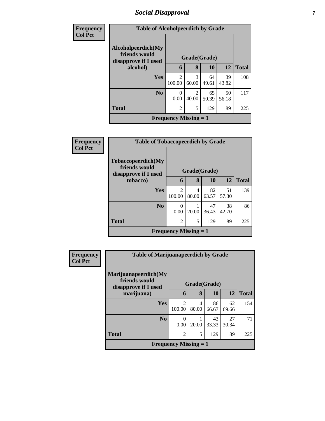# *Social Disapproval* **7**

| <b>Frequency</b> | <b>Table of Alcoholpeerdich by Grade</b>                    |                              |                                   |             |             |              |
|------------------|-------------------------------------------------------------|------------------------------|-----------------------------------|-------------|-------------|--------------|
| <b>Col Pct</b>   | Alcoholpeerdich(My<br>friends would<br>disapprove if I used |                              | Grade(Grade)                      |             |             |              |
|                  | alcohol)                                                    | 6                            | 8                                 | 10          | 12          | <b>Total</b> |
|                  | <b>Yes</b>                                                  | $\mathfrak{D}$<br>100.00     | 3<br>60.00                        | 64<br>49.61 | 39<br>43.82 | 108          |
|                  | N <sub>0</sub>                                              | $\Omega$<br>0.00             | $\overline{\mathcal{L}}$<br>40.00 | 65<br>50.39 | 50<br>56.18 | 117          |
|                  | <b>Total</b>                                                | $\overline{c}$               | 5                                 | 129         | 89          | 225          |
|                  |                                                             | <b>Frequency Missing = 1</b> |                                   |             |             |              |

| <b>Frequency</b> |                                                                     | <b>Table of Tobaccopeerdich by Grade</b> |            |             |             |              |  |  |
|------------------|---------------------------------------------------------------------|------------------------------------------|------------|-------------|-------------|--------------|--|--|
| <b>Col Pct</b>   | <b>Tobaccopeerdich</b> (My<br>friends would<br>disapprove if I used | Grade(Grade)                             |            |             |             |              |  |  |
|                  | tobacco)                                                            | 6                                        | 8          | <b>10</b>   | <b>12</b>   | <b>Total</b> |  |  |
|                  | <b>Yes</b>                                                          | $\mathfrak{D}$<br>100.00                 | 4<br>80.00 | 82<br>63.57 | 51<br>57.30 | 139          |  |  |
|                  | No.                                                                 | $\Omega$<br>0.00                         | 20.00      | 47<br>36.43 | 38<br>42.70 | 86           |  |  |
|                  | <b>Total</b>                                                        | $\overline{2}$                           | 5          | 129         | 89          | 225          |  |  |
|                  |                                                                     | <b>Frequency Missing = 1</b>             |            |             |             |              |  |  |

| <b>Frequency</b> | <b>Table of Marijuanapeerdich by Grade</b>                    |                              |            |             |             |              |
|------------------|---------------------------------------------------------------|------------------------------|------------|-------------|-------------|--------------|
| <b>Col Pct</b>   | Marijuanapeerdich(My<br>friends would<br>disapprove if I used | Grade(Grade)                 |            |             |             |              |
|                  | marijuana)                                                    | 6                            | 8          | 10          | <b>12</b>   | <b>Total</b> |
|                  | <b>Yes</b>                                                    | $\mathfrak{D}$<br>100.00     | 4<br>80.00 | 86<br>66.67 | 62<br>69.66 | 154          |
|                  | N <sub>0</sub>                                                | 0<br>0.00                    | 20.00      | 43<br>33.33 | 27<br>30.34 | 71           |
|                  | <b>Total</b>                                                  | $\overline{2}$               | 5          | 129         | 89          | 225          |
|                  |                                                               | <b>Frequency Missing = 1</b> |            |             |             |              |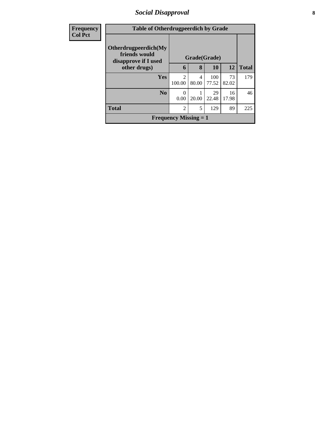#### *Social Disapproval* **8**

| <b>Frequency</b> |                                                               | <b>Table of Otherdrugpeerdich by Grade</b> |                          |              |             |              |  |
|------------------|---------------------------------------------------------------|--------------------------------------------|--------------------------|--------------|-------------|--------------|--|
| <b>Col Pct</b>   | Otherdrugpeerdich(My<br>friends would<br>disapprove if I used | Grade(Grade)                               |                          |              |             |              |  |
|                  | other drugs)                                                  | 6                                          | 8                        | 10           | 12          | <b>Total</b> |  |
|                  | Yes                                                           | $\overline{c}$<br>100.00                   | $\overline{4}$<br>80.00  | 100<br>77.52 | 73<br>82.02 | 179          |  |
|                  | N <sub>0</sub>                                                | $\theta$<br>0.00                           | 20.00                    | 29<br>22.48  | 16<br>17.98 | 46           |  |
|                  | <b>Total</b>                                                  | $\overline{2}$                             | $\overline{\phantom{0}}$ | 129          | 89          | 225          |  |
|                  |                                                               | <b>Frequency Missing = 1</b>               |                          |              |             |              |  |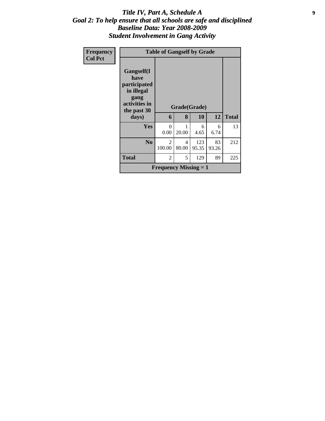#### *Title IV, Part A, Schedule A* **9** *Goal 2: To help ensure that all schools are safe and disciplined Baseline Data: Year 2008-2009 Student Involvement in Gang Activity*

| Frequency      |                                                                                          | <b>Table of Gangself by Grade</b>         |            |              |             |              |
|----------------|------------------------------------------------------------------------------------------|-------------------------------------------|------------|--------------|-------------|--------------|
| <b>Col Pct</b> | Gangself(I<br>have<br>participated<br>in illegal<br>gang<br>activities in<br>the past 30 | Grade(Grade)                              |            |              |             |              |
|                | days)                                                                                    | 6                                         | 8          | 10           | 12          | <b>Total</b> |
|                | <b>Yes</b>                                                                               | $\Omega$<br>0.00                          | 1<br>20.00 | 6<br>4.65    | 6<br>6.74   | 13           |
|                | N <sub>0</sub>                                                                           | 2<br>100.00                               | 4<br>80.00 | 123<br>95.35 | 83<br>93.26 | 212          |
|                | <b>Total</b>                                                                             | $\overline{2}$                            | 5          | 129          | 89          | 225          |
|                |                                                                                          | <b>Frequency Missing <math>= 1</math></b> |            |              |             |              |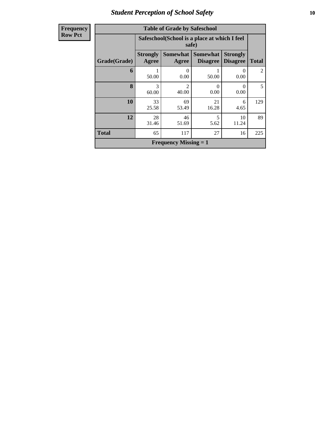## *Student Perception of School Safety* **10**

| Frequency |
|-----------|
| Row Pct   |

| <b>Table of Grade by Safeschool</b> |                          |                                                        |                                    |                                    |              |  |  |  |
|-------------------------------------|--------------------------|--------------------------------------------------------|------------------------------------|------------------------------------|--------------|--|--|--|
|                                     |                          | Safeschool (School is a place at which I feel<br>safe) |                                    |                                    |              |  |  |  |
| <b>Grade</b> (Grade)                | <b>Strongly</b><br>Agree | <b>Somewhat</b><br>Agree                               | <b>Somewhat</b><br><b>Disagree</b> | <b>Strongly</b><br><b>Disagree</b> | <b>Total</b> |  |  |  |
| 6                                   | 50.00                    | 0<br>0.00                                              | 50.00                              | 0<br>0.00                          | 2            |  |  |  |
| 8                                   | 3<br>60.00               | $\mathfrak{D}$<br>40.00                                | 0<br>0.00                          | ∩<br>0.00                          | 5            |  |  |  |
| 10                                  | 33<br>25.58              | 69<br>53.49                                            | 21<br>16.28                        | 6<br>4.65                          | 129          |  |  |  |
| 12                                  | 28<br>31.46              | 46<br>51.69                                            | 5<br>5.62                          | 10<br>11.24                        | 89           |  |  |  |
| <b>Total</b>                        | 65                       | 117                                                    | 27                                 | 16                                 | 225          |  |  |  |
| <b>Frequency Missing = 1</b>        |                          |                                                        |                                    |                                    |              |  |  |  |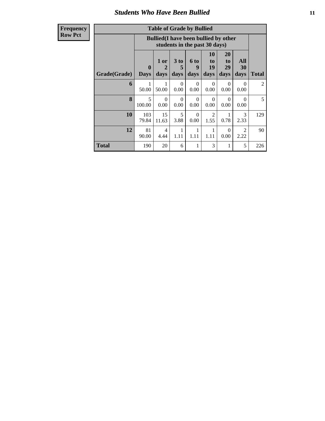#### *Students Who Have Been Bullied* **11**

| <b>Table of Grade by Bullied</b> |                                                                                                                                                                           |                                                                               |                  |                  |                        |                  |                       |                |
|----------------------------------|---------------------------------------------------------------------------------------------------------------------------------------------------------------------------|-------------------------------------------------------------------------------|------------------|------------------|------------------------|------------------|-----------------------|----------------|
|                                  |                                                                                                                                                                           | <b>Bullied</b> (I have been bullied by other<br>students in the past 30 days) |                  |                  |                        |                  |                       |                |
| Grade(Grade)                     | 10<br>20<br>All<br>3 to<br>1 or<br><b>6 to</b><br>to<br>to<br>19<br>29<br>30<br>9<br>$\mathbf 0$<br>2<br>5<br>days<br>days<br><b>Days</b><br>days<br>days<br>days<br>days |                                                                               |                  |                  |                        |                  |                       | <b>Total</b>   |
| 6                                | 50.00                                                                                                                                                                     | 50.00                                                                         | $\Omega$<br>0.00 | $\Omega$<br>0.00 | $\Omega$<br>0.00       | $\Omega$<br>0.00 | ∩<br>0.00             | $\overline{2}$ |
| 8                                | 5<br>100.00                                                                                                                                                               | 0<br>0.00                                                                     | $\Omega$<br>0.00 | $\Omega$<br>0.00 | $\Omega$<br>0.00       | $\Omega$<br>0.00 | $\Omega$<br>0.00      | 5              |
| 10                               | 103<br>79.84                                                                                                                                                              | 15<br>11.63                                                                   | 5<br>3.88        | $\Omega$<br>0.00 | $\mathfrak{D}$<br>1.55 | 0.78             | 3<br>2.33             | 129            |
| 12                               | 81<br>90.00                                                                                                                                                               | 4<br>4.44                                                                     | 1<br>1.11        | 1<br>1.11        | 1<br>1.11              | $\Omega$<br>0.00 | $\mathcal{D}$<br>2.22 | 90             |
| Total                            | 190                                                                                                                                                                       | 20                                                                            | 6                | 1                | 3                      | 1                | 5                     | 226            |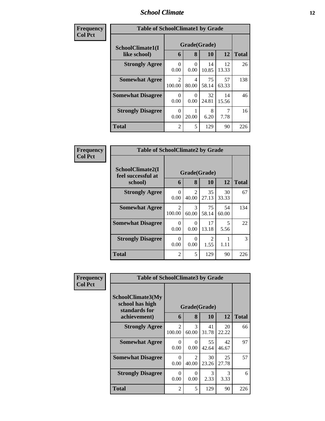#### *School Climate* **12**

| Frequency      | <b>Table of SchoolClimate1 by Grade</b> |                          |              |             |             |              |  |
|----------------|-----------------------------------------|--------------------------|--------------|-------------|-------------|--------------|--|
| <b>Col Pct</b> | SchoolClimate1(I                        |                          | Grade(Grade) |             |             |              |  |
|                | like school)                            | 6                        | 8            | 10          | 12          | <b>Total</b> |  |
|                | <b>Strongly Agree</b>                   | 0<br>0.00                | 0<br>0.00    | 14<br>10.85 | 12<br>13.33 | 26           |  |
|                | <b>Somewhat Agree</b>                   | $\mathfrak{D}$<br>100.00 | 4<br>80.00   | 75<br>58.14 | 57<br>63.33 | 138          |  |
|                | <b>Somewhat Disagree</b>                | 0<br>0.00                | 0<br>0.00    | 32<br>24.81 | 14<br>15.56 | 46           |  |
|                | <b>Strongly Disagree</b>                | 0<br>0.00                | 20.00        | 8<br>6.20   | 7.78        | 16           |  |
|                | <b>Total</b>                            | $\overline{2}$           | 5            | 129         | 90          | 226          |  |

| Frequency      | <b>Table of SchoolClimate2 by Grade</b>           |                          |                                      |                           |             |              |
|----------------|---------------------------------------------------|--------------------------|--------------------------------------|---------------------------|-------------|--------------|
| <b>Col Pct</b> | SchoolClimate2(I<br>feel successful at<br>school) | 6                        | 8                                    | Grade(Grade)<br><b>10</b> | 12          | <b>Total</b> |
|                | <b>Strongly Agree</b>                             | 0<br>0.00                | $\mathcal{D}_{\mathcal{L}}$<br>40.00 | 35<br>27.13               | 30<br>33.33 | 67           |
|                | <b>Somewhat Agree</b>                             | $\mathfrak{D}$<br>100.00 | 3<br>60.00                           | 75<br>58.14               | 54<br>60.00 | 134          |
|                | <b>Somewhat Disagree</b>                          | 0<br>0.00                | 0<br>0.00                            | 17<br>13.18               | 5<br>5.56   | 22           |
|                | <b>Strongly Disagree</b>                          | 0<br>0.00                | 0<br>0.00                            | $\mathcal{D}$<br>1.55     | 1.11        | 3            |
|                | <b>Total</b>                                      | $\overline{c}$           | 5                                    | 129                       | 90          | 226          |

| Frequency | <b>Table of SchoolClimate3 by Grade</b>               |                          |                         |                       |                       |              |
|-----------|-------------------------------------------------------|--------------------------|-------------------------|-----------------------|-----------------------|--------------|
| Col Pct   | SchoolClimate3(My<br>school has high<br>standards for |                          | Grade(Grade)<br>8       |                       | 12 <sup>1</sup>       |              |
|           | achievement)                                          | 6                        |                         | <b>10</b>             |                       | <b>Total</b> |
|           | <b>Strongly Agree</b>                                 | $\mathfrak{D}$<br>100.00 | 3<br>60.00              | 41<br>31.78           | 20<br>22.22           | 66           |
|           | <b>Somewhat Agree</b>                                 | $\Omega$<br>0.00         | $\Omega$<br>0.00        | 55<br>42.64           | 42<br>46.67           | 97           |
|           | <b>Somewhat Disagree</b>                              | $\Omega$<br>0.00         | $\mathfrak{D}$<br>40.00 | 30<br>23.26           | 25<br>27.78           | 57           |
|           | <b>Strongly Disagree</b>                              | $\Omega$<br>0.00         | $\Omega$<br>0.00        | $\mathcal{R}$<br>2.33 | $\mathcal{R}$<br>3.33 | 6            |
|           | <b>Total</b>                                          | 2                        | 5                       | 129                   | 90                    | 226          |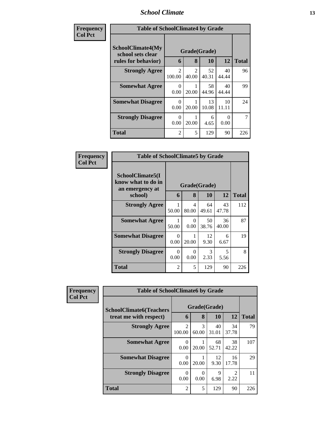#### *School Climate* **13**

| Frequency      | <b>Table of SchoolClimate4 by Grade</b>                              |                          |                         |             |             |              |
|----------------|----------------------------------------------------------------------|--------------------------|-------------------------|-------------|-------------|--------------|
| <b>Col Pct</b> | <b>SchoolClimate4(My</b><br>school sets clear<br>rules for behavior) | 6                        | Grade(Grade)<br>8       | <b>10</b>   | 12          | <b>Total</b> |
|                | <b>Strongly Agree</b>                                                | $\mathfrak{D}$<br>100.00 | $\mathfrak{D}$<br>40.00 | 52<br>40.31 | 40<br>44.44 | 96           |
|                | <b>Somewhat Agree</b>                                                | $\Omega$<br>0.00         | 20.00                   | 58<br>44.96 | 40<br>44.44 | 99           |
|                | <b>Somewhat Disagree</b>                                             | $\Omega$<br>0.00         | 20.00                   | 13<br>10.08 | 10<br>11.11 | 24           |
|                | <b>Strongly Disagree</b>                                             | $\Omega$<br>0.00         | 20.00                   | 6<br>4.65   | 0<br>0.00   | 7            |
|                | <b>Total</b>                                                         | 2                        | 5                       | 129         | 90          | 226          |

| Frequency<br><b>Col Pct</b> | <b>Table of SchoolClimate5 by Grade</b>                   |                  |              |             |             |              |
|-----------------------------|-----------------------------------------------------------|------------------|--------------|-------------|-------------|--------------|
|                             | SchoolClimate5(I<br>know what to do in<br>an emergency at |                  | Grade(Grade) |             |             |              |
|                             | school)                                                   | 6                | 8            | 10          | 12          | <b>Total</b> |
|                             | <b>Strongly Agree</b>                                     | 50.00            | 4<br>80.00   | 64<br>49.61 | 43<br>47.78 | 112          |
|                             | <b>Somewhat Agree</b>                                     | 50.00            | 0<br>0.00    | 50<br>38.76 | 36<br>40.00 | 87           |
|                             | <b>Somewhat Disagree</b>                                  | $\Omega$<br>0.00 | 20.00        | 12<br>9.30  | 6<br>6.67   | 19           |
|                             | <b>Strongly Disagree</b>                                  | $\Omega$<br>0.00 | 0<br>0.00    | 3<br>2.33   | 5<br>5.56   | 8            |
|                             | Total                                                     | $\overline{2}$   | 5            | 129         | 90          | 226          |

| Frequency      | <b>Table of SchoolClimate6 by Grade</b>                  |                          |                        |                           |                        |              |  |  |
|----------------|----------------------------------------------------------|--------------------------|------------------------|---------------------------|------------------------|--------------|--|--|
| <b>Col Pct</b> | <b>SchoolClimate6(Teachers</b><br>treat me with respect) | 6                        | 8                      | Grade(Grade)<br><b>10</b> | 12                     | <b>Total</b> |  |  |
|                | <b>Strongly Agree</b>                                    | $\mathfrak{D}$<br>100.00 | $\mathcal{F}$<br>60.00 | 40<br>31.01               | 34<br>37.78            | 79           |  |  |
|                | <b>Somewhat Agree</b>                                    | 0<br>0.00                | 20.00                  | 68<br>52.71               | 38<br>42.22            | 107          |  |  |
|                | <b>Somewhat Disagree</b>                                 | 0<br>0.00                | 20.00                  | 12<br>9.30                | 16<br>17.78            | 29           |  |  |
|                | <b>Strongly Disagree</b>                                 | $\Omega$<br>0.00         | $\Omega$<br>0.00       | 9<br>6.98                 | $\mathfrak{D}$<br>2.22 | 11           |  |  |
|                | <b>Total</b>                                             | $\overline{2}$           | 5                      | 129                       | 90                     | 226          |  |  |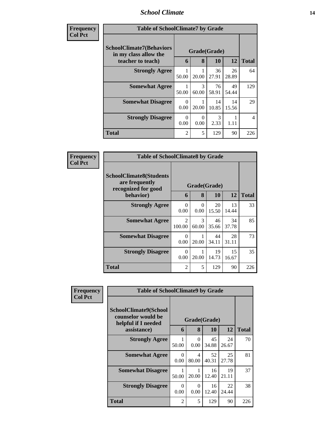## *School Climate* **14**

| <b>Frequency</b> | <b>Table of SchoolClimate7 by Grade</b>                                       |                  |                   |                       |             |              |  |  |
|------------------|-------------------------------------------------------------------------------|------------------|-------------------|-----------------------|-------------|--------------|--|--|
| <b>Col Pct</b>   | <b>SchoolClimate7(Behaviors</b><br>in my class allow the<br>teacher to teach) | 6                | Grade(Grade)<br>8 | 10                    | 12          | <b>Total</b> |  |  |
|                  | <b>Strongly Agree</b>                                                         | 50.00            | 20.00             | 36<br>27.91           | 26<br>28.89 | 64           |  |  |
|                  | <b>Somewhat Agree</b>                                                         | 50.00            | 3<br>60.00        | 76<br>58.91           | 49<br>54.44 | 129          |  |  |
|                  | <b>Somewhat Disagree</b>                                                      | $\Omega$<br>0.00 | 20.00             | 14<br>10.85           | 14<br>15.56 | 29           |  |  |
|                  | <b>Strongly Disagree</b>                                                      | $\Omega$<br>0.00 | 0<br>0.00         | $\mathcal{R}$<br>2.33 | 1<br>1.11   | 4            |  |  |
|                  | <b>Total</b>                                                                  | $\mathfrak{D}$   | 5                 | 129                   | 90          | 226          |  |  |

| <b>Frequency</b> | <b>Table of SchoolClimate8 by Grade</b>                                              |                          |                        |                           |             |              |  |
|------------------|--------------------------------------------------------------------------------------|--------------------------|------------------------|---------------------------|-------------|--------------|--|
| <b>Col Pct</b>   | <b>SchoolClimate8(Students</b><br>are frequently<br>recognized for good<br>behavior) | 6                        | 8                      | Grade(Grade)<br><b>10</b> | 12          | <b>Total</b> |  |
|                  | <b>Strongly Agree</b>                                                                | $\theta$<br>0.00         | $\Omega$<br>0.00       | 20<br>15.50               | 13<br>14.44 | 33           |  |
|                  | <b>Somewhat Agree</b>                                                                | $\mathfrak{D}$<br>100.00 | $\mathcal{F}$<br>60.00 | 46<br>35.66               | 34<br>37.78 | 85           |  |
|                  | <b>Somewhat Disagree</b>                                                             | $\Omega$<br>0.00         | 20.00                  | 44<br>34.11               | 28<br>31.11 | 73           |  |
|                  | <b>Strongly Disagree</b>                                                             | $\Omega$<br>0.00         | 20.00                  | 19<br>14.73               | 15<br>16.67 | 35           |  |
|                  | <b>Total</b>                                                                         | $\overline{2}$           | 5                      | 129                       | 90          | 226          |  |

| Frequency      | <b>Table of SchoolClimate9 by Grade</b>                                           |                  |                                    |             |             |              |  |
|----------------|-----------------------------------------------------------------------------------|------------------|------------------------------------|-------------|-------------|--------------|--|
| <b>Col Pct</b> | SchoolClimate9(School<br>counselor would be<br>helpful if I needed<br>assistance) |                  | Grade(Grade)<br>8<br>10<br>12<br>6 |             |             |              |  |
|                |                                                                                   |                  |                                    |             |             | <b>Total</b> |  |
|                | <b>Strongly Agree</b>                                                             | 50.00            | $\Omega$<br>0.00                   | 45<br>34.88 | 24<br>26.67 | 70           |  |
|                | <b>Somewhat Agree</b>                                                             | $\Omega$<br>0.00 | 4<br>80.00                         | 52<br>40.31 | 25<br>27.78 | 81           |  |
|                | <b>Somewhat Disagree</b>                                                          | 50.00            | 20.00                              | 16<br>12.40 | 19<br>21.11 | 37           |  |
|                | <b>Strongly Disagree</b>                                                          | $\Omega$<br>0.00 | $\Omega$<br>0.00                   | 16<br>12.40 | 22<br>24.44 | 38           |  |
|                | <b>Total</b>                                                                      | $\overline{c}$   | 5                                  | 129         | 90          | 226          |  |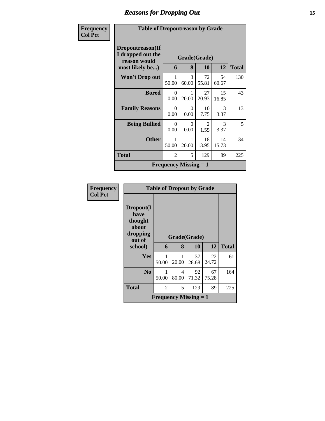# *Reasons for Dropping Out* **15**

| <b>Frequency</b> | <b>Table of Dropoutreason by Grade</b>                |                       |                                           |                        |             |              |
|------------------|-------------------------------------------------------|-----------------------|-------------------------------------------|------------------------|-------------|--------------|
| <b>Col Pct</b>   | Dropoutreason(If<br>I dropped out the<br>reason would | Grade(Grade)          |                                           |                        |             |              |
|                  | most likely be)                                       | 6                     | 8                                         | 10                     | 12          | <b>Total</b> |
|                  | <b>Won't Drop out</b>                                 | 1<br>50.00            | 3<br>60.00                                | 72<br>55.81            | 54<br>60.67 | 130          |
|                  | <b>Bored</b>                                          | $\Omega$<br>0.00      | 1<br>20.00                                | 27<br>20.93            | 15<br>16.85 | 43           |
|                  | <b>Family Reasons</b>                                 | $\Omega$<br>0.00      | 0<br>0.00                                 | 10<br>7.75             | 3<br>3.37   | 13           |
|                  | <b>Being Bullied</b>                                  | $\Omega$<br>0.00      | $\Omega$<br>0.00                          | $\mathfrak{D}$<br>1.55 | 3<br>3.37   | 5            |
|                  | <b>Other</b>                                          | $\mathbf{1}$<br>50.00 | 1<br>20.00                                | 18<br>13.95            | 14<br>15.73 | 34           |
|                  | <b>Total</b>                                          | $\overline{2}$        | 5                                         | 129                    | 89          | 225          |
|                  |                                                       |                       | <b>Frequency Missing <math>= 1</math></b> |                        |             |              |

| <b>Frequency</b> |                                                             | <b>Table of Dropout by Grade</b> |            |             |             |              |  |  |  |
|------------------|-------------------------------------------------------------|----------------------------------|------------|-------------|-------------|--------------|--|--|--|
| <b>Col Pct</b>   | Dropout(I<br>have<br>thought<br>about<br>dropping<br>out of | Grade(Grade)                     |            |             |             |              |  |  |  |
|                  | school)                                                     | 6                                | 8          | 10          | 12          | <b>Total</b> |  |  |  |
|                  | <b>Yes</b>                                                  | 50.00                            | 20.00      | 37<br>28.68 | 22<br>24.72 | 61           |  |  |  |
|                  | N <sub>0</sub>                                              | 50.00                            | 4<br>80.00 | 92<br>71.32 | 67<br>75.28 | 164          |  |  |  |
|                  | <b>Total</b>                                                | 2                                | 5          | 129         | 89          | 225          |  |  |  |
|                  | <b>Frequency Missing = 1</b>                                |                                  |            |             |             |              |  |  |  |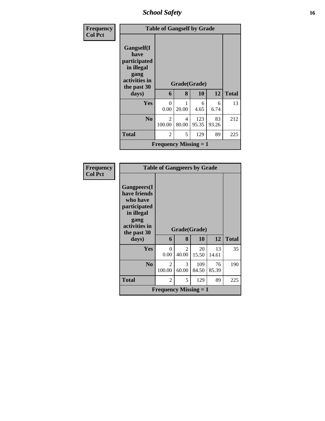*School Safety* **16**

| Frequency      |                                                                                          | <b>Table of Gangself by Grade</b> |            |              |             |              |  |  |  |
|----------------|------------------------------------------------------------------------------------------|-----------------------------------|------------|--------------|-------------|--------------|--|--|--|
| <b>Col Pct</b> | Gangself(I<br>have<br>participated<br>in illegal<br>gang<br>activities in<br>the past 30 | Grade(Grade)                      |            |              |             |              |  |  |  |
|                | days)                                                                                    | 6                                 | 8          | 10           | 12          | <b>Total</b> |  |  |  |
|                | Yes                                                                                      | 0<br>0.00                         | 20.00      | 6<br>4.65    | 6<br>6.74   | 13           |  |  |  |
|                | N <sub>0</sub>                                                                           | $\mathfrak{D}$<br>100.00          | 4<br>80.00 | 123<br>95.35 | 83<br>93.26 | 212          |  |  |  |
|                | <b>Total</b>                                                                             | $\overline{2}$                    | 5          | 129          | 89          | 225          |  |  |  |
|                | <b>Frequency Missing = 1</b>                                                             |                                   |            |              |             |              |  |  |  |

| Frequency<br><b>Col Pct</b> |                                                                                                                       | <b>Table of Gangpeers by Grade</b> |              |              |             |              |  |  |
|-----------------------------|-----------------------------------------------------------------------------------------------------------------------|------------------------------------|--------------|--------------|-------------|--------------|--|--|
|                             | <b>Gangpeers</b> (I<br>have friends<br>who have<br>participated<br>in illegal<br>gang<br>activities in<br>the past 30 |                                    | Grade(Grade) |              |             |              |  |  |
|                             | days)                                                                                                                 | 6                                  | 8            | 10           | 12          | <b>Total</b> |  |  |
|                             | Yes                                                                                                                   | $\theta$<br>0.00                   | 2<br>40.00   | 20<br>15.50  | 13<br>14.61 | 35           |  |  |
|                             | N <sub>0</sub>                                                                                                        | 2<br>100.00                        | 3<br>60.00   | 109<br>84.50 | 76<br>85.39 | 190          |  |  |
|                             | <b>Total</b>                                                                                                          | 2                                  | 5            | 129          | 89          | 225          |  |  |
|                             |                                                                                                                       | <b>Frequency Missing = 1</b>       |              |              |             |              |  |  |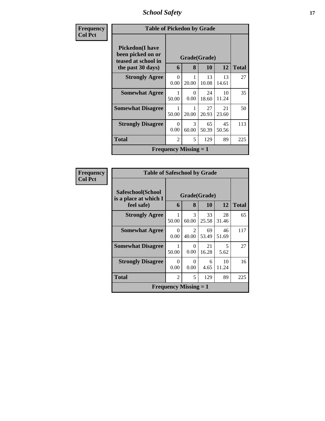*School Safety* **17**

| <b>Frequency</b> | <b>Table of Pickedon by Grade</b>                                   |                  |                                           |             |             |              |
|------------------|---------------------------------------------------------------------|------------------|-------------------------------------------|-------------|-------------|--------------|
| <b>Col Pct</b>   | <b>Pickedon</b> (I have<br>been picked on or<br>teased at school in |                  | Grade(Grade)                              |             |             |              |
|                  | the past 30 days)                                                   | 6                | 8                                         | 10          | 12          | <b>Total</b> |
|                  | <b>Strongly Agree</b>                                               | $\Omega$<br>0.00 | 1<br>20.00                                | 13<br>10.08 | 13<br>14.61 | 27           |
|                  | <b>Somewhat Agree</b>                                               | 50.00            | 0<br>0.00                                 | 24<br>18.60 | 10<br>11.24 | 35           |
|                  | <b>Somewhat Disagree</b>                                            | 50.00            | 20.00                                     | 27<br>20.93 | 21<br>23.60 | 50           |
|                  | <b>Strongly Disagree</b>                                            | 0<br>0.00        | 3<br>60.00                                | 65<br>50.39 | 45<br>50.56 | 113          |
|                  | <b>Total</b>                                                        | $\overline{2}$   | 5                                         | 129         | 89          | 225          |
|                  |                                                                     |                  | <b>Frequency Missing <math>= 1</math></b> |             |             |              |

| <b>Frequency</b> |                                            | <b>Table of Safeschool by Grade</b> |                         |             |             |              |  |
|------------------|--------------------------------------------|-------------------------------------|-------------------------|-------------|-------------|--------------|--|
| <b>Col Pct</b>   | Safeschool(School<br>is a place at which I | Grade(Grade)                        |                         |             |             |              |  |
|                  | feel safe)                                 | 6                                   | 8                       | 10          | 12          | <b>Total</b> |  |
|                  | <b>Strongly Agree</b>                      | 50.00                               | 3<br>60.00              | 33<br>25.58 | 28<br>31.46 | 65           |  |
|                  | <b>Somewhat Agree</b>                      | 0<br>0.00                           | $\mathfrak{D}$<br>40.00 | 69<br>53.49 | 46<br>51.69 | 117          |  |
|                  | <b>Somewhat Disagree</b>                   | 50.00                               | 0<br>0.00               | 21<br>16.28 | 5<br>5.62   | 27           |  |
|                  | <b>Strongly Disagree</b>                   | 0<br>0.00                           | 0<br>0.00               | 6<br>4.65   | 10<br>11.24 | 16           |  |
|                  | <b>Total</b>                               | 2                                   | 5                       | 129         | 89          | 225          |  |
|                  |                                            | <b>Frequency Missing = 1</b>        |                         |             |             |              |  |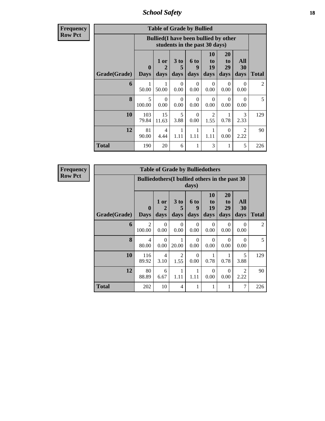*School Safety* **18**

**Frequency Row Pct**

| <b>Table of Grade by Bullied</b> |                         |                                              |                               |                   |                        |                               |                          |       |  |
|----------------------------------|-------------------------|----------------------------------------------|-------------------------------|-------------------|------------------------|-------------------------------|--------------------------|-------|--|
|                                  |                         | <b>Bullied</b> (I have been bullied by other | students in the past 30 days) |                   |                        |                               |                          |       |  |
| Grade(Grade)                     | $\bf{0}$<br><b>Days</b> | 1 or<br>2<br>days                            | 3 to<br>5<br>days             | 6 to<br>9<br>days | 10<br>to<br>19<br>days | <b>20</b><br>to<br>29<br>days | All<br><b>30</b><br>days | Total |  |
| 6                                | 1<br>50.00              | 1<br>50.00                                   | $\Omega$<br>0.00              | $\Omega$<br>0.00  | $\Omega$<br>0.00       | $\Omega$<br>0.00              | $\Omega$<br>0.00         | 2     |  |
| 8                                | 5<br>100.00             | $\Omega$<br>0.00                             | $\Omega$<br>0.00              | $\Omega$<br>0.00  | $\Omega$<br>0.00       | $\Omega$<br>0.00              | $\Omega$<br>0.00         | 5     |  |
| 10                               | 103<br>79.84            | 15<br>11.63                                  | 5<br>3.88                     | $\Omega$<br>0.00  | 2<br>1.55              | 1<br>0.78                     | 3<br>2.33                | 129   |  |
| 12                               | 81<br>90.00             | 4<br>4.44                                    | 1<br>1.11                     | 1<br>1.11         | $\mathbf{1}$<br>1.11   | $\Omega$<br>0.00              | $\mathfrak{D}$<br>2.22   | 90    |  |
| <b>Total</b>                     | 190                     | 20                                           | 6                             | 1                 | 3                      | 1                             | 5                        | 226   |  |

| <b>Table of Grade by Bulliedothers</b> |                         |                                                          |                        |                          |                        |                        |                                     |                |  |  |  |
|----------------------------------------|-------------------------|----------------------------------------------------------|------------------------|--------------------------|------------------------|------------------------|-------------------------------------|----------------|--|--|--|
|                                        |                         | Bullied others (I bullied others in the past 30<br>days) |                        |                          |                        |                        |                                     |                |  |  |  |
| Grade(Grade)                           | $\bf{0}$<br><b>Days</b> | 1 or<br>2<br>days                                        | 3 to<br>5<br>days      | <b>6 to</b><br>9<br>days | 10<br>to<br>19<br>days | 20<br>to<br>29<br>days | All<br>30<br>days                   | <b>Total</b>   |  |  |  |
| 6                                      | 2<br>100.00             | $\Omega$<br>0.00                                         | $\Omega$<br>0.00       | $\Omega$<br>0.00         | $\Omega$<br>0.00       | $\Omega$<br>0.00       | ∩<br>0.00                           | $\overline{2}$ |  |  |  |
| 8                                      | 4<br>80.00              | $\Omega$<br>0.00                                         | 1<br>20.00             | $\Omega$<br>0.00         | $\Omega$<br>0.00       | $\Omega$<br>0.00       | $\Omega$<br>0.00                    | 5              |  |  |  |
| 10                                     | 116<br>89.92            | $\overline{4}$<br>3.10                                   | $\overline{2}$<br>1.55 | $\Omega$<br>0.00         | 0.78                   | 0.78                   | 5<br>3.88                           | 129            |  |  |  |
| 12                                     | 80<br>88.89             | 6<br>6.67                                                | 1<br>1.11              | 1<br>1.11                | $\Omega$<br>0.00       | $\Omega$<br>0.00       | $\mathcal{D}_{\mathcal{A}}$<br>2.22 | 90             |  |  |  |
| <b>Total</b>                           | 202                     | 10                                                       | $\overline{4}$         | 1                        | 1                      | 1                      | 7                                   | 226            |  |  |  |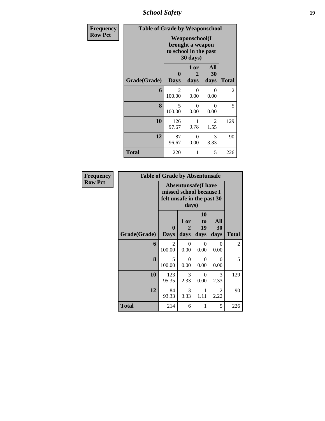*School Safety* **19**

| Frequency      | <b>Table of Grade by Weaponschool</b> |                                                                                 |                   |                   |              |
|----------------|---------------------------------------|---------------------------------------------------------------------------------|-------------------|-------------------|--------------|
| <b>Row Pct</b> |                                       | <b>Weaponschool</b> (I<br>brought a weapon<br>to school in the past<br>30 days) |                   |                   |              |
|                | Grade(Grade)                          | $\bf{0}$<br><b>Days</b>                                                         | 1 or<br>2<br>days | All<br>30<br>days | <b>Total</b> |
|                | 6                                     | $\overline{2}$<br>100.00                                                        | $\Omega$<br>0.00  | $\Omega$<br>0.00  | 2            |
|                | 8                                     | 5<br>100.00                                                                     | $\Omega$<br>0.00  | 0<br>0.00         | 5            |
|                | 10                                    | 126<br>97.67                                                                    | 1<br>0.78         | 2<br>1.55         | 129          |
|                | 12                                    | 87<br>96.67                                                                     | $\Omega$<br>0.00  | 3<br>3.33         | 90           |
|                | <b>Total</b>                          | 220                                                                             | 1                 | 5                 | 226          |

| <b>Frequency</b> | <b>Table of Grade by Absentunsafe</b> |                                                                                     |                   |                        |                   |                |  |  |  |  |
|------------------|---------------------------------------|-------------------------------------------------------------------------------------|-------------------|------------------------|-------------------|----------------|--|--|--|--|
| <b>Row Pct</b>   |                                       | <b>Absentunsafe(I have</b><br>missed school because I<br>felt unsafe in the past 30 |                   |                        |                   |                |  |  |  |  |
|                  | Grade(Grade)                          | $\mathbf{0}$<br><b>Days</b>                                                         | 1 or<br>2<br>days | 10<br>to<br>19<br>days | All<br>30<br>days | <b>Total</b>   |  |  |  |  |
|                  | 6                                     | 2<br>100.00                                                                         | $\Omega$<br>0.00  | $\Omega$<br>0.00       | $\Omega$<br>0.00  | $\overline{2}$ |  |  |  |  |
|                  | 8                                     | $\overline{\phantom{0}}$<br>100.00                                                  | $\Omega$<br>0.00  | $\Omega$<br>0.00       | $\Omega$<br>0.00  | 5              |  |  |  |  |
|                  | 10                                    | 123<br>95.35                                                                        | 3<br>2.33         | $\Omega$<br>0.00       | 3<br>2.33         | 129            |  |  |  |  |
|                  | 12                                    | 84<br>93.33                                                                         | 3<br>3.33         | 1<br>1.11              | 2<br>2.22         | 90             |  |  |  |  |
|                  | <b>Total</b>                          | 214                                                                                 | 6                 | 1                      | 5                 | 226            |  |  |  |  |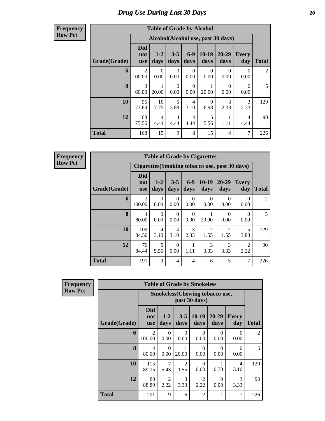## *Drug Use During Last 30 Days* 20

**Frequency Row Pct**

| <b>Table of Grade by Alcohol</b> |                                 |                        |                        |                        |                                    |                   |                        |              |  |  |  |
|----------------------------------|---------------------------------|------------------------|------------------------|------------------------|------------------------------------|-------------------|------------------------|--------------|--|--|--|
|                                  |                                 |                        |                        |                        | Alcohol(Alcohol use, past 30 days) |                   |                        |              |  |  |  |
| Grade(Grade)                     | <b>Did</b><br>not<br><b>use</b> | $1-2$<br>days          | $3 - 5$<br>days        | $6-9$<br>days          | $10-19$<br>days                    | $20 - 29$<br>days | Every<br>day           | <b>Total</b> |  |  |  |
| 6                                | $\overline{2}$<br>100.00        | $\Omega$<br>0.00       | 0<br>0.00              | 0<br>0.00              | 0<br>0.00                          | 0<br>0.00         | $\Omega$<br>0.00       | 2            |  |  |  |
| 8                                | $\mathcal{F}$<br>60.00          | 20.00                  | $\Omega$<br>0.00       | $\Omega$<br>0.00       | 20.00                              | $\Omega$<br>0.00  | $\Omega$<br>0.00       | 5            |  |  |  |
| 10                               | 95<br>73.64                     | 10<br>7.75             | 5<br>3.88              | $\overline{4}$<br>3.10 | 9<br>6.98                          | 3<br>2.33         | 3<br>2.33              | 129          |  |  |  |
| 12                               | 68<br>75.56                     | $\overline{4}$<br>4.44 | $\overline{4}$<br>4.44 | $\overline{4}$<br>4.44 | 5<br>5.56                          | 1.11              | $\overline{4}$<br>4.44 | 90           |  |  |  |
| <b>Total</b>                     | 168                             | 15                     | 9                      | 8                      | 15                                 | 4                 | 7                      | 226          |  |  |  |

|              | <b>Table of Grade by Cigarettes</b> |                        |                  |                           |                        |                                                |                  |                |  |  |  |  |
|--------------|-------------------------------------|------------------------|------------------|---------------------------|------------------------|------------------------------------------------|------------------|----------------|--|--|--|--|
|              |                                     |                        |                  |                           |                        | Cigarettes (Smoking tobacco use, past 30 days) |                  |                |  |  |  |  |
| Grade(Grade) | Did<br>not<br><b>use</b>            | $1 - 2$<br>days        | $3 - 5$<br>days  | $6 - 9$<br>days           | $10-19$<br>days        | $20 - 29$<br>days                              | Every<br>day     | <b>Total</b>   |  |  |  |  |
| 6            | $\overline{2}$<br>100.00            | $\Omega$<br>0.00       | 0<br>0.00        | $\mathbf{\Omega}$<br>0.00 | $\Omega$<br>0.00       | 0<br>0.00                                      | 0<br>0.00        | $\overline{2}$ |  |  |  |  |
| 8            | 4<br>80.00                          | $\Omega$<br>0.00       | 0<br>0.00        | ∩<br>0.00                 | 20.00                  | 0<br>0.00                                      | $\Omega$<br>0.00 | 5              |  |  |  |  |
| 10           | 109<br>84.50                        | $\overline{4}$<br>3.10 | 4<br>3.10        | 3<br>2.33                 | $\mathfrak{D}$<br>1.55 | $\mathcal{D}$<br>1.55                          | 5<br>3.88        | 129            |  |  |  |  |
| 12           | 76<br>84.44                         | 5<br>5.56              | $\Omega$<br>0.00 | 1.11                      | 3<br>3.33              | 3<br>3.33                                      | 2<br>2.22        | 90             |  |  |  |  |
| <b>Total</b> | 191                                 | 9                      | 4                | 4                         | 6                      | 5                                              | 7                | 226            |  |  |  |  |

| <b>Frequency</b> |              |                                        |                        |                        | <b>Table of Grade by Smokeless</b> |                   |                     |                |
|------------------|--------------|----------------------------------------|------------------------|------------------------|------------------------------------|-------------------|---------------------|----------------|
| <b>Row Pct</b>   |              | <b>Smokeless</b> (Chewing tobacco use, |                        |                        |                                    |                   |                     |                |
|                  | Grade(Grade) | <b>Did</b><br>not<br><b>use</b>        | $1 - 2$<br>days        | $3 - 5$<br>days        | $10-19$<br>days                    | $20 - 29$<br>days | <b>Every</b><br>day | <b>Total</b>   |
|                  | 6            | $\overline{2}$<br>100.00               | $\Omega$<br>0.00       | $\theta$<br>0.00       | $\theta$<br>0.00                   | $\Omega$<br>0.00  | $\Omega$<br>0.00    | $\overline{2}$ |
|                  | 8            | $\overline{4}$<br>80.00                | $\Omega$<br>0.00       | 20.00                  | $\theta$<br>0.00                   | $\Omega$<br>0.00  | $\Omega$<br>0.00    | 5              |
|                  | 10           | 115<br>89.15                           | 7<br>5.43              | $\mathfrak{D}$<br>1.55 | $\Omega$<br>0.00                   | 0.78              | 4<br>3.10           | 129            |
|                  | 12           | 80<br>88.89                            | $\overline{c}$<br>2.22 | $\mathcal{F}$<br>3.33  | $\overline{2}$<br>2.22             | $\Omega$<br>0.00  | 3<br>3.33           | 90             |
|                  | <b>Total</b> | 201                                    | 9                      | 6                      | $\overline{2}$                     |                   | 7                   | 226            |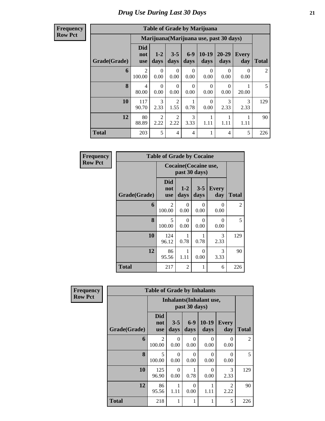| <b>Frequency</b> |
|------------------|
| <b>Row Pct</b>   |

| <b>Table of Grade by Marijuana</b> |                                 |                  |                        |                  |                  |                                         |                  |              |  |  |  |
|------------------------------------|---------------------------------|------------------|------------------------|------------------|------------------|-----------------------------------------|------------------|--------------|--|--|--|
|                                    |                                 |                  |                        |                  |                  | Marijuana (Marijuana use, past 30 days) |                  |              |  |  |  |
| Grade(Grade)                       | <b>Did</b><br>not<br><b>use</b> | $1-2$<br>days    | $3 - 5$<br>days        | $6-9$<br>days    | $10-19$<br>days  | $20 - 29$<br>days                       | Every<br>day     | <b>Total</b> |  |  |  |
| 6                                  | $\mathfrak{D}$<br>100.00        | $\Omega$<br>0.00 | $\Omega$<br>0.00       | $\Omega$<br>0.00 | $\Omega$<br>0.00 | $\Omega$<br>0.00                        | $\Omega$<br>0.00 | 2            |  |  |  |
| 8                                  | 4<br>80.00                      | $\Omega$<br>0.00 | $\Omega$<br>0.00       | $\Omega$<br>0.00 | $\Omega$<br>0.00 | $\Omega$<br>0.00                        | 20.00            | 5            |  |  |  |
| 10                                 | 117<br>90.70                    | 3<br>2.33        | $\overline{2}$<br>1.55 | 0.78             | $\Omega$<br>0.00 | 3<br>2.33                               | 3<br>2.33        | 129          |  |  |  |
| 12                                 | 80<br>88.89                     | 2<br>2.22        | $\overline{2}$<br>2.22 | 3<br>3.33        | 1.11             | 1.11                                    | 1.11             | 90           |  |  |  |
| <b>Total</b>                       | 203                             | 5                | $\overline{4}$         | $\overline{4}$   |                  | 4                                       | 5                | 226          |  |  |  |

| Frequency      | <b>Table of Grade by Cocaine</b> |                                    |                                        |                  |                       |                |  |  |  |  |
|----------------|----------------------------------|------------------------------------|----------------------------------------|------------------|-----------------------|----------------|--|--|--|--|
| <b>Row Pct</b> |                                  |                                    | Cocaine (Cocaine use,<br>past 30 days) |                  |                       |                |  |  |  |  |
|                | Grade(Grade)                     | <b>Did</b><br>not<br><b>use</b>    | $1 - 2$<br>days                        | $3 - 5$<br>days  | <b>Every</b><br>day   | <b>Total</b>   |  |  |  |  |
|                | 6                                | 2<br>100.00                        | 0<br>0.00                              | $\Omega$<br>0.00 | 0<br>0.00             | $\overline{2}$ |  |  |  |  |
|                | 8                                | $\overline{\phantom{0}}$<br>100.00 | $\Omega$<br>0.00                       | 0<br>0.00        | $\Omega$<br>0.00      | 5              |  |  |  |  |
|                | 10                               | 124<br>96.12                       | 1<br>0.78                              | 0.78             | $\mathcal{R}$<br>2.33 | 129            |  |  |  |  |
|                | 12                               | 86<br>95.56                        | 1<br>1.11                              | $\Omega$<br>0.00 | 3<br>3.33             | 90             |  |  |  |  |
|                | <b>Total</b>                     | 217                                | $\overline{2}$                         | 1                | 6                     | 226            |  |  |  |  |

| <b>Frequency</b> | <b>Table of Grade by Inhalants</b> |                                 |                  |                  |                                 |                        |                |  |  |  |
|------------------|------------------------------------|---------------------------------|------------------|------------------|---------------------------------|------------------------|----------------|--|--|--|
| <b>Row Pct</b>   |                                    |                                 |                  | past 30 days)    | <b>Inhalants</b> (Inhalant use, |                        |                |  |  |  |
|                  | Grade(Grade)                       | <b>Did</b><br>not<br><b>use</b> | $3 - 5$<br>days  | $6 - 9$<br>days  | $10-19$<br>days                 | <b>Every</b><br>day    | <b>Total</b>   |  |  |  |
|                  | 6                                  | $\overline{2}$<br>100.00        | $\Omega$<br>0.00 | $\Omega$<br>0.00 | $\Omega$<br>0.00                | 0<br>0.00              | $\overline{2}$ |  |  |  |
|                  | 8                                  | 5<br>100.00                     | $\Omega$<br>0.00 | $\Omega$<br>0.00 | ∩<br>0.00                       | $\Omega$<br>0.00       | 5              |  |  |  |
|                  | 10                                 | 125<br>96.90                    | $\Omega$<br>0.00 | 0.78             | $\Omega$<br>0.00                | 3<br>2.33              | 129            |  |  |  |
|                  | 12                                 | 86<br>95.56                     | 1.11             | $\Omega$<br>0.00 | 1.11                            | $\overline{2}$<br>2.22 | 90             |  |  |  |
|                  | <b>Total</b>                       | 218                             | 1                | 1                | 1                               | 5                      | 226            |  |  |  |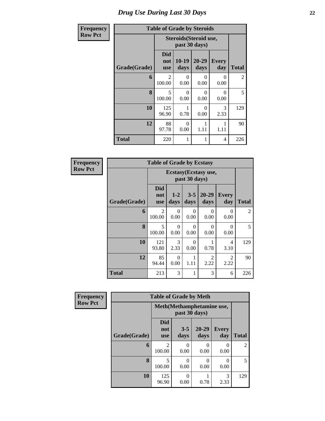#### *Drug Use During Last 30 Days* **22**

| cy |              | <b>Table of Grade by Steroids</b> |                                         |                   |                     |                |
|----|--------------|-----------------------------------|-----------------------------------------|-------------------|---------------------|----------------|
|    |              |                                   | Steroids (Steroid use,<br>past 30 days) |                   |                     |                |
|    | Grade(Grade) | <b>Did</b><br>not<br><b>use</b>   | $10-19$<br>days                         | $20 - 29$<br>days | <b>Every</b><br>day | <b>Total</b>   |
|    | 6            | 2<br>100.00                       | $\theta$<br>0.00                        | 0<br>0.00         | $\Omega$<br>0.00    | $\overline{2}$ |
|    | 8            | 5<br>100.00                       | $\theta$<br>0.00                        | 0<br>0.00         | $\Omega$<br>0.00    | 5              |
|    | 10           | 125<br>96.90                      | 0.78                                    | 0<br>0.00         | 3<br>2.33           | 129            |
|    | 12           | 88<br>97.78                       | $\theta$<br>0.00                        | 1.11              | 1<br>1.11           | 90             |
|    | <b>Total</b> | 220                               |                                         |                   | 4                   | 226            |

| <b>Frequency</b> |              | <b>Table of Grade by Ecstasy</b> |                  |                  |                        |                        |                |
|------------------|--------------|----------------------------------|------------------|------------------|------------------------|------------------------|----------------|
| <b>Row Pct</b>   |              | Ecstasy(Ecstasy use,             |                  |                  |                        |                        |                |
|                  | Grade(Grade) | <b>Did</b><br>not<br><b>use</b>  | $1 - 2$<br>days  | $3 - 5$<br>days  | 20-29<br>days          | <b>Every</b><br>day    | <b>Total</b>   |
|                  | 6            | $\overline{2}$<br>100.00         | 0<br>0.00        | 0<br>0.00        | 0<br>0.00              | 0<br>0.00              | $\overline{2}$ |
|                  | 8            | 5<br>100.00                      | $\Omega$<br>0.00 | $\Omega$<br>0.00 | 0<br>0.00              | $\Omega$<br>0.00       | 5              |
|                  | 10           | 121<br>93.80                     | 3<br>2.33        | $\Omega$<br>0.00 | 0.78                   | $\overline{4}$<br>3.10 | 129            |
|                  | 12           | 85<br>94.44                      | 0<br>0.00        | 1<br>1.11        | $\mathfrak{D}$<br>2.22 | $\mathfrak{D}$<br>2.22 | 90             |
|                  | <b>Total</b> | 213                              | 3                | 1                | 3                      | 6                      | 226            |

| Frequency      |              | <b>Table of Grade by Meth</b>   |                                            |                   |                     |                |  |  |  |
|----------------|--------------|---------------------------------|--------------------------------------------|-------------------|---------------------|----------------|--|--|--|
| <b>Row Pct</b> |              |                                 | Meth(Methamphetamine use,<br>past 30 days) |                   |                     |                |  |  |  |
|                | Grade(Grade) | <b>Did</b><br>not<br><b>use</b> | $3 - 5$<br>days                            | $20 - 29$<br>days | <b>Every</b><br>day | <b>Total</b>   |  |  |  |
|                | 6            | $\mathfrak{D}$<br>100.00        | 0<br>0.00                                  | 0.00              | 0.00                | $\overline{2}$ |  |  |  |
|                | 8            | 100.00                          | 0<br>0.00                                  | 0.00              | O<br>0.00           | 5              |  |  |  |
|                | 10           | 125<br>96.90                    | 0<br>0.00                                  | 0.78              | 3<br>2.33           | 129            |  |  |  |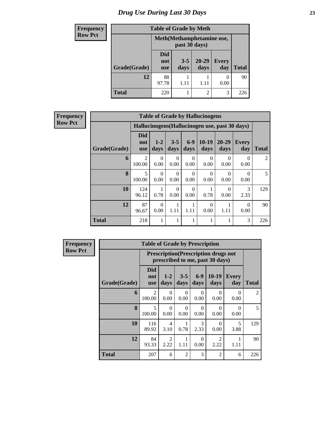# *Drug Use During Last 30 Days* **23**

| Frequency      |              | <b>Table of Grade by Meth</b>              |                 |                   |                  |              |  |  |  |
|----------------|--------------|--------------------------------------------|-----------------|-------------------|------------------|--------------|--|--|--|
| <b>Row Pct</b> |              | Meth(Methamphetamine use,<br>past 30 days) |                 |                   |                  |              |  |  |  |
|                | Grade(Grade) | Did<br>not<br><b>use</b>                   | $3 - 5$<br>days | $20 - 29$<br>days | Every<br>day     | <b>Total</b> |  |  |  |
|                | 12           | 88<br>97.78                                | 1.11            | 1.11              | $\theta$<br>0.00 | 90           |  |  |  |
|                | <b>Total</b> | 220                                        |                 | $\overline{2}$    | 3                | 226          |  |  |  |

| <b>Frequency</b> |
|------------------|
| <b>Row Pct</b>   |

| <b>Table of Grade by Hallucinogens</b> |                                 |                                                |                  |                  |                  |                   |                       |                |
|----------------------------------------|---------------------------------|------------------------------------------------|------------------|------------------|------------------|-------------------|-----------------------|----------------|
|                                        |                                 | Hallucinogens (Hallucinogen use, past 30 days) |                  |                  |                  |                   |                       |                |
| Grade(Grade)                           | <b>Did</b><br>not<br><b>use</b> | $1 - 2$<br>days                                | $3 - 5$<br>days  | $6-9$<br>days    | $10-19$<br>days  | $20 - 29$<br>days | Every<br>day          | <b>Total</b>   |
| 6                                      | 2<br>100.00                     | $\Omega$<br>0.00                               | 0<br>0.00        | 0<br>0.00        | $\Omega$<br>0.00 | $\Omega$<br>0.00  | 0<br>0.00             | $\mathfrak{D}$ |
| 8                                      | 5<br>100.00                     | $\Omega$<br>0.00                               | $\Omega$<br>0.00 | 0<br>0.00        | $\Omega$<br>0.00 | $\Omega$<br>0.00  | $\Omega$<br>0.00      | 5              |
| 10                                     | 124<br>96.12                    | 0.78                                           | $\Omega$<br>0.00 | $\Omega$<br>0.00 | 0.78             | $\Omega$<br>0.00  | $\mathcal{R}$<br>2.33 | 129            |
| 12                                     | 87<br>96.67                     | $\Omega$<br>0.00                               | 1.11             | 1.11             | $\Omega$<br>0.00 | 1<br>1.11         | $\Omega$<br>0.00      | 90             |
| <b>Total</b>                           | 218                             | 1                                              |                  |                  |                  | 1                 | 3                     | 226            |

| Frequency      | <b>Table of Grade by Prescription</b> |                          |                                                                                |                  |                  |                        |                     |                |  |
|----------------|---------------------------------------|--------------------------|--------------------------------------------------------------------------------|------------------|------------------|------------------------|---------------------|----------------|--|
| <b>Row Pct</b> |                                       |                          | <b>Prescription</b> (Prescription drugs not<br>prescribed to me, past 30 days) |                  |                  |                        |                     |                |  |
|                | Grade(Grade)                          | Did<br>not<br><b>use</b> | $1-2$<br>days                                                                  | $3 - 5$<br>days  | $6 - 9$<br>days  | $10-19$<br>days        | <b>Every</b><br>day | <b>Total</b>   |  |
|                | 6                                     | $\mathfrak{D}$<br>100.00 | $\Omega$<br>0.00                                                               | $\Omega$<br>0.00 | $\Omega$<br>0.00 | $\Omega$<br>0.00       | $\Omega$<br>0.00    | $\overline{2}$ |  |
|                | 8                                     | 5<br>100.00              | $\Omega$<br>0.00                                                               | $\Omega$<br>0.00 | $\Omega$<br>0.00 | $\Omega$<br>0.00       | $\Omega$<br>0.00    | 5              |  |
|                | 10                                    | 116<br>89.92             | 4<br>3.10                                                                      | 1<br>0.78        | 3<br>2.33        | $\Omega$<br>0.00       | 5<br>3.88           | 129            |  |
|                | 12                                    | 84<br>93.33              | $\overline{2}$<br>2.22                                                         | 1<br>1.11        | $\Omega$<br>0.00 | $\overline{2}$<br>2.22 | 1.11                | 90             |  |
|                | <b>Total</b>                          | 207                      | 6                                                                              | $\overline{2}$   | 3                | $\overline{c}$         | 6                   | 226            |  |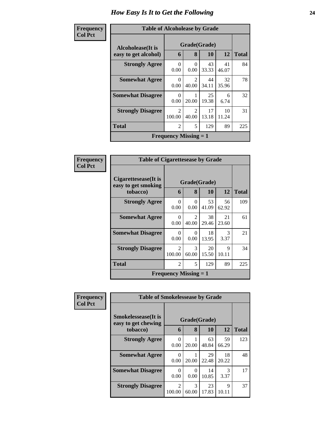| Frequency      | <b>Table of Alcoholease by Grade</b>      |                              |                         |             |             |              |  |  |
|----------------|-------------------------------------------|------------------------------|-------------------------|-------------|-------------|--------------|--|--|
| <b>Col Pct</b> | Alcoholease(It is<br>easy to get alcohol) | 6                            | Grade(Grade)<br>8       | 10          | 12          | <b>Total</b> |  |  |
|                | <b>Strongly Agree</b>                     | 0<br>0.00                    | $\theta$<br>0.00        | 43<br>33.33 | 41<br>46.07 | 84           |  |  |
|                | <b>Somewhat Agree</b>                     | 0<br>0.00                    | $\mathfrak{D}$<br>40.00 | 44<br>34.11 | 32<br>35.96 | 78           |  |  |
|                | <b>Somewhat Disagree</b>                  | $\Omega$<br>0.00             | 20.00                   | 25<br>19.38 | 6<br>6.74   | 32           |  |  |
|                | <b>Strongly Disagree</b>                  | $\overline{2}$<br>100.00     | $\mathfrak{D}$<br>40.00 | 17<br>13.18 | 10<br>11.24 | 31           |  |  |
|                | <b>Total</b>                              | $\overline{2}$               | 5                       | 129         | 89          | 225          |  |  |
|                |                                           | <b>Frequency Missing = 1</b> |                         |             |             |              |  |  |

| Frequency      | <b>Table of Cigarettesease by Grade</b>     |                                           |                                   |             |                       |              |
|----------------|---------------------------------------------|-------------------------------------------|-----------------------------------|-------------|-----------------------|--------------|
| <b>Col Pct</b> | Cigarettesease(It is<br>easy to get smoking | Grade(Grade)                              |                                   |             |                       |              |
|                | tobacco)                                    | 6                                         | 8                                 | <b>10</b>   | <b>12</b>             | <b>Total</b> |
|                | <b>Strongly Agree</b>                       | $\Omega$<br>0.00                          | 0<br>0.00                         | 53<br>41.09 | 56<br>62.92           | 109          |
|                | <b>Somewhat Agree</b>                       | 0<br>0.00                                 | $\overline{\mathcal{L}}$<br>40.00 | 38<br>29.46 | 21<br>23.60           | 61           |
|                | <b>Somewhat Disagree</b>                    | $\theta$<br>0.00                          | 0<br>0.00                         | 18<br>13.95 | $\mathcal{R}$<br>3.37 | 21           |
|                | <b>Strongly Disagree</b>                    | $\mathfrak{D}$<br>100.00                  | 3<br>60.00                        | 20<br>15.50 | 9<br>10.11            | 34           |
|                | <b>Total</b>                                | $\overline{2}$                            | 5                                 | 129         | 89                    | 225          |
|                |                                             | <b>Frequency Missing <math>= 1</math></b> |                                   |             |                       |              |

| Frequency      | <b>Table of Smokelessease by Grade</b>                         |                          |            |                           |             |              |  |
|----------------|----------------------------------------------------------------|--------------------------|------------|---------------------------|-------------|--------------|--|
| <b>Col Pct</b> | <b>Smokelessease</b> (It is<br>easy to get chewing<br>tobacco) | 6                        | 8          | Grade(Grade)<br><b>10</b> | 12          | <b>Total</b> |  |
|                |                                                                |                          |            |                           |             |              |  |
|                | <b>Strongly Agree</b>                                          | 0<br>0.00                | 20.00      | 63<br>48.84               | 59<br>66.29 | 123          |  |
|                | <b>Somewhat Agree</b>                                          | 0<br>0.00                | 20.00      | 29<br>22.48               | 18<br>20.22 | 48           |  |
|                | <b>Somewhat Disagree</b>                                       | 0<br>0.00                | 0<br>0.00  | 14<br>10.85               | 3<br>3.37   | 17           |  |
|                | <b>Strongly Disagree</b>                                       | $\mathfrak{D}$<br>100.00 | 3<br>60.00 | 23<br>17.83               | Q<br>10.11  | 37           |  |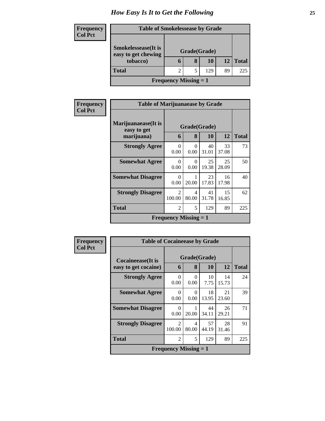| <b>Frequency</b><br><b>Col Pct</b> |                                 | <b>Table of Smokelessease by Grade</b> |              |     |    |              |  |
|------------------------------------|---------------------------------|----------------------------------------|--------------|-----|----|--------------|--|
|                                    | <b>Smokelessease</b> (It is     |                                        | Grade(Grade) |     |    |              |  |
|                                    | easy to get chewing<br>tobacco) | 6                                      | 8            | 10  | 12 | <b>Total</b> |  |
|                                    | <b>Total</b>                    | 2                                      |              | 129 | 89 | 225          |  |
|                                    |                                 | <b>Frequency Missing = 1</b>           |              |     |    |              |  |

| Frequency      | <b>Table of Marijuanaease by Grade</b>           |                              |            |                    |             |              |  |
|----------------|--------------------------------------------------|------------------------------|------------|--------------------|-------------|--------------|--|
| <b>Col Pct</b> | Marijuanaease(It is<br>easy to get<br>marijuana) | 6                            | 8          | Grade(Grade)<br>10 | 12          | <b>Total</b> |  |
|                | <b>Strongly Agree</b>                            | $\Omega$<br>0.00             | 0<br>0.00  | 40<br>31.01        | 33<br>37.08 | 73           |  |
|                | <b>Somewhat Agree</b>                            | 0<br>0.00                    | 0<br>0.00  | 25<br>19.38        | 25<br>28.09 | 50           |  |
|                | <b>Somewhat Disagree</b>                         | $\Omega$<br>0.00             | 20.00      | 23<br>17.83        | 16<br>17.98 | 40           |  |
|                | <b>Strongly Disagree</b>                         | $\mathfrak{D}$<br>100.00     | 4<br>80.00 | 41<br>31.78        | 15<br>16.85 | 62           |  |
|                | <b>Total</b>                                     | $\overline{2}$               | 5          | 129                | 89          | 225          |  |
|                |                                                  | <b>Frequency Missing = 1</b> |            |                    |             |              |  |

| Frequency      | <b>Table of Cocaineease by Grade</b> |                              |                  |             |             |              |  |
|----------------|--------------------------------------|------------------------------|------------------|-------------|-------------|--------------|--|
| <b>Col Pct</b> | <b>Cocaineease</b> (It is            |                              | Grade(Grade)     |             |             |              |  |
|                | easy to get cocaine)                 | 6                            | 8                | 10          | 12          | <b>Total</b> |  |
|                | <b>Strongly Agree</b>                | 0<br>0.00                    | 0<br>0.00        | 10<br>7.75  | 14<br>15.73 | 24           |  |
|                | <b>Somewhat Agree</b>                | 0<br>0.00                    | $\Omega$<br>0.00 | 18<br>13.95 | 21<br>23.60 | 39           |  |
|                | <b>Somewhat Disagree</b>             | 0<br>0.00                    | 20.00            | 44<br>34.11 | 26<br>29.21 | 71           |  |
|                | <b>Strongly Disagree</b>             | $\mathfrak{D}$<br>100.00     | 4<br>80.00       | 57<br>44.19 | 28<br>31.46 | 91           |  |
|                | <b>Total</b>                         | $\overline{2}$               | 5                | 129         | 89          | 225          |  |
|                |                                      | <b>Frequency Missing = 1</b> |                  |             |             |              |  |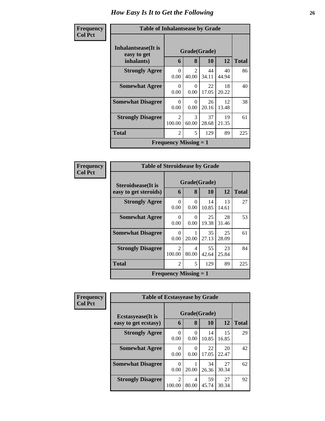| Frequency      | <b>Table of Inhalantsease by Grade</b>     |                              |                         |             |             |              |  |
|----------------|--------------------------------------------|------------------------------|-------------------------|-------------|-------------|--------------|--|
| <b>Col Pct</b> | <b>Inhalantsease</b> (It is<br>easy to get |                              | Grade(Grade)            |             |             |              |  |
|                | inhalants)                                 | 6                            | 8                       | 10          | 12          | <b>Total</b> |  |
|                | <b>Strongly Agree</b>                      | $\Omega$<br>0.00             | $\mathfrak{D}$<br>40.00 | 44<br>34.11 | 40<br>44.94 | 86           |  |
|                | <b>Somewhat Agree</b>                      | $\Omega$<br>0.00             | 0<br>0.00               | 22<br>17.05 | 18<br>20.22 | 40           |  |
|                | <b>Somewhat Disagree</b>                   | 0<br>0.00                    | $\Omega$<br>0.00        | 26<br>20.16 | 12<br>13.48 | 38           |  |
|                | <b>Strongly Disagree</b>                   | 2<br>100.00                  | 3<br>60.00              | 37<br>28.68 | 19<br>21.35 | 61           |  |
|                | <b>Total</b>                               | $\overline{c}$               | 5                       | 129         | 89          | 225          |  |
|                |                                            | <b>Frequency Missing = 1</b> |                         |             |             |              |  |

| Frequency      | <b>Table of Steroidsease by Grade</b> |                              |              |             |             |              |
|----------------|---------------------------------------|------------------------------|--------------|-------------|-------------|--------------|
| <b>Col Pct</b> | <b>Steroidsease</b> (It is            |                              | Grade(Grade) |             |             |              |
|                | easy to get steroids)                 | 6                            | 8            | 10          | 12          | <b>Total</b> |
|                | <b>Strongly Agree</b>                 | 0<br>0.00                    | 0<br>0.00    | 14<br>10.85 | 13<br>14.61 | 27           |
|                | <b>Somewhat Agree</b>                 | $\Omega$<br>0.00             | 0<br>0.00    | 25<br>19.38 | 28<br>31.46 | 53           |
|                | <b>Somewhat Disagree</b>              | $\Omega$<br>0.00             | 20.00        | 35<br>27.13 | 25<br>28.09 | 61           |
|                | <b>Strongly Disagree</b>              | $\mathfrak{D}$<br>100.00     | 4<br>80.00   | 55<br>42.64 | 23<br>25.84 | 84           |
|                | <b>Total</b>                          | $\mathfrak{D}$               | 5            | 129         | 89          | 225          |
|                |                                       | <b>Frequency Missing = 1</b> |              |             |             |              |

| Frequency      | <b>Table of Ecstasyease by Grade</b>              |                          |                   |             |             |              |  |  |  |  |  |
|----------------|---------------------------------------------------|--------------------------|-------------------|-------------|-------------|--------------|--|--|--|--|--|
| <b>Col Pct</b> | <b>Ecstasyease</b> (It is<br>easy to get ecstasy) | 6                        | Grade(Grade)<br>8 | <b>10</b>   | 12          | <b>Total</b> |  |  |  |  |  |
|                | <b>Strongly Agree</b>                             | 0<br>0.00                | 0<br>0.00         | 14<br>10.85 | 15<br>16.85 | 29           |  |  |  |  |  |
|                | <b>Somewhat Agree</b>                             | $\Omega$<br>0.00         | $\theta$<br>0.00  | 22<br>17.05 | 20<br>22.47 | 42           |  |  |  |  |  |
|                | <b>Somewhat Disagree</b>                          | 0<br>0.00                | 20.00             | 34<br>26.36 | 27<br>30.34 | 62           |  |  |  |  |  |
|                | <b>Strongly Disagree</b>                          | $\overline{2}$<br>100.00 | 4<br>80.00        | 59<br>45.74 | 27<br>30.34 | 92           |  |  |  |  |  |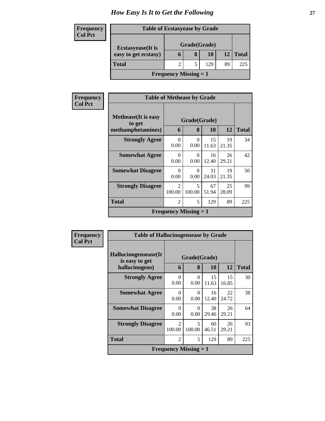| Frequency      |                           | <b>Table of Ecstasyease by Grade</b> |   |     |    |              |  |  |  |  |  |  |  |
|----------------|---------------------------|--------------------------------------|---|-----|----|--------------|--|--|--|--|--|--|--|
| <b>Col Pct</b> | <b>Ecstasyease</b> (It is | Grade(Grade)                         |   |     |    |              |  |  |  |  |  |  |  |
|                | easy to get ecstasy)      | O                                    | 8 | 10  | 12 | <b>Total</b> |  |  |  |  |  |  |  |
|                | <b>Total</b>              |                                      |   | 129 | 89 | 225          |  |  |  |  |  |  |  |
|                |                           | <b>Frequency Missing = 1</b>         |   |     |    |              |  |  |  |  |  |  |  |

| Frequency      | <b>Table of Methease by Grade</b>     |                          |                              |             |             |              |  |  |  |
|----------------|---------------------------------------|--------------------------|------------------------------|-------------|-------------|--------------|--|--|--|
| <b>Col Pct</b> | <b>Methease</b> (It is easy<br>to get |                          | Grade(Grade)                 |             |             |              |  |  |  |
|                | methamphetamines)                     | 6                        | 8                            | 10          | 12          | <b>Total</b> |  |  |  |
|                | <b>Strongly Agree</b>                 | $\Omega$<br>0.00         | $\Omega$<br>0.00             | 15<br>11.63 | 19<br>21.35 | 34           |  |  |  |
|                | <b>Somewhat Agree</b>                 | $\Omega$<br>0.00         | 0<br>0.00                    | 16<br>12.40 | 26<br>29.21 | 42           |  |  |  |
|                | <b>Somewhat Disagree</b>              | $\Omega$<br>0.00         | 0<br>0.00                    | 31<br>24.03 | 19<br>21.35 | 50           |  |  |  |
|                | <b>Strongly Disagree</b>              | $\mathfrak{D}$<br>100.00 | 5<br>100.00                  | 67<br>51.94 | 25<br>28.09 | 99           |  |  |  |
|                | <b>Total</b>                          | $\overline{2}$           | 5                            | 129         | 89          | 225          |  |  |  |
|                |                                       |                          | <b>Frequency Missing = 1</b> |             |             |              |  |  |  |

| Frequency      | <b>Table of Hallucinogensease by Grade</b> |                                       |                              |             |             |              |  |  |  |  |  |  |
|----------------|--------------------------------------------|---------------------------------------|------------------------------|-------------|-------------|--------------|--|--|--|--|--|--|
| <b>Col Pct</b> | Hallucinogensease(It)<br>is easy to get    | Grade(Grade)                          |                              |             |             |              |  |  |  |  |  |  |
|                | hallucinogens)                             | 6                                     | 8                            | 10          | 12          | <b>Total</b> |  |  |  |  |  |  |
|                | <b>Strongly Agree</b>                      | $\Omega$<br>0.00                      | $\Omega$<br>0.00             | 15<br>11.63 | 15<br>16.85 | 30           |  |  |  |  |  |  |
|                | <b>Somewhat Agree</b>                      | $\Omega$<br>0.00                      | 0<br>0.00                    | 16<br>12.40 | 22<br>24.72 | 38           |  |  |  |  |  |  |
|                | <b>Somewhat Disagree</b>                   | $\Omega$<br>0.00                      | $\Omega$<br>0.00             | 38<br>29.46 | 26<br>29.21 | 64           |  |  |  |  |  |  |
|                | <b>Strongly Disagree</b>                   | $\mathcal{D}_{\mathcal{L}}$<br>100.00 | 5<br>100.00                  | 60<br>46.51 | 26<br>29.21 | 93           |  |  |  |  |  |  |
|                | <b>Total</b>                               | 2                                     | 5                            | 129         | 89          | 225          |  |  |  |  |  |  |
|                |                                            |                                       | <b>Frequency Missing = 1</b> |             |             |              |  |  |  |  |  |  |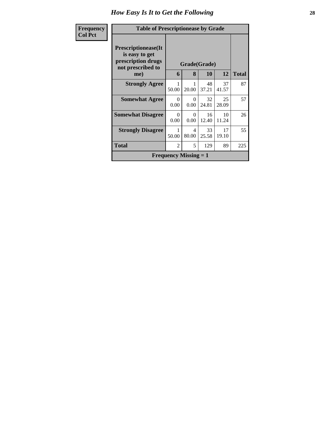| <b>Frequency</b> | <b>Table of Prescriptionease by Grade</b>                                                       |                  |                              |              |             |     |
|------------------|-------------------------------------------------------------------------------------------------|------------------|------------------------------|--------------|-------------|-----|
| <b>Col Pct</b>   | <b>Prescriptionease</b> (It<br>is easy to get<br>prescription drugs<br>not prescribed to<br>me) | 6                | Grade(Grade)<br>12           | <b>Total</b> |             |     |
|                  | <b>Strongly Agree</b>                                                                           | 50.00            | 20.00                        | 48<br>37.21  | 37<br>41.57 | 87  |
|                  | <b>Somewhat Agree</b>                                                                           | $\Omega$<br>0.00 | 0<br>0.00                    | 32<br>24.81  | 25<br>28.09 | 57  |
|                  | <b>Somewhat Disagree</b>                                                                        | $\Omega$<br>0.00 | 0<br>0.00                    | 16<br>12.40  | 10<br>11.24 | 26  |
|                  | <b>Strongly Disagree</b>                                                                        | 50.00            | 4<br>80.00                   | 33<br>25.58  | 17<br>19.10 | 55  |
|                  | Total                                                                                           | $\overline{2}$   | 5                            | 129          | 89          | 225 |
|                  |                                                                                                 |                  | <b>Frequency Missing = 1</b> |              |             |     |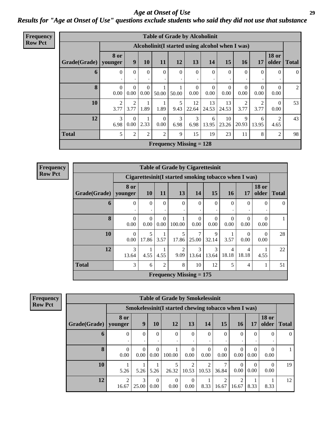#### *Age at Onset of Use* **29** *Results for "Age at Onset of Use" questions exclude students who said they did not use that substance*

| <b>Frequency</b><br>Row Pct |
|-----------------------------|

|              | <b>Table of Grade by Alcoholinit</b> |                      |                  |                                                  |           |                  |                  |                  |                        |                        |                        |              |  |  |
|--------------|--------------------------------------|----------------------|------------------|--------------------------------------------------|-----------|------------------|------------------|------------------|------------------------|------------------------|------------------------|--------------|--|--|
|              |                                      |                      |                  | Alcoholinit (I started using alcohol when I was) |           |                  |                  |                  |                        |                        |                        |              |  |  |
| Grade(Grade) | 8 or<br>younger                      | 9                    | 10               | 11                                               | 12        | 13               | 14               | 15               | <b>16</b>              | 17                     | <b>18 or</b><br>older  | <b>Total</b> |  |  |
| $\mathbf b$  | $\Omega$                             | $\theta$             | $\Omega$<br>٠    | $\Omega$                                         | $\Omega$  | $\Omega$<br>٠    | $\Omega$         | $\Omega$         | $\Omega$               | $\Omega$               | $\mathbf{0}$<br>٠      | $\Omega$     |  |  |
| 8            | $\Omega$<br>0.00                     | $\Omega$<br>$0.00\,$ | $\Omega$<br>0.00 | 50.00                                            | 50.00     | $\Omega$<br>0.00 | $\theta$<br>0.00 | $\theta$<br>0.00 | $\theta$<br>0.00       | $\Omega$<br>0.00       | $\theta$<br>0.00       | 2            |  |  |
| 10           | 2<br>3.77                            | 2<br>3.77            | 1.89             | 1.89                                             | 5<br>9.43 | 12<br>22.64      | 13<br>24.53      | 13<br>24.53      | $\overline{2}$<br>3.77 | $\overline{2}$<br>3.77 | $\overline{0}$<br>0.00 | 53           |  |  |
| 12           | 3<br>6.98                            | $\Omega$<br>$0.00\,$ | 1<br>2.33        | $\theta$<br>0.00                                 | 3<br>6.98 | 3<br>6.98        | 6<br>13.95       | 10<br>23.26      | 9<br>20.93             | 6<br>13.95             | $\overline{2}$<br>4.65 | 43           |  |  |
| <b>Total</b> | 5                                    | $\mathbf{2}$         | 2                | $\overline{2}$                                   | 9         | 15               | 19               | 23               | 11                     | 8                      | 2                      | 98           |  |  |
|              |                                      |                      |                  | <b>Frequency Missing = 128</b>                   |           |                  |                  |                  |                        |                        |                        |              |  |  |

**Frequency Row Pct**

|              | <b>Table of Grade by Cigarettesinit</b> |                  |                       |                                                      |                  |                     |                  |                  |                       |              |  |  |  |  |
|--------------|-----------------------------------------|------------------|-----------------------|------------------------------------------------------|------------------|---------------------|------------------|------------------|-----------------------|--------------|--|--|--|--|
|              |                                         |                  |                       | Cigarettesinit(I started smoking tobacco when I was) |                  |                     |                  |                  |                       |              |  |  |  |  |
| Grade(Grade) | 8 or<br>younger                         | 10               | 11                    | 13                                                   | 14               | 15                  | <b>16</b>        | 17               | <b>18 or</b><br>older | <b>Total</b> |  |  |  |  |
| 6            | $\Omega$                                | $\Omega$<br>٠    | $\theta$<br>$\bullet$ | $\Omega$<br>٠                                        | $\Omega$         | $\overline{0}$<br>٠ | $\Omega$         | $\Omega$         | 0<br>٠                | $\Omega$     |  |  |  |  |
| 8            | $\Omega$<br>0.00                        | $\Omega$<br>0.00 | $\Omega$<br>0.00      | 100.00                                               | $\Omega$<br>0.00 | $\Omega$<br>0.00    | $\Omega$<br>0.00 | $\Omega$<br>0.00 | 0<br>0.00             |              |  |  |  |  |
| 10           | $\Omega$<br>0.00                        | 5<br>17.86       | 3.57                  | 5<br>17.86                                           | $\tau$<br>25.00  | 9<br>32.14          | 3.57             | 0<br>0.00        | 0<br>0.00             | 28           |  |  |  |  |
| 12           | 3<br>13.64                              | 4.55             | 4.55                  | $\overline{2}$<br>9.09                               | 3<br>13.64       | 3<br>13.64          | 4<br>18.18       | 4<br>18.18       | 4.55                  | 22           |  |  |  |  |
| <b>Total</b> | 3                                       | 6                | $\overline{2}$        | 8                                                    | 10               | 12                  | 5                | 4                |                       | 51           |  |  |  |  |
|              |                                         |                  |                       | <b>Frequency Missing = 175</b>                       |                  |                     |                  |                  |                       |              |  |  |  |  |

| <b>Table of Grade by Smokelessinit</b> |                         |                  |                   |                                                     |                  |                  |                         |                  |                  |                       |              |  |  |
|----------------------------------------|-------------------------|------------------|-------------------|-----------------------------------------------------|------------------|------------------|-------------------------|------------------|------------------|-----------------------|--------------|--|--|
|                                        |                         |                  |                   | Smokelessinit(I started chewing tobacco when I was) |                  |                  |                         |                  |                  |                       |              |  |  |
| Grade(Grade)                           | 8 or<br>vounger         | 9                | 10                | 12                                                  | 13               | 14               | 15                      | 16               | 17               | <b>18 or</b><br>older | <b>Total</b> |  |  |
| 6                                      | $\theta$                | $\Omega$         | $\mathbf{0}$<br>٠ | $\Omega$                                            | $\Omega$         | $\Omega$         | $\mathbf{0}$<br>٠       | $\Omega$         | $\Omega$         | $\Omega$              | $\theta$     |  |  |
| 8                                      | $\theta$<br>0.00        | $\Omega$<br>0.00 | $\Omega$<br>0.00  | 100.00                                              | $\theta$<br>0.00 | $\theta$<br>0.00 | $\Omega$<br>0.00        | $\Omega$<br>0.00 | $\Omega$<br>0.00 | 0<br>0.00             |              |  |  |
| 10                                     | 5.26                    | 5.26             | 5.26              | 5<br>26.32                                          | 2<br>10.53       | 2<br>10.53       | 7<br>36.84              | $\Omega$<br>0.00 | $\Omega$<br>0.00 | $\Omega$<br>0.00      | 19           |  |  |
| 12                                     | $\overline{2}$<br>16.67 | 3<br>25.00       | $\Omega$<br>0.00  | $\Omega$<br>0.00                                    | $\Omega$<br>0.00 | 8.33             | $\mathfrak{D}$<br>16.67 | っ<br>16.67       | 8.33             | 8.33                  | 12           |  |  |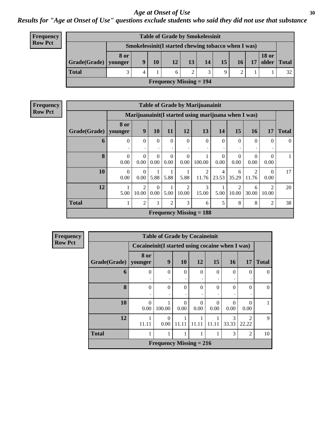#### *Results for "Age at Onset of Use" questions exclude students who said they did not use that substance*

| <b>Frequency</b> |
|------------------|
| <b>Row Pct</b>   |

| <b>Table of Grade by Smokelessinit</b> |      |   |    |                                                     |    |    |    |                 |    |              |               |
|----------------------------------------|------|---|----|-----------------------------------------------------|----|----|----|-----------------|----|--------------|---------------|
|                                        |      |   |    | Smokelessinit(I started chewing tobacco when I was) |    |    |    |                 |    |              |               |
| $Grade(Grade)$ younger                 | 8 or | 9 | 10 | 12                                                  | 13 | 14 | 15 | 16 <sup>1</sup> | 17 | <b>18 or</b> | older   Total |
| <b>Total</b>                           | 2    | 4 |    |                                                     | 2  | 2  | Q  |                 |    |              | 32            |
| Frequency Missing $= 194$              |      |   |    |                                                     |    |    |    |                 |    |              |               |

|                        | <b>Table of Grade by Marijuanainit</b> |                                                      |          |                |                |                                |                |                |                |                |              |  |
|------------------------|----------------------------------------|------------------------------------------------------|----------|----------------|----------------|--------------------------------|----------------|----------------|----------------|----------------|--------------|--|
|                        |                                        | Marijuanainit (I started using marijuana when I was) |          |                |                |                                |                |                |                |                |              |  |
|                        | 8 or                                   | 9                                                    |          |                |                |                                |                |                |                |                |              |  |
| Grade(Grade)   younger |                                        |                                                      | 10       | 11             | 12             | 13                             | 14             | 15             | <b>16</b>      | 17             | <b>Total</b> |  |
| 6                      | $\Omega$                               | $\Omega$                                             | $\Omega$ | $\Omega$       | $\Omega$       | $\Omega$                       | $\Omega$       | $\Omega$       | $\Omega$       | $\Omega$       | $\Omega$     |  |
|                        |                                        |                                                      |          |                | ٠              |                                |                |                |                |                |              |  |
| 8                      | $\overline{0}$                         | $\Omega$                                             | $\Omega$ | $\Omega$       | $\overline{0}$ |                                | $\Omega$       | $\Omega$       | $\Omega$       | $\Omega$       | $\mathbf{1}$ |  |
|                        | 0.00                                   | 0.00                                                 | 0.00     | 0.00           | 0.00           | 100.00                         | 0.00           | 0.00           | 0.00           | 0.00           |              |  |
| 10                     | $\Omega$                               | $\Omega$                                             | 1        |                |                | $\overline{2}$                 | $\overline{4}$ | 6              | $\overline{2}$ | $\Omega$       | 17           |  |
|                        | 0.00                                   | 0.00                                                 | 5.88     | 5.88           | 5.88           | 11.76                          | 23.53          | 35.29          | 11.76          | 0.00           |              |  |
| 12                     |                                        | $\mathfrak{D}$                                       | $\Omega$ |                | 2              | 3                              |                | $\mathfrak{D}$ | 6              | $\mathcal{D}$  | 20           |  |
|                        | 5.00                                   | 10.00                                                | 0.00     | 5.00           | 10.00          | 15.00                          | 5.00           | 10.00          | 30.00          | 10.00          |              |  |
| <b>Total</b>           | 1                                      | $\overline{2}$                                       | 1        | $\overline{2}$ | 3              | 6                              | 5              | 8              | 8              | $\overline{c}$ | 38           |  |
|                        |                                        |                                                      |          |                |                | <b>Frequency Missing = 188</b> |                |                |                |                |              |  |

| <b>Frequency</b> |
|------------------|
| <b>Row Pct</b>   |

|              | <b>Table of Grade by Cocaineinit</b> |                                                 |                      |           |           |            |                      |              |  |  |  |
|--------------|--------------------------------------|-------------------------------------------------|----------------------|-----------|-----------|------------|----------------------|--------------|--|--|--|
|              |                                      | Cocaineinit(I started using cocaine when I was) |                      |           |           |            |                      |              |  |  |  |
| Grade(Grade) | 8 or<br><b>younger</b>               | 9                                               | <b>10</b>            | 12        | 15        | <b>16</b>  | 17                   | <b>Total</b> |  |  |  |
| 6            | 0                                    | $\Omega$                                        | $\Omega$             | $\theta$  | $\Omega$  | 0          | 0                    | $\Omega$     |  |  |  |
| 8            | $\Omega$                             | $\Omega$                                        | $\Omega$             | 0         | $\Omega$  | $\Omega$   | $\Omega$             | $\Omega$     |  |  |  |
| 10           | 0<br>0.00                            | 100.00                                          | $\mathbf{0}$<br>0.00 | 0<br>0.00 | 0<br>0.00 | 0.00       | $\mathbf{0}$<br>0.00 |              |  |  |  |
| 12           | 11.11                                | 0<br>0.00                                       | 11.11                | 11.11     | 11.11     | 3<br>33.33 | 22.22                | $\mathbf Q$  |  |  |  |
| <b>Total</b> |                                      |                                                 |                      | 1         |           | 3          | $\overline{2}$       | 10           |  |  |  |
|              |                                      | <b>Frequency Missing = 216</b>                  |                      |           |           |            |                      |              |  |  |  |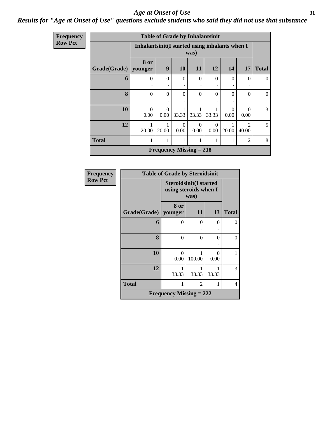### *Results for "Age at Onset of Use" questions exclude students who said they did not use that substance*

|                  | <b>Table of Grade by Inhalantsinit</b> |                                                |                                |           |          |          |          |                |              |  |  |
|------------------|----------------------------------------|------------------------------------------------|--------------------------------|-----------|----------|----------|----------|----------------|--------------|--|--|
| <b>Frequency</b> |                                        |                                                |                                |           |          |          |          |                |              |  |  |
| <b>Row Pct</b>   |                                        | Inhalantsinit(I started using inhalants when I |                                |           |          |          |          |                |              |  |  |
|                  |                                        |                                                |                                |           | was)     |          |          |                |              |  |  |
|                  |                                        | 8 or                                           |                                |           |          |          |          |                |              |  |  |
|                  | Grade(Grade)   younger                 |                                                | 9                              | <b>10</b> | 11       | 12       | 14       | <b>17</b>      | <b>Total</b> |  |  |
|                  | 6                                      | 0                                              | $\theta$                       | $\Omega$  | $\theta$ | $\Omega$ | $\theta$ | $\Omega$       | $\Omega$     |  |  |
|                  |                                        |                                                |                                |           | ٠        | ٠        |          |                |              |  |  |
|                  | 8                                      | $\Omega$                                       | $\Omega$                       | $\Omega$  | $\theta$ | $\Omega$ | $\Omega$ | $\Omega$       | $\Omega$     |  |  |
|                  |                                        |                                                |                                |           |          |          |          |                |              |  |  |
|                  | 10                                     | $\Omega$                                       | $\Omega$                       |           | 1        |          | $\Omega$ | $\Omega$       | 3            |  |  |
|                  |                                        | 0.00                                           | 0.00                           | 33.33     | 33.33    | 33.33    | 0.00     | 0.00           |              |  |  |
|                  | 12                                     |                                                |                                | $\Omega$  | $\Omega$ | $\Omega$ |          | $\mathcal{D}$  | 5            |  |  |
|                  |                                        | 20.00                                          | 20.00                          | 0.00      | 0.00     | 0.00     | 20.00    | 40.00          |              |  |  |
|                  | <b>Total</b>                           | 1                                              |                                | 1         | 1        |          | 1        | $\overline{2}$ | 8            |  |  |
|                  |                                        |                                                | <b>Frequency Missing = 218</b> |           |          |          |          |                |              |  |  |

| Frequency      | <b>Table of Grade by Steroidsinit</b> |                                                        |          |           |              |  |  |  |  |  |  |
|----------------|---------------------------------------|--------------------------------------------------------|----------|-----------|--------------|--|--|--|--|--|--|
| <b>Row Pct</b> |                                       | <b>Steroidsinit(I started</b><br>using steroids when I | was)     |           |              |  |  |  |  |  |  |
|                | Grade(Grade)                          | 8 or<br>younger                                        | 11       | 13        | <b>Total</b> |  |  |  |  |  |  |
|                | 6                                     | $\Omega$                                               | $\theta$ | $\theta$  | 0            |  |  |  |  |  |  |
|                | 8                                     | $\Omega$                                               | $\theta$ | $\theta$  | 0            |  |  |  |  |  |  |
|                | 10                                    | $\theta$<br>0.00                                       | 100.00   | 0<br>0.00 |              |  |  |  |  |  |  |
|                | 12                                    | 1<br>33.33                                             | 33.33    | 33.33     | 3            |  |  |  |  |  |  |
|                | <b>Total</b>                          | 1                                                      | 2        | 1         | 4            |  |  |  |  |  |  |
|                |                                       | <b>Frequency Missing = 222</b>                         |          |           |              |  |  |  |  |  |  |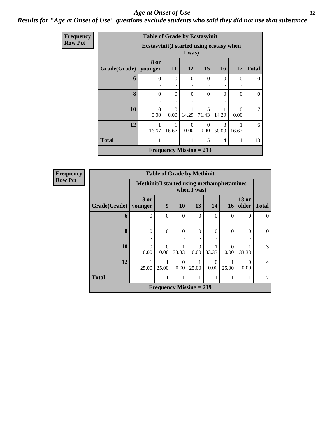### *Results for "Age at Onset of Use" questions exclude students who said they did not use that substance*

| Frequency      |                        | <b>Table of Grade by Ecstasyinit</b>      |                                |                  |                  |            |                  |                |
|----------------|------------------------|-------------------------------------------|--------------------------------|------------------|------------------|------------|------------------|----------------|
| <b>Row Pct</b> |                        | Ecstasyinit (I started using ecstasy when |                                | I was)           |                  |            |                  |                |
|                | Grade(Grade)   younger | 8 or                                      | 11                             | 12               | 15               | <b>16</b>  | 17               | <b>Total</b>   |
|                | 6                      | $\Omega$<br>٠                             | $\Omega$<br>$\bullet$          | $\theta$<br>٠    | $\Omega$         | $\theta$   | $\Omega$         | $\overline{0}$ |
|                | 8                      | $\Omega$                                  | $\theta$                       | $\theta$         | $\Omega$         | 0          | $\Omega$         | $\overline{0}$ |
|                | 10                     | $\Omega$<br>0.00                          | $\Omega$<br>0.00               | 14.29            | 5<br>71.43       | 14.29      | $\Omega$<br>0.00 | 7              |
|                | 12                     | 16.67                                     | 1<br>16.67                     | $\Omega$<br>0.00 | $\Omega$<br>0.00 | 3<br>50.00 | 16.67            | 6              |
|                | <b>Total</b>           |                                           | 1                              | 1                | 5                | 4          |                  | 13             |
|                |                        |                                           | <b>Frequency Missing = 213</b> |                  |                  |            |                  |                |

| <b>Table of Grade by Methinit</b> |               |                                                                                  |                                |                  |          |                  |          |          |  |  |  |  |
|-----------------------------------|---------------|----------------------------------------------------------------------------------|--------------------------------|------------------|----------|------------------|----------|----------|--|--|--|--|
|                                   |               | Methinit (I started using methamphetamines<br>when I was)                        |                                |                  |          |                  |          |          |  |  |  |  |
| Grade(Grade)   younger            | <b>8 or</b>   | <b>18 or</b><br>9<br>10<br>13<br>older<br><b>14</b><br><b>16</b><br><b>Total</b> |                                |                  |          |                  |          |          |  |  |  |  |
| 6                                 | 0             | $\theta$                                                                         | 0                              | $\Omega$         | $\Omega$ | $\Omega$         | $\Omega$ | $\Omega$ |  |  |  |  |
| 8                                 | $\theta$<br>٠ | $\theta$                                                                         | 0                              | $\Omega$         | $\theta$ | $\Omega$         | $\Omega$ | $\Omega$ |  |  |  |  |
| 10                                | 0<br>0.00     | $\Omega$<br>0.00                                                                 | 33.33                          | $\Omega$<br>0.00 | 33.33    | $\Omega$<br>0.00 | 33.33    | 3        |  |  |  |  |
| 12                                | 25.00         | 0<br>0<br>$\Omega$<br>0.00<br>0.00<br>0.00<br>25.00<br>25.00<br>25.00            |                                |                  |          |                  |          |          |  |  |  |  |
| <b>Total</b>                      |               | 1                                                                                |                                |                  |          |                  |          | 7        |  |  |  |  |
|                                   |               |                                                                                  | <b>Frequency Missing = 219</b> |                  |          |                  |          |          |  |  |  |  |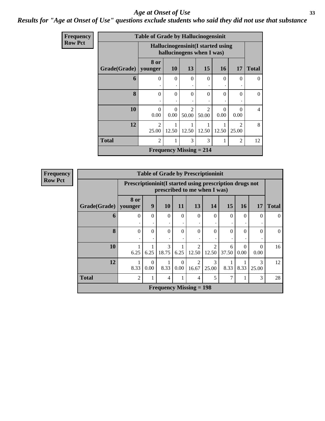#### *Results for "Age at Onset of Use" questions exclude students who said they did not use that substance*

| Frequency      |                        | <b>Table of Grade by Hallucinogensinit</b> |                       |                                                                |                         |                  |                         |                |
|----------------|------------------------|--------------------------------------------|-----------------------|----------------------------------------------------------------|-------------------------|------------------|-------------------------|----------------|
| <b>Row Pct</b> |                        |                                            |                       | Hallucinogensinit(I started using<br>hallucinogens when I was) |                         |                  |                         |                |
|                | Grade(Grade)   younger | 8 or                                       | <b>10</b>             | 13                                                             | 15                      | <b>16</b>        | 17                      | <b>Total</b>   |
|                | 6                      | $\theta$<br>٠                              | $\theta$<br>$\bullet$ | $\Omega$                                                       | $\theta$                | $\Omega$         | $\Omega$                | $\theta$       |
|                | 8                      | $\Omega$                                   | $\Omega$              | $\Omega$                                                       | $\Omega$                | $\Omega$         | $\Omega$                | $\Omega$       |
|                | 10                     | $\Omega$<br>0.00                           | $\Omega$<br>0.00      | $\mathfrak{D}$<br>50.00                                        | $\overline{2}$<br>50.00 | $\Omega$<br>0.00 | $\Omega$<br>0.00        | $\overline{4}$ |
|                | 12                     | 2<br>25.00                                 | 12.50                 | 1<br>12.50                                                     | 12.50                   | 12.50            | $\mathfrak{D}$<br>25.00 | 8              |
|                | <b>Total</b>           | 2                                          | 1                     | 3                                                              | 3                       |                  | 2                       | 12             |
|                |                        |                                            |                       | <b>Frequency Missing = 214</b>                                 |                         |                  |                         |                |

| <b>Table of Grade by Prescriptioninit</b> |                 |                                                                                                                     |                                |               |                        |                                      |            |                  |                          |          |  |  |
|-------------------------------------------|-----------------|---------------------------------------------------------------------------------------------------------------------|--------------------------------|---------------|------------------------|--------------------------------------|------------|------------------|--------------------------|----------|--|--|
|                                           |                 | Prescriptioninit(I started using prescription drugs not<br>prescribed to me when I was)                             |                                |               |                        |                                      |            |                  |                          |          |  |  |
| Grade(Grade)                              | 8 or<br>younger | 9<br>13<br>15<br><b>10</b><br>14<br><b>16</b><br>17<br><b>Total</b><br>11                                           |                                |               |                        |                                      |            |                  |                          |          |  |  |
| 6                                         | 0               | $\Omega$                                                                                                            | $\Omega$                       | $\Omega$<br>٠ | $\Omega$               | $\Omega$                             | $\Omega$   | $\Omega$         | $\Omega$                 | 0        |  |  |
| 8                                         | $\Omega$        | $\Omega$                                                                                                            | $\theta$                       | $\theta$<br>٠ | $\theta$               | $\Omega$                             | $\theta$   | $\Omega$         | 0                        | $\Omega$ |  |  |
| 10                                        | 6.25            | 6.25                                                                                                                | 3<br>18.75                     | 6.25          | $\mathcal{D}$<br>12.50 | $\mathcal{D}_{\mathcal{A}}$<br>12.50 | 6<br>37.50 | $\Omega$<br>0.00 | $\left( \right)$<br>0.00 | 16       |  |  |
| 12                                        | 1<br>8.33       | 3<br>3<br>$\overline{2}$<br>$\Omega$<br>$\Omega$<br>8.33<br>0.00<br>8.33<br>8.33<br>0.00<br>16.67<br>25.00<br>25.00 |                                |               |                        |                                      |            |                  |                          |          |  |  |
| <b>Total</b>                              | $\overline{2}$  |                                                                                                                     | 4                              |               | 4                      | 5                                    | 7          |                  | 3                        | 28       |  |  |
|                                           |                 |                                                                                                                     | <b>Frequency Missing = 198</b> |               |                        |                                      |            |                  |                          |          |  |  |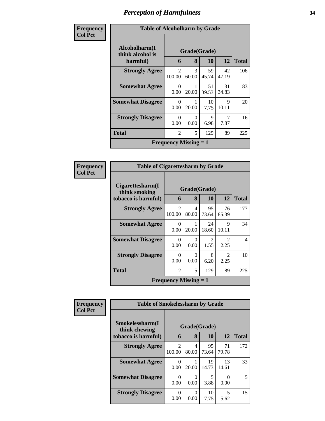# *Perception of Harmfulness* **34**

| Frequency      | <b>Table of Alcoholharm by Grade</b> |                              |                        |             |             |              |  |  |  |  |
|----------------|--------------------------------------|------------------------------|------------------------|-------------|-------------|--------------|--|--|--|--|
| <b>Col Pct</b> | Alcoholharm(I<br>think alcohol is    |                              | Grade(Grade)           |             |             |              |  |  |  |  |
|                | harmful)                             | 6                            | 8                      | 10          | 12          | <b>Total</b> |  |  |  |  |
|                | <b>Strongly Agree</b>                | 2<br>100.00                  | $\mathcal{F}$<br>60.00 | 59<br>45.74 | 42<br>47.19 | 106          |  |  |  |  |
|                | <b>Somewhat Agree</b>                | 0<br>0.00                    | 20.00                  | 51<br>39.53 | 31<br>34.83 | 83           |  |  |  |  |
|                | <b>Somewhat Disagree</b>             | $\Omega$<br>0.00             | 20.00                  | 10<br>7.75  | 9<br>10.11  | 20           |  |  |  |  |
|                | <b>Strongly Disagree</b>             | $\Omega$<br>0.00             | $\Omega$<br>0.00       | 9<br>6.98   | 7<br>7.87   | 16           |  |  |  |  |
|                | <b>Total</b>                         | 2                            | 5                      | 129         | 89          | 225          |  |  |  |  |
|                |                                      | <b>Frequency Missing = 1</b> |                        |             |             |              |  |  |  |  |

| <b>Frequency</b> | <b>Table of Cigarettesharm by Grade</b> |                              |              |             |                                     |              |  |  |  |  |
|------------------|-----------------------------------------|------------------------------|--------------|-------------|-------------------------------------|--------------|--|--|--|--|
| <b>Col Pct</b>   | Cigare ttesharm(I)<br>think smoking     |                              | Grade(Grade) |             |                                     |              |  |  |  |  |
|                  | tobacco is harmful)                     | 6                            | 8            | <b>10</b>   | 12                                  | <b>Total</b> |  |  |  |  |
|                  | <b>Strongly Agree</b>                   | $\mathfrak{D}$<br>100.00     | 4<br>80.00   | 95<br>73.64 | 76<br>85.39                         | 177          |  |  |  |  |
|                  | <b>Somewhat Agree</b>                   | 0<br>0.00                    | 20.00        | 24<br>18.60 | 9<br>10.11                          | 34           |  |  |  |  |
|                  | <b>Somewhat Disagree</b>                | 0<br>0.00                    | 0<br>0.00    | 2<br>1.55   | $\mathcal{D}_{\mathcal{L}}$<br>2.25 | 4            |  |  |  |  |
|                  | <b>Strongly Disagree</b>                | $\Omega$<br>0.00             | 0<br>0.00    | 8<br>6.20   | $\mathcal{D}_{\mathcal{L}}$<br>2.25 | 10           |  |  |  |  |
|                  | Total                                   | $\mathfrak{D}$               | 5            | 129         | 89                                  | 225          |  |  |  |  |
|                  |                                         | <b>Frequency Missing = 1</b> |              |             |                                     |              |  |  |  |  |

| Frequency      | <b>Table of Smokelessharm by Grade</b> |                          |                  |             |             |              |
|----------------|----------------------------------------|--------------------------|------------------|-------------|-------------|--------------|
| <b>Col Pct</b> | Smokelessharm(I<br>think chewing       | Grade(Grade)             |                  |             |             |              |
|                | tobacco is harmful)                    | 6                        | 8                | <b>10</b>   | 12          | <b>Total</b> |
|                | <b>Strongly Agree</b>                  | $\mathfrak{D}$<br>100.00 | 4<br>80.00       | 95<br>73.64 | 71<br>79.78 | 172          |
|                | <b>Somewhat Agree</b>                  | 0<br>0.00                | 20.00            | 19<br>14.73 | 13<br>14.61 | 33           |
|                | <b>Somewhat Disagree</b>               | 0<br>0.00                | $\theta$<br>0.00 | 5<br>3.88   | 0<br>0.00   | 5            |
|                | <b>Strongly Disagree</b>               | $\theta$<br>0.00         | 0.00             | 10<br>7.75  | 5<br>5.62   | 15           |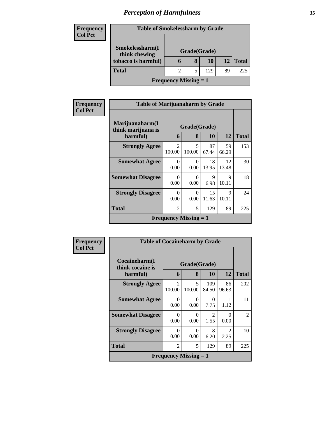# *Perception of Harmfulness* **35**

| <b>Frequency</b> | <b>Table of Smokelessharm by Grade</b>           |   |   |     |           |              |  |
|------------------|--------------------------------------------------|---|---|-----|-----------|--------------|--|
| <b>Col Pct</b>   |                                                  |   |   |     |           |              |  |
|                  | Smokelessharm(I<br>Grade(Grade)<br>think chewing |   |   |     |           |              |  |
|                  | tobacco is harmful)                              | O | 8 | 10  | <b>12</b> | <b>Total</b> |  |
|                  | <b>Total</b>                                     |   |   | 129 | 89        | 225          |  |
|                  | <b>Frequency Missing = 1</b>                     |   |   |     |           |              |  |

| Frequency      | <b>Table of Marijuanaharm by Grade</b> |                          |                                    |             |                      |              |
|----------------|----------------------------------------|--------------------------|------------------------------------|-------------|----------------------|--------------|
| <b>Col Pct</b> | Marijuanaharm(I<br>think marijuana is  | Grade(Grade)             |                                    |             |                      |              |
|                | harmful)                               | 6                        | 8                                  | 10          | 12                   | <b>Total</b> |
|                | <b>Strongly Agree</b>                  | $\mathfrak{D}$<br>100.00 | $\overline{\mathcal{L}}$<br>100.00 | 87<br>67.44 | 59<br>66.29          | 153          |
|                | <b>Somewhat Agree</b>                  | $\Omega$<br>0.00         | $\Omega$<br>0.00                   | 18<br>13.95 | 12<br>13.48          | 30           |
|                | <b>Somewhat Disagree</b>               | $\Omega$<br>0.00         | 0<br>0.00                          | 9<br>6.98   | $\mathbf Q$<br>10.11 | 18           |
|                | <b>Strongly Disagree</b>               | $\Omega$<br>0.00         | $\Omega$<br>0.00                   | 15<br>11.63 | 9<br>10.11           | 24           |
|                | <b>Total</b>                           | $\overline{2}$           | 5                                  | 129         | 89                   | 225          |
|                |                                        |                          | <b>Frequency Missing = 1</b>       |             |                      |              |

| Frequency      | <b>Table of Cocaineharm by Grade</b>              |                              |             |              |                                     |                             |
|----------------|---------------------------------------------------|------------------------------|-------------|--------------|-------------------------------------|-----------------------------|
| <b>Col Pct</b> | Cocaineharm(I<br>Grade(Grade)<br>think cocaine is |                              |             |              |                                     |                             |
|                | harmful)                                          | 6                            | 8           | <b>10</b>    | 12                                  | <b>Total</b>                |
|                | <b>Strongly Agree</b>                             | $\mathfrak{D}$<br>100.00     | 5<br>100.00 | 109<br>84.50 | 86<br>96.63                         | 202                         |
|                | <b>Somewhat Agree</b>                             | 0<br>0.00                    | 0<br>0.00   | 10<br>7.75   | 1.12                                | 11                          |
|                | <b>Somewhat Disagree</b>                          | 0<br>0.00                    | 0<br>0.00   | 2<br>1.55    | 0<br>0.00                           | $\mathcal{D}_{\mathcal{L}}$ |
|                | <b>Strongly Disagree</b>                          | $\Omega$<br>0.00             | 0<br>0.00   | 8<br>6.20    | $\mathcal{D}_{\mathcal{L}}$<br>2.25 | 10                          |
|                | Total                                             | $\overline{2}$               | 5           | 129          | 89                                  | 225                         |
|                |                                                   | <b>Frequency Missing = 1</b> |             |              |                                     |                             |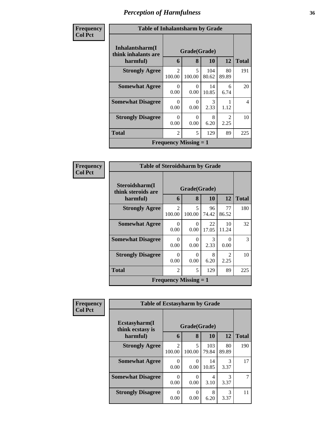# *Perception of Harmfulness* **36**

| <b>Frequency</b> | <b>Table of Inhalantsharm by Grade</b>              |                          |                   |              |                                     |                |
|------------------|-----------------------------------------------------|--------------------------|-------------------|--------------|-------------------------------------|----------------|
| <b>Col Pct</b>   | Inhalantsharm(I)<br>think inhalants are<br>harmful) | 6                        | Grade(Grade)<br>8 | <b>10</b>    | 12                                  | <b>Total</b>   |
|                  | <b>Strongly Agree</b>                               | $\mathfrak{D}$<br>100.00 | 5<br>100.00       | 104<br>80.62 | 80<br>89.89                         | 191            |
|                  | <b>Somewhat Agree</b>                               | $\Omega$<br>0.00         | 0<br>0.00         | 14<br>10.85  | 6<br>6.74                           | 20             |
|                  | <b>Somewhat Disagree</b>                            | $\Omega$<br>0.00         | 0<br>0.00         | 3<br>2.33    | 1.12                                | $\overline{4}$ |
|                  | <b>Strongly Disagree</b>                            | $\Omega$<br>0.00         | 0<br>0.00         | 8<br>6.20    | $\mathcal{D}_{\mathcal{L}}$<br>2.25 | 10             |
|                  | <b>Total</b>                                        | $\overline{2}$           | 5                 | 129          | 89                                  | 225            |
|                  | <b>Frequency Missing = 1</b>                        |                          |                   |              |                                     |                |

| <b>Frequency</b> | <b>Table of Steroidsharm by Grade</b> |                          |                                    |                       |                        |     |
|------------------|---------------------------------------|--------------------------|------------------------------------|-----------------------|------------------------|-----|
| <b>Col Pct</b>   | Steroidsharm(I<br>think steroids are  | Grade(Grade)             |                                    |                       |                        |     |
| harmful)         | 6                                     | 8                        | <b>10</b>                          | <b>12</b>             | <b>Total</b>           |     |
|                  | <b>Strongly Agree</b>                 | $\mathfrak{D}$<br>100.00 | $\overline{\phantom{0}}$<br>100.00 | 96<br>74.42           | 77<br>86.52            | 180 |
|                  | <b>Somewhat Agree</b>                 | 0<br>0.00                | $\Omega$<br>0.00                   | 22<br>17.05           | 10<br>11.24            | 32  |
|                  | <b>Somewhat Disagree</b>              | 0<br>0.00                | 0<br>0.00                          | $\mathcal{F}$<br>2.33 | $\Omega$<br>0.00       | 3   |
|                  | <b>Strongly Disagree</b>              | $\Omega$<br>0.00         | 0<br>0.00                          | 8<br>6.20             | $\mathfrak{D}$<br>2.25 | 10  |
|                  | <b>Total</b>                          | $\mathfrak{D}$           | 5                                  | 129                   | 89                     | 225 |
|                  | <b>Frequency Missing = 1</b>          |                          |                                    |                       |                        |     |

| Frequency      | <b>Table of Ecstasyharm by Grade</b>               |                          |             |              |             |              |
|----------------|----------------------------------------------------|--------------------------|-------------|--------------|-------------|--------------|
| <b>Col Pct</b> | Ecstasyharm(I)<br>Grade(Grade)<br>think ecstasy is |                          |             |              |             |              |
|                | harmful)                                           | 6                        | 8           | <b>10</b>    | 12          | <b>Total</b> |
|                | <b>Strongly Agree</b>                              | $\mathfrak{D}$<br>100.00 | 5<br>100.00 | 103<br>79.84 | 80<br>89.89 | 190          |
|                | <b>Somewhat Agree</b>                              | $\mathcal{O}$<br>0.00    | 0<br>0.00   | 14<br>10.85  | 3<br>3.37   | 17           |
|                | <b>Somewhat Disagree</b>                           | 0<br>0.00                | 0<br>0.00   | 4<br>3.10    | 3<br>3.37   | 7            |
|                | <b>Strongly Disagree</b>                           | ∩<br>0.00                | 0<br>0.00   | 8<br>6.20    | 3<br>3.37   | 11           |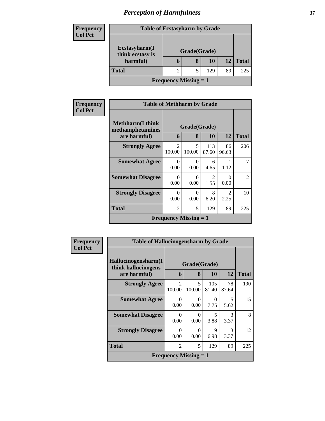# *Perception of Harmfulness* **37**

| <b>Frequency</b> | <b>Table of Ecstasyharm by Grade</b> |                              |   |     |    |              |
|------------------|--------------------------------------|------------------------------|---|-----|----|--------------|
| <b>Col Pct</b>   |                                      |                              |   |     |    |              |
|                  | Ecstasyharm(I<br>think ecstasy is    | Grade(Grade)                 |   |     |    |              |
|                  | harmful)                             | n                            | 8 | 10  | 12 | <b>Total</b> |
|                  | <b>Total</b>                         |                              |   | 129 | 89 | 225          |
|                  |                                      | <b>Frequency Missing = 1</b> |   |     |    |              |

| Frequency      | <b>Table of Methharm by Grade</b>            |                              |                  |              |                                     |                |  |
|----------------|----------------------------------------------|------------------------------|------------------|--------------|-------------------------------------|----------------|--|
| <b>Col Pct</b> | <b>Methharm</b> (I think<br>methamphetamines | Grade(Grade)                 |                  |              |                                     |                |  |
|                | are harmful)                                 | 6                            | 8                | 10           | 12                                  | <b>Total</b>   |  |
|                | <b>Strongly Agree</b>                        | $\mathfrak{D}$<br>100.00     | 5<br>100.00      | 113<br>87.60 | 86<br>96.63                         | 206            |  |
|                | <b>Somewhat Agree</b>                        | $\Omega$<br>0.00             | $\Omega$<br>0.00 | 6<br>4.65    | 1.12                                | 7              |  |
|                | <b>Somewhat Disagree</b>                     | $\Omega$<br>0.00             | $\Omega$<br>0.00 | 2<br>1.55    | 0<br>0.00                           | $\overline{2}$ |  |
|                | <b>Strongly Disagree</b>                     | $\Omega$<br>0.00             | 0<br>0.00        | 8<br>6.20    | $\mathcal{D}_{\mathcal{L}}$<br>2.25 | 10             |  |
|                | <b>Total</b>                                 | $\mathfrak{D}$               | 5                | 129          | 89                                  | 225            |  |
|                |                                              | <b>Frequency Missing = 1</b> |                  |              |                                     |                |  |

| Frequency      | <b>Table of Hallucinogensharm by Grade</b> |                          |                                           |              |                       |              |
|----------------|--------------------------------------------|--------------------------|-------------------------------------------|--------------|-----------------------|--------------|
| <b>Col Pct</b> | Hallucinogensharm(I<br>think hallucinogens | Grade(Grade)             |                                           |              |                       |              |
|                | are harmful)                               | 6                        | 8                                         | <b>10</b>    | 12                    | <b>Total</b> |
|                | <b>Strongly Agree</b>                      | $\mathfrak{D}$<br>100.00 | 5<br>100.00                               | 105<br>81.40 | 78<br>87.64           | 190          |
|                | <b>Somewhat Agree</b>                      | 0<br>0.00                | $\Omega$<br>0.00                          | 10<br>7.75   | 5<br>5.62             | 15           |
|                | <b>Somewhat Disagree</b>                   | 0<br>0.00                | $\Omega$<br>0.00                          | 5<br>3.88    | $\mathcal{R}$<br>3.37 | 8            |
|                | <b>Strongly Disagree</b>                   | $\Omega$<br>0.00         | $\Omega$<br>0.00                          | 9<br>6.98    | $\mathcal{R}$<br>3.37 | 12           |
|                | <b>Total</b>                               | $\overline{c}$           | 5                                         | 129          | 89                    | 225          |
|                |                                            |                          | <b>Frequency Missing <math>= 1</math></b> |              |                       |              |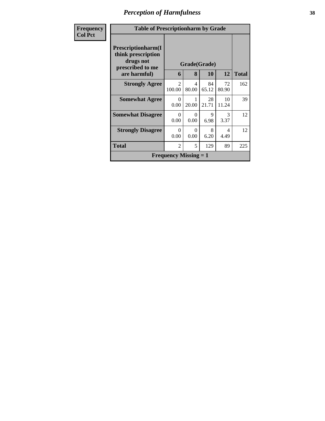# *Perception of Harmfulness* **38**

| Frequency      | <b>Table of Prescriptionharm by Grade</b>                                                         |                                       |                  |                           |                       |              |
|----------------|---------------------------------------------------------------------------------------------------|---------------------------------------|------------------|---------------------------|-----------------------|--------------|
| <b>Col Pct</b> | <b>Prescriptionharm(I)</b><br>think prescription<br>drugs not<br>prescribed to me<br>are harmful) | 6                                     | 8                | Grade(Grade)<br><b>10</b> | 12                    | <b>Total</b> |
|                | <b>Strongly Agree</b>                                                                             | $\mathcal{D}_{\mathcal{L}}$<br>100.00 | 4<br>80.00       | 84<br>65.12               | 72<br>80.90           | 162          |
|                | <b>Somewhat Agree</b>                                                                             | $\Omega$<br>0.00                      | 20.00            | 28<br>21.71               | 10<br>11.24           | 39           |
|                | <b>Somewhat Disagree</b>                                                                          | 0<br>0.00                             | $\theta$<br>0.00 | 9<br>6.98                 | $\mathcal{R}$<br>3.37 | 12           |
|                | <b>Strongly Disagree</b>                                                                          | $\Omega$<br>0.00                      | 0<br>0.00        | 8<br>6.20                 | 4<br>4.49             | 12           |
|                | <b>Total</b>                                                                                      | $\overline{2}$                        | 5                | 129                       | 89                    | 225          |
|                |                                                                                                   | <b>Frequency Missing = 1</b>          |                  |                           |                       |              |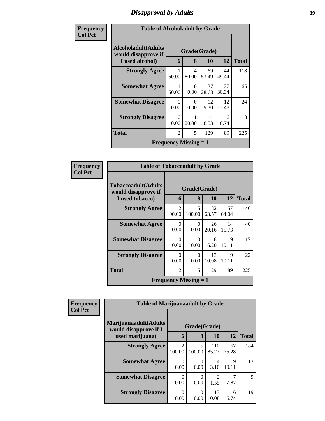## *Disapproval by Adults* **39**

| Frequency      | <b>Table of Alcoholadult by Grade</b>              |                  |                              |             |             |              |  |
|----------------|----------------------------------------------------|------------------|------------------------------|-------------|-------------|--------------|--|
| <b>Col Pct</b> | <b>Alcoholadult</b> (Adults<br>would disapprove if | Grade(Grade)     |                              |             |             |              |  |
|                | I used alcohol)                                    | 6                | 8                            | <b>10</b>   | 12          | <b>Total</b> |  |
|                | <b>Strongly Agree</b>                              | 50.00            | 4<br>80.00                   | 69<br>53.49 | 44<br>49.44 | 118          |  |
|                | <b>Somewhat Agree</b>                              | 50.00            | $\Omega$<br>0.00             | 37<br>28.68 | 27<br>30.34 | 65           |  |
|                | <b>Somewhat Disagree</b>                           | $\Omega$<br>0.00 | $\theta$<br>0.00             | 12<br>9.30  | 12<br>13.48 | 24           |  |
|                | <b>Strongly Disagree</b>                           | 0<br>0.00        | 20.00                        | 11<br>8.53  | 6<br>6.74   | 18           |  |
|                | <b>Total</b>                                       | $\overline{2}$   | 5                            | 129         | 89          | 225          |  |
|                |                                                    |                  | <b>Frequency Missing = 1</b> |             |             |              |  |

| <b>Frequency</b> | <b>Table of Tobaccoadult by Grade</b>      |                          |                              |             |             |              |
|------------------|--------------------------------------------|--------------------------|------------------------------|-------------|-------------|--------------|
| <b>Col Pct</b>   | Tobaccoadult(Adults<br>would disapprove if | Grade(Grade)             |                              |             |             |              |
|                  | I used tobacco)                            | 6                        | 8                            | 10          | 12          | <b>Total</b> |
|                  | <b>Strongly Agree</b>                      | $\mathfrak{D}$<br>100.00 | 5<br>100.00                  | 82<br>63.57 | 57<br>64.04 | 146          |
|                  | <b>Somewhat Agree</b>                      | 0<br>0.00                | 0<br>0.00                    | 26<br>20.16 | 14<br>15.73 | 40           |
|                  | <b>Somewhat Disagree</b>                   | 0<br>0.00                | 0<br>0.00                    | 8<br>6.20   | 9<br>10.11  | 17           |
|                  | <b>Strongly Disagree</b>                   | $\Omega$<br>0.00         | $\Omega$<br>0.00             | 13<br>10.08 | 9<br>10.11  | 22           |
|                  | <b>Total</b>                               | $\overline{c}$           | 5                            | 129         | 89          | 225          |
|                  |                                            |                          | <b>Frequency Missing = 1</b> |             |             |              |

| Frequency      | <b>Table of Marijuanaadult by Grade</b>        |                          |                  |                        |             |              |
|----------------|------------------------------------------------|--------------------------|------------------|------------------------|-------------|--------------|
| <b>Col Pct</b> | Marijuanaadult(Adults<br>would disapprove if I |                          | Grade(Grade)     |                        |             |              |
|                | used marijuana)                                | 6                        | 8                | <b>10</b>              | 12          | <b>Total</b> |
|                | <b>Strongly Agree</b>                          | $\overline{2}$<br>100.00 | 5<br>100.00      | 110<br>85.27           | 67<br>75.28 | 184          |
|                | <b>Somewhat Agree</b>                          | $\Omega$<br>0.00         | $\Omega$<br>0.00 | 4<br>3.10              | 9<br>10.11  | 13           |
|                | <b>Somewhat Disagree</b>                       | 0<br>0.00                | 0<br>0.00        | $\mathfrak{D}$<br>1.55 | 7.87        | 9            |
|                | <b>Strongly Disagree</b>                       | $\Omega$<br>0.00         | $\Omega$<br>0.00 | 13<br>10.08            | 6<br>6.74   | 19           |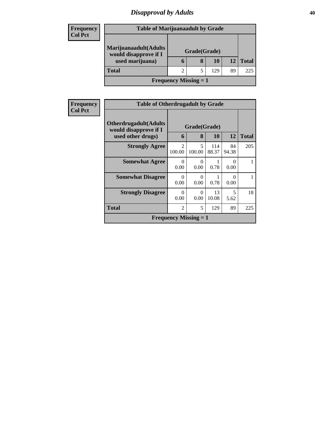## *Disapproval by Adults* **40**

| <b>Frequency</b> |                                           | <b>Table of Marijuanaadult by Grade</b> |              |     |    |              |  |
|------------------|-------------------------------------------|-----------------------------------------|--------------|-----|----|--------------|--|
| <b>Col Pct</b>   | Marijuanaadult(Adults                     |                                         | Grade(Grade) |     |    |              |  |
|                  | would disapprove if I<br>used marijuana)  |                                         | 8            | 10  |    | <b>Total</b> |  |
|                  | <b>Total</b>                              |                                         |              | 129 | 89 | 225          |  |
|                  | <b>Frequency Missing <math>= 1</math></b> |                                         |              |     |    |              |  |

| Frequency      | <b>Table of Otherdrugadult by Grade</b>                                     |                                       |                   |              |                  |              |  |
|----------------|-----------------------------------------------------------------------------|---------------------------------------|-------------------|--------------|------------------|--------------|--|
| <b>Col Pct</b> | <b>Otherdrugadult</b> (Adults<br>would disapprove if I<br>used other drugs) | 6                                     | Grade(Grade)<br>8 | 10           | 12               | <b>Total</b> |  |
|                | <b>Strongly Agree</b>                                                       | $\mathcal{D}_{\mathcal{L}}$<br>100.00 | 5<br>100.00       | 114<br>88.37 | 84<br>94.38      | 205          |  |
|                | <b>Somewhat Agree</b>                                                       | $\Omega$<br>0.00                      | 0<br>0.00         | 0.78         | $\Omega$<br>0.00 |              |  |
|                | <b>Somewhat Disagree</b>                                                    | 0<br>0.00                             | 0<br>0.00         | 0.78         | 0<br>0.00        |              |  |
|                | <b>Strongly Disagree</b>                                                    | 0<br>0.00                             | $\Omega$<br>0.00  | 13<br>10.08  | 5<br>5.62        | 18           |  |
|                | <b>Total</b>                                                                | $\overline{2}$                        | 5                 | 129          | 89               | 225          |  |
|                |                                                                             | <b>Frequency Missing = 1</b>          |                   |              |                  |              |  |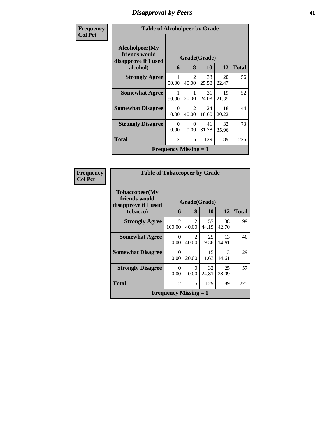## *Disapproval by Peers* **41**

| <b>Frequency</b> | <b>Table of Alcoholpeer by Grade</b>                    |                  |                              |             |             |              |
|------------------|---------------------------------------------------------|------------------|------------------------------|-------------|-------------|--------------|
| <b>Col Pct</b>   | Alcoholpeer(My<br>friends would<br>disapprove if I used |                  | Grade(Grade)                 |             |             |              |
|                  | alcohol)                                                | 6                | 8                            | <b>10</b>   | 12          | <b>Total</b> |
|                  | <b>Strongly Agree</b>                                   | 50.00            | $\mathfrak{D}$<br>40.00      | 33<br>25.58 | 20<br>22.47 | 56           |
|                  | <b>Somewhat Agree</b>                                   | 50.00            | 20.00                        | 31<br>24.03 | 19<br>21.35 | 52           |
|                  | <b>Somewhat Disagree</b>                                | $\Omega$<br>0.00 | $\mathfrak{D}$<br>40.00      | 24<br>18.60 | 18<br>20.22 | 44           |
|                  | <b>Strongly Disagree</b>                                | $\Omega$<br>0.00 | 0<br>0.00                    | 41<br>31.78 | 32<br>35.96 | 73           |
|                  | Total                                                   | $\overline{2}$   | 5                            | 129         | 89          | 225          |
|                  |                                                         |                  | <b>Frequency Missing = 1</b> |             |             |              |

| <b>Frequency</b> | <b>Table of Tobaccopeer by Grade</b>                                |                              |                                      |                           |             |              |
|------------------|---------------------------------------------------------------------|------------------------------|--------------------------------------|---------------------------|-------------|--------------|
| <b>Col Pct</b>   | Tobaccopeer(My<br>friends would<br>disapprove if I used<br>tobacco) | 6                            | 8                                    | Grade(Grade)<br><b>10</b> | 12          | <b>Total</b> |
|                  | <b>Strongly Agree</b>                                               | $\mathfrak{D}$<br>100.00     | $\mathfrak{D}$<br>40.00              | 57<br>44.19               | 38<br>42.70 | 99           |
|                  | <b>Somewhat Agree</b>                                               | $\Omega$<br>0.00             | $\mathcal{D}_{\mathcal{L}}$<br>40.00 | 25<br>19.38               | 13<br>14.61 | 40           |
|                  | <b>Somewhat Disagree</b>                                            | 0<br>0.00                    | 20.00                                | 15<br>11.63               | 13<br>14.61 | 29           |
|                  | <b>Strongly Disagree</b>                                            | 0<br>0.00                    | 0<br>0.00                            | 32<br>24.81               | 25<br>28.09 | 57           |
|                  | Total                                                               | $\overline{2}$               | 5                                    | 129                       | 89          | 225          |
|                  |                                                                     | <b>Frequency Missing = 1</b> |                                      |                           |             |              |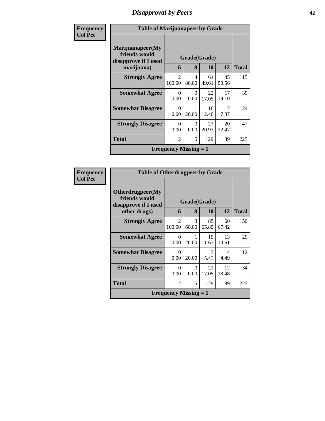# *Disapproval by Peers* **42**

| Frequency      | <b>Table of Marijuanapeer by Grade</b>                    |                              |                  |              |             |              |
|----------------|-----------------------------------------------------------|------------------------------|------------------|--------------|-------------|--------------|
| <b>Col Pct</b> | Marijuanapeer(My<br>friends would<br>disapprove if I used |                              |                  | Grade(Grade) |             |              |
|                | marijuana)                                                | 6                            | 8                | 10           | 12          | <b>Total</b> |
|                | <b>Strongly Agree</b>                                     | $\mathfrak{D}$<br>100.00     | 4<br>80.00       | 64<br>49.61  | 45<br>50.56 | 115          |
|                | <b>Somewhat Agree</b>                                     | 0<br>0.00                    | $\theta$<br>0.00 | 22<br>17.05  | 17<br>19.10 | 39           |
|                | <b>Somewhat Disagree</b>                                  | $\Omega$<br>0.00             | 20.00            | 16<br>12.40  | 7<br>7.87   | 24           |
|                | <b>Strongly Disagree</b>                                  | 0<br>0.00                    | $\theta$<br>0.00 | 27<br>20.93  | 20<br>22.47 | 47           |
|                | <b>Total</b>                                              | $\overline{2}$               | 5                | 129          | 89          | 225          |
|                |                                                           | <b>Frequency Missing = 1</b> |                  |              |             |              |

| <b>Frequency</b> | <b>Table of Otherdrugpeer by Grade</b>                    |                              |                        |                        |                 |              |
|------------------|-----------------------------------------------------------|------------------------------|------------------------|------------------------|-----------------|--------------|
| <b>Col Pct</b>   | Otherdrugpeer(My<br>friends would<br>disapprove if I used | Grade(Grade)                 |                        |                        |                 |              |
|                  | other drugs)                                              | 6                            | 8                      | 10                     | 12 <sup>1</sup> | <b>Total</b> |
|                  | <b>Strongly Agree</b>                                     | $\mathfrak{D}$<br>100.00     | $\mathcal{R}$<br>60.00 | 85<br>65.89            | 60<br>67.42     | 150          |
|                  | <b>Somewhat Agree</b>                                     | $\Omega$<br>0.00             | 20.00                  | 15<br>11.63            | 13<br>14.61     | 29           |
|                  | <b>Somewhat Disagree</b>                                  | $\Omega$<br>0.00             | 20.00                  | $\overline{7}$<br>5.43 | 4<br>4.49       | 12           |
|                  | <b>Strongly Disagree</b>                                  | $\Omega$<br>0.00             | $\Omega$<br>0.00       | 22<br>17.05            | 12<br>13.48     | 34           |
|                  | Total                                                     | $\mathfrak{D}$               | 5                      | 129                    | 89              | 225          |
|                  |                                                           | <b>Frequency Missing = 1</b> |                        |                        |                 |              |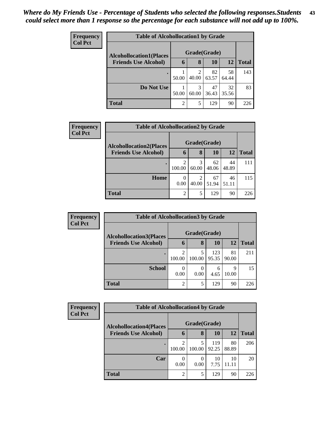| <b>Frequency</b><br><b>Col Pct</b> | <b>Table of Alcohollocation1 by Grade</b> |                |                         |             |             |              |  |  |
|------------------------------------|-------------------------------------------|----------------|-------------------------|-------------|-------------|--------------|--|--|
|                                    | <b>Alcohollocation1(Places</b>            | Grade(Grade)   |                         |             |             |              |  |  |
|                                    | <b>Friends Use Alcohol)</b>               | 6              | 8                       | 10          | 12          | <b>Total</b> |  |  |
|                                    |                                           | 50.00          | $\overline{2}$<br>40.00 | 82<br>63.57 | 58<br>64.44 | 143          |  |  |
|                                    | Do Not Use                                | 50.00          | 3<br>60.00              | 47<br>36.43 | 32<br>35.56 | 83           |  |  |
|                                    | <b>Total</b>                              | $\overline{c}$ | 5                       | 129         | 90          | 226          |  |  |

| <b>Frequency</b> | <b>Table of Alcohollocation2 by Grade</b> |                  |            |             |             |              |  |  |  |
|------------------|-------------------------------------------|------------------|------------|-------------|-------------|--------------|--|--|--|
| <b>Col Pct</b>   | <b>Alcohollocation2(Places</b>            | Grade(Grade)     |            |             |             |              |  |  |  |
|                  | <b>Friends Use Alcohol)</b>               | 6                | 8          | <b>10</b>   | 12          | <b>Total</b> |  |  |  |
|                  |                                           | 100.00           | 3<br>60.00 | 62<br>48.06 | 44<br>48.89 | 111          |  |  |  |
|                  | Home                                      | $\theta$<br>0.00 | 2<br>40.00 | 67<br>51.94 | 46<br>51.11 | 115          |  |  |  |
|                  | <b>Total</b>                              | 2                | 5          | 129         | 90          | 226          |  |  |  |

| Frequency      |                                | <b>Table of Alcohollocation 3 by Grade</b> |                  |              |             |              |  |  |  |
|----------------|--------------------------------|--------------------------------------------|------------------|--------------|-------------|--------------|--|--|--|
| <b>Col Pct</b> | <b>Alcohollocation3(Places</b> | Grade(Grade)                               |                  |              |             |              |  |  |  |
|                | <b>Friends Use Alcohol)</b>    | 6                                          | 8                | 10           | 12          | <b>Total</b> |  |  |  |
|                |                                | 100.00                                     | 5<br>100.00      | 123<br>95.35 | 81<br>90.00 | 211          |  |  |  |
|                | <b>School</b>                  | 0.00                                       | $\theta$<br>0.00 | 6<br>4.65    | 9<br>10.00  | 15           |  |  |  |
|                | <b>Total</b>                   | ∍                                          |                  | 129          | 90          | 226          |  |  |  |

| <b>Frequency</b> |                                | <b>Table of Alcohollocation4 by Grade</b> |                  |              |             |              |  |  |  |
|------------------|--------------------------------|-------------------------------------------|------------------|--------------|-------------|--------------|--|--|--|
| <b>Col Pct</b>   | <b>Alcohollocation4(Places</b> | Grade(Grade)                              |                  |              |             |              |  |  |  |
|                  | <b>Friends Use Alcohol)</b>    | O                                         | 8                | <b>10</b>    | 12          | <b>Total</b> |  |  |  |
|                  |                                | 100.00                                    | 100.00           | 119<br>92.25 | 80<br>88.89 | 206          |  |  |  |
|                  | Car                            | 0.00                                      | $\theta$<br>0.00 | 10<br>7.75   | 10<br>11.11 | 20           |  |  |  |
|                  | <b>Total</b>                   | $\overline{2}$                            | 5                | 129          | 90          | 226          |  |  |  |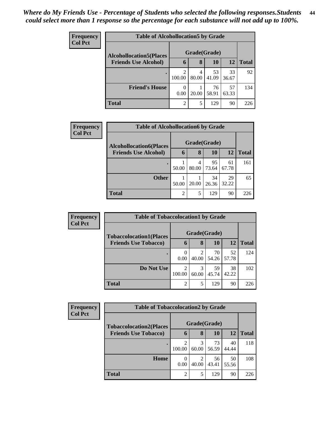| <b>Frequency</b> | <b>Table of Alcohollocation5 by Grade</b> |                  |            |             |             |              |  |  |
|------------------|-------------------------------------------|------------------|------------|-------------|-------------|--------------|--|--|
| <b>Col Pct</b>   | <b>Alcohollocation5(Places</b>            | Grade(Grade)     |            |             |             |              |  |  |
|                  | <b>Friends Use Alcohol)</b>               | 6                | 8          | 10          | 12          | <b>Total</b> |  |  |
|                  |                                           | 2<br>100.00      | 4<br>80.00 | 53<br>41.09 | 33<br>36.67 | 92           |  |  |
|                  | <b>Friend's House</b>                     | $\theta$<br>0.00 | 20.00      | 76<br>58.91 | 57<br>63.33 | 134          |  |  |
|                  | <b>Total</b>                              | $\overline{2}$   | 5          | 129         | 90          | 226          |  |  |

| <b>Frequency</b> | <b>Table of Alcohollocation6 by Grade</b> |       |              |             |             |              |  |  |
|------------------|-------------------------------------------|-------|--------------|-------------|-------------|--------------|--|--|
| <b>Col Pct</b>   | <b>Alcohollocation6(Places</b>            |       | Grade(Grade) |             |             |              |  |  |
|                  | <b>Friends Use Alcohol)</b>               | 6     | 8            | <b>10</b>   | 12          | <b>Total</b> |  |  |
|                  |                                           | 50.00 | 4<br>80.00   | 95<br>73.64 | 61<br>67.78 | 161          |  |  |
|                  | <b>Other</b>                              | 50.00 | 20.00        | 34<br>26.36 | 29<br>32.22 | 65           |  |  |
|                  | <b>Total</b>                              | 2     | 5            | 129         | 90          | 226          |  |  |

| Frequency      | <b>Table of Tobaccolocation1 by Grade</b> |                          |            |             |             |              |
|----------------|-------------------------------------------|--------------------------|------------|-------------|-------------|--------------|
| <b>Col Pct</b> | <b>Tobaccolocation1(Places</b>            | Grade(Grade)             |            |             |             |              |
|                | <b>Friends Use Tobacco)</b>               | 6                        | 8          | 10          | 12          | <b>Total</b> |
|                |                                           | 0<br>0.00                | 2<br>40.00 | 70<br>54.26 | 52<br>57.78 | 124          |
|                | Do Not Use                                | $\mathfrak{D}$<br>100.00 | 3<br>60.00 | 59<br>45.74 | 38<br>42.22 | 102          |
|                | <b>Total</b>                              | $\overline{c}$           | 5          | 129         | 90          | 226          |

| Frequency      |                                | <b>Table of Tobaccolocation2 by Grade</b> |            |             |             |              |  |  |  |
|----------------|--------------------------------|-------------------------------------------|------------|-------------|-------------|--------------|--|--|--|
| <b>Col Pct</b> | <b>Tobaccolocation2(Places</b> | Grade(Grade)                              |            |             |             |              |  |  |  |
|                | <b>Friends Use Tobacco)</b>    | $\mathbf b$                               | 8          | 10          | 12          | <b>Total</b> |  |  |  |
|                |                                | 100.00                                    | 3<br>60.00 | 73<br>56.59 | 40<br>44.44 | 118          |  |  |  |
|                | Home                           | 0<br>0.00                                 | 2<br>40.00 | 56<br>43.41 | 50<br>55.56 | 108          |  |  |  |
|                | <b>Total</b>                   | $\overline{2}$                            | 5          | 129         | 90          | 226          |  |  |  |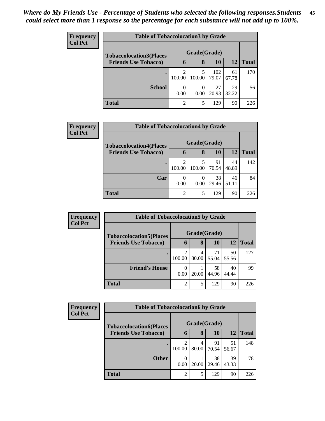| <b>Frequency</b> | <b>Table of Tobaccolocation 3 by Grade</b> |                |             |              |             |              |
|------------------|--------------------------------------------|----------------|-------------|--------------|-------------|--------------|
| <b>Col Pct</b>   | <b>Tobaccolocation3(Places</b>             | Grade(Grade)   |             |              |             |              |
|                  | <b>Friends Use Tobacco)</b>                | 6              | 8           | 10           | 12          | <b>Total</b> |
|                  |                                            | 2<br>100.00    | 5<br>100.00 | 102<br>79.07 | 61<br>67.78 | 170          |
|                  | <b>School</b>                              | 0<br>0.00      | 0.00        | 27<br>20.93  | 29<br>32.22 | 56           |
|                  | <b>Total</b>                               | $\overline{2}$ | 5           | 129          | 90          | 226          |

| <b>Frequency</b> | <b>Table of Tobaccolocation4 by Grade</b> |        |              |       |           |              |  |  |
|------------------|-------------------------------------------|--------|--------------|-------|-----------|--------------|--|--|
| <b>Col Pct</b>   | <b>Tobaccolocation4(Places</b>            |        | Grade(Grade) |       |           |              |  |  |
|                  | <b>Friends Use Tobacco)</b>               | 6      | 8            | 10    | <b>12</b> | <b>Total</b> |  |  |
|                  |                                           | 2      |              | 91    | 44        | 142          |  |  |
|                  |                                           | 100.00 | 100.00       | 70.54 | 48.89     |              |  |  |
|                  | Car                                       | 0      |              | 38    | 46        | 84           |  |  |
|                  |                                           | 0.00   | 0.00         | 29.46 | 51.11     |              |  |  |
|                  | <b>Total</b>                              | 2      | 5            | 129   | 90        | 226          |  |  |

| Frequency      | <b>Table of Tobaccolocation5 by Grade</b> |                |            |             |             |              |  |  |
|----------------|-------------------------------------------|----------------|------------|-------------|-------------|--------------|--|--|
| <b>Col Pct</b> | <b>Tobaccolocation5(Places</b>            | Grade(Grade)   |            |             |             |              |  |  |
|                | <b>Friends Use Tobacco)</b>               | 6              | 8          | 10          | 12          | <b>Total</b> |  |  |
|                |                                           | 2<br>100.00    | 4<br>80.00 | 71<br>55.04 | 50<br>55.56 | 127          |  |  |
|                | <b>Friend's House</b>                     | 0.00           | 20.00      | 58<br>44.96 | 40<br>44.44 | 99           |  |  |
|                | <b>Total</b>                              | $\overline{2}$ | 5          | 129         | 90          | 226          |  |  |

| Frequency<br><b>Col Pct</b> | <b>Table of Tobaccolocation6 by Grade</b> |              |            |             |             |              |  |  |
|-----------------------------|-------------------------------------------|--------------|------------|-------------|-------------|--------------|--|--|
|                             | <b>Tobaccolocation6(Places</b>            | Grade(Grade) |            |             |             |              |  |  |
|                             | <b>Friends Use Tobacco)</b>               | $\mathbf b$  | 8          | 10          | 12          | <b>Total</b> |  |  |
|                             |                                           | 2<br>100.00  | 4<br>80.00 | 91<br>70.54 | 51<br>56.67 | 148          |  |  |
|                             | <b>Other</b>                              | 0<br>0.00    | 20.00      | 38<br>29.46 | 39<br>43.33 | 78           |  |  |
|                             | <b>Total</b>                              | 2            | 5          | 129         | 90          | 226          |  |  |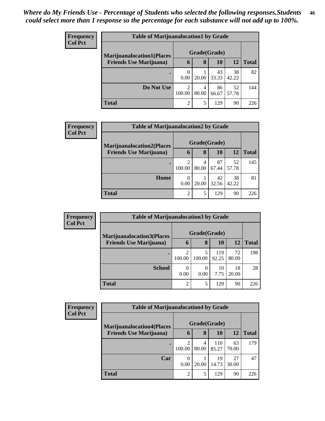| <b>Frequency</b> | <b>Table of Marijuanalocation1 by Grade</b> |               |            |             |             |              |  |  |
|------------------|---------------------------------------------|---------------|------------|-------------|-------------|--------------|--|--|
| <b>Col Pct</b>   | <b>Marijuanalocation1(Places</b>            | Grade(Grade)  |            |             |             |              |  |  |
|                  | <b>Friends Use Marijuana</b> )              | 6             | 8          | 10          | 12          | <b>Total</b> |  |  |
|                  |                                             | 0.00          | 20.00      | 43<br>33.33 | 38<br>42.22 | 82           |  |  |
|                  | Do Not Use                                  | ∍<br>100.00   | 4<br>80.00 | 86<br>66.67 | 52<br>57.78 | 144          |  |  |
|                  | <b>Total</b>                                | $\mathcal{D}$ | 5          | 129         | 90          | 226          |  |  |

| Frequency      | <b>Table of Marijuanalocation2 by Grade</b> |                             |            |             |             |              |
|----------------|---------------------------------------------|-----------------------------|------------|-------------|-------------|--------------|
| <b>Col Pct</b> | <b>Marijuanalocation2(Places)</b>           | Grade(Grade)                |            |             |             |              |
|                | <b>Friends Use Marijuana</b> )              | $\mathbf b$                 | 8          | 10          | 12          | <b>Total</b> |
|                |                                             | 100.00                      | 4<br>80.00 | 87<br>67.44 | 52<br>57.78 | 145          |
|                | Home                                        | 0.00                        | 20.00      | 42<br>32.56 | 38<br>42.22 | 81           |
|                | <b>Total</b>                                | $\mathcal{D}_{\mathcal{A}}$ | 5          | 129         | 90          | 226          |

| <b>Frequency</b><br><b>Col Pct</b> |                                   | <b>Table of Marijuanalocation3 by Grade</b> |        |              |             |              |  |  |
|------------------------------------|-----------------------------------|---------------------------------------------|--------|--------------|-------------|--------------|--|--|
|                                    | <b>Marijuanalocation3</b> (Places | Grade(Grade)                                |        |              |             |              |  |  |
|                                    | <b>Friends Use Marijuana</b> )    | 6                                           | 8      | 10           | 12          | <b>Total</b> |  |  |
|                                    |                                   | 100.00                                      | 100.00 | 119<br>92.25 | 72<br>80.00 | 198          |  |  |
|                                    | <b>School</b>                     | 0.00                                        | 0.00   | 10<br>7.75   | 18<br>20.00 | 28           |  |  |
|                                    | <b>Total</b>                      | $\overline{c}$                              | 5      | 129          | 90          | 226          |  |  |

| Frequency<br><b>Col Pct</b> |                                  | <b>Table of Marijuanalocation4 by Grade</b> |            |              |             |              |  |  |  |
|-----------------------------|----------------------------------|---------------------------------------------|------------|--------------|-------------|--------------|--|--|--|
|                             | <b>Marijuanalocation4(Places</b> | Grade(Grade)                                |            |              |             |              |  |  |  |
|                             | <b>Friends Use Marijuana</b> )   | h                                           | 8          | 10           | 12          | <b>Total</b> |  |  |  |
|                             |                                  | 100.00                                      | 4<br>80.00 | 110<br>85.27 | 63<br>70.00 | 179          |  |  |  |
|                             | Car                              | 0<br>0.00                                   | 20.00      | 19<br>14.73  | 27<br>30.00 | 47           |  |  |  |
|                             | <b>Total</b>                     | $\overline{2}$                              |            | 129          | 90          | 226          |  |  |  |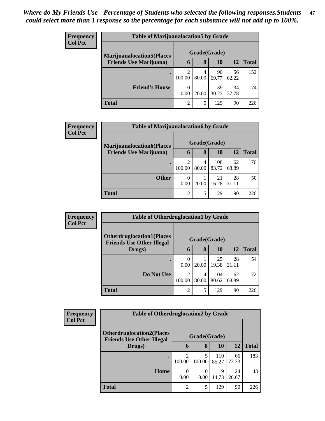| <b>Frequency</b> | <b>Table of Marijuanalocation5 by Grade</b> |                |            |             |             |              |  |  |
|------------------|---------------------------------------------|----------------|------------|-------------|-------------|--------------|--|--|
| <b>Col Pct</b>   | <b>Marijuanalocation5</b> (Places           | Grade(Grade)   |            |             |             |              |  |  |
|                  | <b>Friends Use Marijuana</b> )              | 6              | 8          | 10          | 12          | <b>Total</b> |  |  |
|                  |                                             | 100.00         | 4<br>80.00 | 90<br>69.77 | 56<br>62.22 | 152          |  |  |
|                  | <b>Friend's House</b>                       | 0.00           | 20.00      | 39<br>30.23 | 34<br>37.78 | 74           |  |  |
|                  | <b>Total</b>                                | $\overline{c}$ | 5          | 129         | 90          | 226          |  |  |

| Frequency      |                                   | <b>Table of Marijuanalocation6 by Grade</b> |              |              |             |              |  |  |
|----------------|-----------------------------------|---------------------------------------------|--------------|--------------|-------------|--------------|--|--|
| <b>Col Pct</b> | <b>Marijuanalocation6(Places)</b> |                                             | Grade(Grade) |              |             |              |  |  |
|                | <b>Friends Use Marijuana</b> )    | 6                                           | 8            | 10           | 12          | <b>Total</b> |  |  |
|                |                                   | 2<br>100.00                                 | 4<br>80.00   | 108<br>83.72 | 62<br>68.89 | 176          |  |  |
|                | <b>Other</b>                      | 0<br>0.00                                   | 20.00        | 21<br>16.28  | 28<br>31.11 | 50           |  |  |
|                | <b>Total</b>                      | $\mathfrak{D}$                              | 5            | 129          | 90          | 226          |  |  |

| <b>Frequency</b> |                                                                      | <b>Table of Otherdruglocation1 by Grade</b> |            |              |             |              |  |  |
|------------------|----------------------------------------------------------------------|---------------------------------------------|------------|--------------|-------------|--------------|--|--|
| <b>Col Pct</b>   | <b>Otherdruglocation1(Places</b><br><b>Friends Use Other Illegal</b> | Grade(Grade)                                |            |              |             |              |  |  |
|                  | Drugs)                                                               | $\mathbf b$                                 | 8          | 10           | 12          | <b>Total</b> |  |  |
|                  |                                                                      | $\left($<br>0.00                            | 20.00      | 25<br>19.38  | 28<br>31.11 | 54           |  |  |
|                  | Do Not Use                                                           | $\mathfrak{D}$<br>100.00                    | 4<br>80.00 | 104<br>80.62 | 62<br>68.89 | 172          |  |  |
|                  | <b>Total</b>                                                         | $\overline{2}$                              | 5          | 129          | 90          | 226          |  |  |

| <b>Frequency</b> | <b>Table of Otherdruglocation2 by Grade</b>                          |                |              |              |             |              |  |
|------------------|----------------------------------------------------------------------|----------------|--------------|--------------|-------------|--------------|--|
| <b>Col Pct</b>   | <b>Otherdruglocation2(Places</b><br><b>Friends Use Other Illegal</b> |                | Grade(Grade) |              |             |              |  |
|                  | Drugs)                                                               | 6              | 8            | 10           | <b>12</b>   | <b>Total</b> |  |
|                  |                                                                      | 2<br>100.00    | 100.00       | 110<br>85.27 | 66<br>73.33 | 183          |  |
|                  | Home                                                                 | 0<br>0.00      | 0<br>0.00    | 19<br>14.73  | 24<br>26.67 | 43           |  |
|                  | <b>Total</b>                                                         | $\overline{2}$ | 5            | 129          | 90          | 226          |  |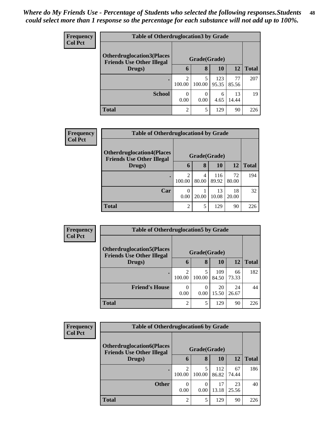| <b>Frequency</b> | <b>Table of Otherdruglocation 3 by Grade</b>                         |                          |           |              |             |              |  |
|------------------|----------------------------------------------------------------------|--------------------------|-----------|--------------|-------------|--------------|--|
| <b>Col Pct</b>   | <b>Otherdruglocation3(Places</b><br><b>Friends Use Other Illegal</b> | Grade(Grade)             |           |              |             |              |  |
|                  | Drugs)                                                               | 6                        | 8         | 10           | <b>12</b>   | <b>Total</b> |  |
|                  |                                                                      | $\overline{c}$<br>100.00 | 100.00    | 123<br>95.35 | 77<br>85.56 | 207          |  |
|                  | <b>School</b>                                                        | $\theta$<br>0.00         | 0<br>0.00 | 6<br>4.65    | 13<br>14.44 | 19           |  |
|                  | <b>Total</b>                                                         | $\overline{2}$           | 5         | 129          | 90          | 226          |  |

| <b>Frequency</b> | <b>Table of Otherdruglocation4 by Grade</b>                                          |                          |            |              |             |              |
|------------------|--------------------------------------------------------------------------------------|--------------------------|------------|--------------|-------------|--------------|
| <b>Col Pct</b>   | <b>Otherdruglocation4(Places</b><br>Grade(Grade)<br><b>Friends Use Other Illegal</b> |                          |            |              |             |              |
|                  | Drugs)                                                                               | 6                        | 8          | <b>10</b>    | 12          | <b>Total</b> |
|                  | $\bullet$                                                                            | っ<br>100.00              | 4<br>80.00 | 116<br>89.92 | 72<br>80.00 | 194          |
|                  | Car                                                                                  | $\left( \right)$<br>0.00 | 20.00      | 13<br>10.08  | 18<br>20.00 | 32           |
|                  | <b>Total</b>                                                                         | $\mathcal{D}$            | 5          | 129          | 90          | 226          |

| Frequency      |                                                                       | <b>Table of Otherdruglocation5 by Grade</b> |              |              |             |              |  |  |
|----------------|-----------------------------------------------------------------------|---------------------------------------------|--------------|--------------|-------------|--------------|--|--|
| <b>Col Pct</b> | <b>Otherdruglocation5(Places)</b><br><b>Friends Use Other Illegal</b> |                                             | Grade(Grade) |              |             |              |  |  |
|                | Drugs)                                                                | 6                                           | 8            | 10           | 12          | <b>Total</b> |  |  |
|                |                                                                       | $\overline{2}$<br>100.00                    | 5<br>100.00  | 109<br>84.50 | 66<br>73.33 | 182          |  |  |
|                | <b>Friend's House</b>                                                 | 0<br>0.00                                   | 0.00         | 20<br>15.50  | 24<br>26.67 | 44           |  |  |
|                | Total                                                                 | $\overline{2}$                              | 5            | 129          | 90          | 226          |  |  |

| <b>Frequency</b> | <b>Table of Otherdruglocation6 by Grade</b> |                          |                   |              |             |              |
|------------------|---------------------------------------------|--------------------------|-------------------|--------------|-------------|--------------|
| <b>Col Pct</b>   | <b>Otherdruglocation6(Places</b>            |                          |                   |              |             |              |
|                  | <b>Friends Use Other Illegal</b><br>Drugs)  | 6                        | Grade(Grade)<br>8 | <b>10</b>    | 12          | <b>Total</b> |
|                  |                                             | $\overline{c}$<br>100.00 | 5<br>100.00       | 112<br>86.82 | 67<br>74.44 | 186          |
|                  | <b>Other</b>                                | $\Omega$<br>0.00         | 0<br>0.00         | 17<br>13.18  | 23<br>25.56 | 40           |
|                  | <b>Total</b>                                | $\overline{c}$           | 5                 | 129          | 90          | 226          |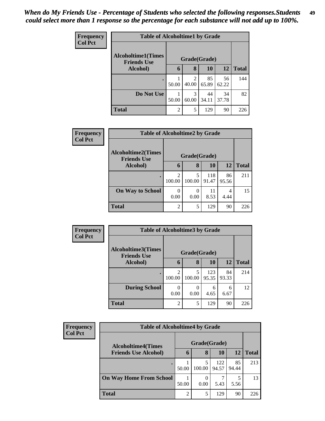| <b>Frequency</b> |                                                 | <b>Table of Alcoholtime1 by Grade</b> |                                      |              |             |              |  |  |
|------------------|-------------------------------------------------|---------------------------------------|--------------------------------------|--------------|-------------|--------------|--|--|
| <b>Col Pct</b>   | <b>Alcoholtime1(Times</b><br><b>Friends Use</b> |                                       |                                      | Grade(Grade) |             |              |  |  |
|                  | Alcohol)                                        | 6                                     | 8                                    | 10           | 12          | <b>Total</b> |  |  |
|                  |                                                 | 50.00                                 | $\mathcal{D}_{\mathcal{A}}$<br>40.00 | 85<br>65.89  | 56<br>62.22 | 144          |  |  |
|                  | Do Not Use                                      | 50.00                                 | 3<br>60.00                           | 44<br>34.11  | 34<br>37.78 | 82           |  |  |
|                  | <b>Total</b>                                    | $\overline{c}$                        | 5                                    | 129          | 90          | 226          |  |  |

| Frequency      |                                                 | <b>Table of Alcoholtime2 by Grade</b> |             |              |             |              |  |  |  |
|----------------|-------------------------------------------------|---------------------------------------|-------------|--------------|-------------|--------------|--|--|--|
| <b>Col Pct</b> | <b>Alcoholtime2(Times</b><br><b>Friends Use</b> | Grade(Grade)                          |             |              |             |              |  |  |  |
|                | Alcohol)                                        | 6                                     | 8           | 10           | <b>12</b>   | <b>Total</b> |  |  |  |
|                | ٠                                               | 2<br>100.00                           | 5<br>100.00 | 118<br>91.47 | 86<br>95.56 | 211          |  |  |  |
|                | <b>On Way to School</b>                         | 0<br>0.00                             | 0<br>0.00   | 11<br>8.53   | 4<br>4.44   | 15           |  |  |  |
|                | <b>Total</b>                                    | 2                                     | 5           | 129          | 90          | 226          |  |  |  |

| <b>Frequency</b><br><b>Col Pct</b> | <b>Table of Alcoholtime3 by Grade</b>           |                |             |              |             |              |  |  |
|------------------------------------|-------------------------------------------------|----------------|-------------|--------------|-------------|--------------|--|--|
|                                    | <b>Alcoholtime3(Times</b><br><b>Friends Use</b> | Grade(Grade)   |             |              |             |              |  |  |
|                                    | Alcohol)                                        | 6              | 8           | 10           | 12          | <b>Total</b> |  |  |
|                                    |                                                 | 2<br>100.00    | 5<br>100.00 | 123<br>95.35 | 84<br>93.33 | 214          |  |  |
|                                    | <b>During School</b>                            | 0.00           | 0<br>0.00   | 6<br>4.65    | 6<br>6.67   | 12           |  |  |
|                                    | <b>Total</b>                                    | $\overline{2}$ | 5           | 129          | 90          | 226          |  |  |

| <b>Frequency</b><br><b>Col Pct</b> | <b>Table of Alcoholtime4 by Grade</b> |                |        |              |             |              |  |
|------------------------------------|---------------------------------------|----------------|--------|--------------|-------------|--------------|--|
|                                    | <b>Alcoholtime4(Times</b>             | Grade(Grade)   |        |              |             |              |  |
|                                    | <b>Friends Use Alcohol)</b>           | 6              | 8      | 10           | <b>12</b>   | <b>Total</b> |  |
|                                    | $\bullet$                             | 50.00          | 100.00 | 122<br>94.57 | 85<br>94.44 | 213          |  |
|                                    | <b>On Way Home From School</b>        | 50.00          | 0.00   | 5.43         | 5.56        | 13           |  |
|                                    | <b>Total</b>                          | $\overline{2}$ | 5      | 129          | 90          | 226          |  |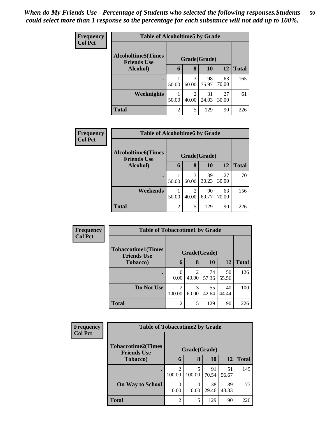| Frequency      | <b>Table of Alcoholtime5 by Grade</b>           |              |            |             |             |              |
|----------------|-------------------------------------------------|--------------|------------|-------------|-------------|--------------|
| <b>Col Pct</b> | <b>Alcoholtime5(Times</b><br><b>Friends Use</b> | Grade(Grade) |            |             |             |              |
|                | Alcohol)                                        | 6            | 8          | 10          | 12          | <b>Total</b> |
|                |                                                 | 50.00        | 3<br>60.00 | 98<br>75.97 | 63<br>70.00 | 165          |
|                | Weeknights                                      | 50.00        | 2<br>40.00 | 31<br>24.03 | 27<br>30.00 | 61           |
|                | <b>Total</b>                                    | 2            | 5          | 129         | 90          | 226          |

| <b>Frequency</b> | <b>Table of Alcoholtime6 by Grade</b>           |                |                         |             |             |              |
|------------------|-------------------------------------------------|----------------|-------------------------|-------------|-------------|--------------|
| <b>Col Pct</b>   | <b>Alcoholtime6(Times</b><br><b>Friends Use</b> |                | Grade(Grade)            |             |             |              |
|                  | Alcohol)                                        | 6              | 8                       | 10          | 12          | <b>Total</b> |
|                  |                                                 | 50.00          | 3<br>60.00              | 39<br>30.23 | 27<br>30.00 | 70           |
|                  | Weekends                                        | 50.00          | $\mathfrak{D}$<br>40.00 | 90<br>69.77 | 63<br>70.00 | 156          |
|                  | <b>Total</b>                                    | $\overline{2}$ | 5                       | 129         | 90          | 226          |

| Frequency<br><b>Col Pct</b> | <b>Table of Tobaccotime1 by Grade</b>           |                  |              |             |             |              |  |  |
|-----------------------------|-------------------------------------------------|------------------|--------------|-------------|-------------|--------------|--|--|
|                             | <b>Tobaccotime1(Times</b><br><b>Friends Use</b> |                  | Grade(Grade) |             |             |              |  |  |
|                             | <b>Tobacco</b> )                                | 6                | 8            | 10          | 12          | <b>Total</b> |  |  |
|                             |                                                 | $\theta$<br>0.00 | 2<br>40.00   | 74<br>57.36 | 50<br>55.56 | 126          |  |  |
|                             | Do Not Use                                      | 2<br>100.00      | 3<br>60.00   | 55<br>42.64 | 40<br>44.44 | 100          |  |  |
|                             | <b>Total</b>                                    | $\overline{c}$   | 5            | 129         | 90          | 226          |  |  |

| <b>Frequency</b> | <b>Table of Tobaccotime2 by Grade</b>           |                                       |             |             |             |              |  |  |
|------------------|-------------------------------------------------|---------------------------------------|-------------|-------------|-------------|--------------|--|--|
| <b>Col Pct</b>   | <b>Tobaccotime2(Times</b><br><b>Friends Use</b> | Grade(Grade)                          |             |             |             |              |  |  |
|                  | <b>Tobacco</b> )                                | 6                                     | 8           | 10          | 12          | <b>Total</b> |  |  |
|                  | $\bullet$                                       | $\mathcal{D}_{\mathcal{L}}$<br>100.00 | 5<br>100.00 | 91<br>70.54 | 51<br>56.67 | 149          |  |  |
|                  | <b>On Way to School</b>                         | 0.00                                  | 0<br>0.00   | 38<br>29.46 | 39<br>43.33 | 77           |  |  |
|                  | <b>Total</b>                                    | $\overline{2}$                        | 5           | 129         | 90          | 226          |  |  |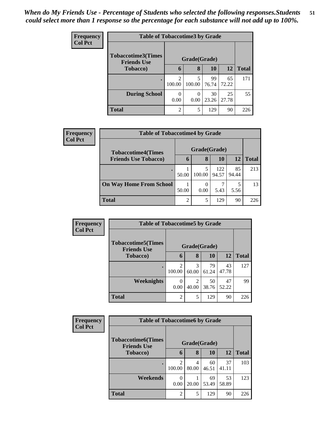| <b>Frequency</b> | <b>Table of Tobaccotime3 by Grade</b>           |                          |              |             |             |              |  |  |
|------------------|-------------------------------------------------|--------------------------|--------------|-------------|-------------|--------------|--|--|
| <b>Col Pct</b>   | <b>Tobaccotime3(Times</b><br><b>Friends Use</b> |                          | Grade(Grade) |             |             |              |  |  |
|                  | <b>Tobacco</b> )                                | 6                        | 8            | 10          | 12          | <b>Total</b> |  |  |
|                  |                                                 | $\overline{c}$<br>100.00 | 5<br>100.00  | 99<br>76.74 | 65<br>72.22 | 171          |  |  |
|                  | <b>During School</b>                            | 0<br>0.00                | 0<br>0.00    | 30<br>23.26 | 25<br>27.78 | 55           |  |  |
|                  | <b>Total</b>                                    | $\overline{2}$           | 5            | 129         | 90          | 226          |  |  |

| <b>Frequency</b><br><b>Col Pct</b> | <b>Table of Tobaccotime4 by Grade</b> |                |                  |              |             |              |  |
|------------------------------------|---------------------------------------|----------------|------------------|--------------|-------------|--------------|--|
|                                    | <b>Tobaccotime4(Times</b>             |                | Grade(Grade)     |              |             |              |  |
|                                    | <b>Friends Use Tobacco)</b>           | 6              | 8                | 10           | 12          | <b>Total</b> |  |
|                                    |                                       | 50.00          | 5<br>100.00      | 122<br>94.57 | 85<br>94.44 | 213          |  |
|                                    | <b>On Way Home From School</b>        | 50.00          | $\theta$<br>0.00 | 5.43         | 5<br>5.56   | 13           |  |
|                                    | <b>Total</b>                          | $\overline{2}$ | 5                | 129          | 90          | 226          |  |

| <b>Frequency</b> |                                                  | <b>Table of Tobaccotime5 by Grade</b> |                         |             |             |              |  |  |  |
|------------------|--------------------------------------------------|---------------------------------------|-------------------------|-------------|-------------|--------------|--|--|--|
| <b>Col Pct</b>   | <b>Tobaccotime5</b> (Times<br><b>Friends Use</b> | Grade(Grade)                          |                         |             |             |              |  |  |  |
|                  | <b>Tobacco</b> )                                 | 6                                     | 8                       | <b>10</b>   | 12          | <b>Total</b> |  |  |  |
|                  |                                                  | 2<br>100.00                           | 3<br>60.00              | 79<br>61.24 | 43<br>47.78 | 127          |  |  |  |
|                  | Weeknights                                       | 0<br>0.00                             | $\mathfrak{D}$<br>40.00 | 50<br>38.76 | 47<br>52.22 | 99           |  |  |  |
|                  | <b>Total</b>                                     | $\overline{2}$                        | 5                       | 129         | 90          | 226          |  |  |  |

| Frequency      |                                                 | <b>Table of Tobaccotime6 by Grade</b> |            |             |             |              |  |  |  |
|----------------|-------------------------------------------------|---------------------------------------|------------|-------------|-------------|--------------|--|--|--|
| <b>Col Pct</b> | <b>Tobaccotime6(Times</b><br><b>Friends Use</b> | Grade(Grade)                          |            |             |             |              |  |  |  |
|                | <b>Tobacco</b> )                                | 6                                     | 8          | 10          | 12          | <b>Total</b> |  |  |  |
|                |                                                 | $\overline{2}$<br>100.00              | 4<br>80.00 | 60<br>46.51 | 37<br>41.11 | 103          |  |  |  |
|                | Weekends                                        | 0<br>0.00                             | 20.00      | 69<br>53.49 | 53<br>58.89 | 123          |  |  |  |
|                | <b>Total</b>                                    | $\overline{2}$                        | 5          | 129         | 90          | 226          |  |  |  |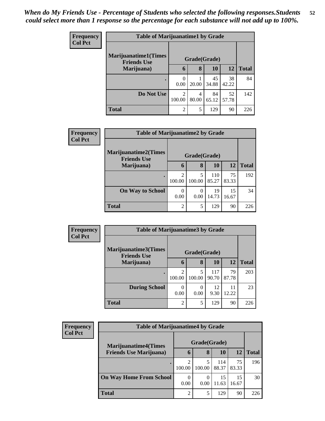| <b>Frequency</b> | <b>Table of Marijuanatime1 by Grade</b>           |                |            |             |             |              |  |
|------------------|---------------------------------------------------|----------------|------------|-------------|-------------|--------------|--|
| <b>Col Pct</b>   | <b>Marijuanatime1(Times</b><br><b>Friends Use</b> | Grade(Grade)   |            |             |             |              |  |
|                  | Marijuana)                                        | 6              | 8          | <b>10</b>   | <b>12</b>   | <b>Total</b> |  |
|                  | $\bullet$                                         | 0.00           | 20.00      | 45<br>34.88 | 38<br>42.22 | 84           |  |
|                  | Do Not Use                                        | 2<br>100.00    | 4<br>80.00 | 84<br>65.12 | 52<br>57.78 | 142          |  |
|                  | <b>Total</b>                                      | $\overline{2}$ | 5          | 129         | 90          | 226          |  |

| <b>Frequency</b> | <b>Table of Marijuanatime2 by Grade</b>           |                          |                  |              |             |              |  |
|------------------|---------------------------------------------------|--------------------------|------------------|--------------|-------------|--------------|--|
| <b>Col Pct</b>   | <b>Marijuanatime2(Times</b><br><b>Friends Use</b> | Grade(Grade)             |                  |              |             |              |  |
|                  | Marijuana)                                        | $\mathbf b$              | 8                | 10           | 12          | <b>Total</b> |  |
|                  |                                                   | $\mathfrak{D}$<br>100.00 | 5<br>100.00      | 110<br>85.27 | 75<br>83.33 | 192          |  |
|                  | <b>On Way to School</b>                           | 0<br>0.00                | $\theta$<br>0.00 | 19<br>14.73  | 15<br>16.67 | 34           |  |
|                  | <b>Total</b>                                      | $\overline{2}$           | 5                | 129          | 90          | 226          |  |

| <b>Frequency</b> | <b>Table of Marijuanatime3 by Grade</b>    |                |                  |              |             |              |
|------------------|--------------------------------------------|----------------|------------------|--------------|-------------|--------------|
| <b>Col Pct</b>   | Marijuanatime3(Times<br><b>Friends Use</b> | Grade(Grade)   |                  |              |             |              |
|                  | Marijuana)                                 | 6              | 8                | <b>10</b>    | 12          | <b>Total</b> |
|                  |                                            | 100.00         | 5<br>100.00      | 117<br>90.70 | 79<br>87.78 | 203          |
|                  | <b>During School</b>                       | 0.00           | $\theta$<br>0.00 | 12<br>9.30   | 11<br>12.22 | 23           |
|                  | <b>Total</b>                               | $\overline{2}$ | 5                | 129          | 90          | 226          |

| <b>Frequency</b><br><b>Col Pct</b> | <b>Table of Marijuanatime4 by Grade</b> |                             |                  |              |             |              |  |
|------------------------------------|-----------------------------------------|-----------------------------|------------------|--------------|-------------|--------------|--|
|                                    | <b>Marijuanatime4</b> (Times            | Grade(Grade)                |                  |              |             |              |  |
|                                    | <b>Friends Use Marijuana</b> )          | <sup>0</sup>                | 8                | 10           | <b>12</b>   | <b>Total</b> |  |
|                                    |                                         | $\overline{2}$<br>100.00    | 5<br>100.00      | 114<br>88.37 | 75<br>83.33 | 196          |  |
|                                    | <b>On Way Home From School</b>          | 0<br>0.00                   | $\Omega$<br>0.00 | 15<br>11.63  | 15<br>16.67 | 30           |  |
|                                    | <b>Total</b>                            | $\mathcal{D}_{\mathcal{L}}$ | 5                | 129          | 90          | 226          |  |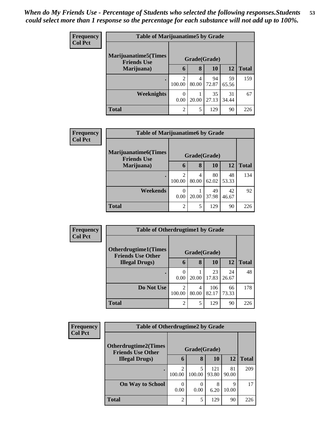| <b>Frequency</b> | <b>Table of Marijuanatime5 by Grade</b>            |                  |            |             |             |              |  |
|------------------|----------------------------------------------------|------------------|------------|-------------|-------------|--------------|--|
| <b>Col Pct</b>   | <b>Marijuanatime5</b> (Times<br><b>Friends Use</b> | Grade(Grade)     |            |             |             |              |  |
|                  | Marijuana)                                         | 6                | 8          | 10          | <b>12</b>   | <b>Total</b> |  |
|                  | $\bullet$                                          | 2<br>100.00      | 4<br>80.00 | 94<br>72.87 | 59<br>65.56 | 159          |  |
|                  | <b>Weeknights</b>                                  | $\Omega$<br>0.00 | 20.00      | 35<br>27.13 | 31<br>34.44 | 67           |  |
|                  | Total                                              | $\overline{2}$   | 5          | 129         | 90          | 226          |  |

| Frequency      |                                                   | <b>Table of Marijuanatime6 by Grade</b> |            |             |             |              |  |  |
|----------------|---------------------------------------------------|-----------------------------------------|------------|-------------|-------------|--------------|--|--|
| <b>Col Pct</b> | <b>Marijuanatime6(Times</b><br><b>Friends Use</b> | Grade(Grade)                            |            |             |             |              |  |  |
|                | Marijuana)                                        | 6                                       | 8          | <b>10</b>   | 12          | <b>Total</b> |  |  |
|                | $\bullet$                                         | 2<br>100.00                             | 4<br>80.00 | 80<br>62.02 | 48<br>53.33 | 134          |  |  |
|                | Weekends                                          | 0.00                                    | 20.00      | 49<br>37.98 | 42<br>46.67 | 92           |  |  |
|                | <b>Total</b>                                      | 2                                       | 5          | 129         | 90          | 226          |  |  |

| Frequency      |                                                         | <b>Table of Otherdrugtime1 by Grade</b> |            |              |             |              |  |  |
|----------------|---------------------------------------------------------|-----------------------------------------|------------|--------------|-------------|--------------|--|--|
| <b>Col Pct</b> | <b>Otherdrugtime1(Times</b><br><b>Friends Use Other</b> | Grade(Grade)                            |            |              |             |              |  |  |
|                | <b>Illegal Drugs)</b>                                   | 6                                       | 8          | 10           | 12          | <b>Total</b> |  |  |
|                |                                                         | 0.00                                    | 20.00      | 23<br>17.83  | 24<br>26.67 | 48           |  |  |
|                | Do Not Use                                              | $\overline{c}$<br>100.00                | 4<br>80.00 | 106<br>82.17 | 66<br>73.33 | 178          |  |  |
|                | <b>Total</b>                                            | $\overline{2}$                          | 5          | 129          | 90          | 226          |  |  |

| Frequency      | <b>Table of Otherdrugtime2 by Grade</b>            |                |                  |              |             |              |  |
|----------------|----------------------------------------------------|----------------|------------------|--------------|-------------|--------------|--|
| <b>Col Pct</b> | <b>Otherdrugtime2(Times</b>                        | Grade(Grade)   |                  |              |             |              |  |
|                | <b>Friends Use Other</b><br><b>Illegal Drugs</b> ) | 6              | 8                | <b>10</b>    | <b>12</b>   | <b>Total</b> |  |
|                |                                                    | 100.00         | 5<br>100.00      | 121<br>93.80 | 81<br>90.00 | 209          |  |
|                | <b>On Way to School</b>                            | 0<br>0.00      | $\theta$<br>0.00 | 8<br>6.20    | 9<br>10.00  | 17           |  |
|                | <b>Total</b>                                       | $\mathfrak{D}$ | 5                | 129          | 90          | 226          |  |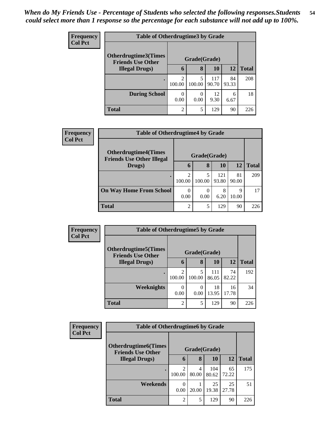| <b>Frequency</b> | <b>Table of Otherdrugtime3 by Grade</b>          |                                       |           |              |             |              |  |
|------------------|--------------------------------------------------|---------------------------------------|-----------|--------------|-------------|--------------|--|
| <b>Col Pct</b>   | Otherdrugtime3(Times<br><b>Friends Use Other</b> | Grade(Grade)                          |           |              |             |              |  |
|                  | <b>Illegal Drugs</b> )                           | 6                                     | 8         | 10           | <b>12</b>   | <b>Total</b> |  |
|                  |                                                  | $\mathcal{D}_{\mathcal{L}}$<br>100.00 | 100.00    | 117<br>90.70 | 84<br>93.33 | 208          |  |
|                  | <b>During School</b>                             | 0.00                                  | 0<br>0.00 | 12<br>9.30   | 6<br>6.67   | 18           |  |
|                  | <b>Total</b>                                     | $\mathfrak{D}$                        |           | 129          | 90          | 226          |  |

| Frequency      | <b>Table of Otherdrugtime4 by Grade</b>                         |                          |                  |              |             |              |
|----------------|-----------------------------------------------------------------|--------------------------|------------------|--------------|-------------|--------------|
| <b>Col Pct</b> | <b>Otherdrugtime4(Times</b><br><b>Friends Use Other Illegal</b> | Grade(Grade)             |                  |              |             |              |
|                | Drugs)                                                          | $\mathbf b$              | 8                | 10           | 12          | <b>Total</b> |
|                |                                                                 | $\mathfrak{D}$<br>100.00 | 5<br>100.00      | 121<br>93.80 | 81<br>90.00 | 209          |
|                | <b>On Way Home From School</b>                                  | 0<br>0.00                | $\theta$<br>0.00 | 8<br>6.20    | Q<br>10.00  | 17           |
|                | <b>Total</b>                                                    | $\mathfrak{D}$           | 5                | 129          | 90          | 226          |

| <b>Frequency</b> | <b>Table of Otherdrugtime5 by Grade</b>                  |                          |             |              |             |              |  |
|------------------|----------------------------------------------------------|--------------------------|-------------|--------------|-------------|--------------|--|
| <b>Col Pct</b>   | <b>Otherdrugtime5</b> (Times<br><b>Friends Use Other</b> | Grade(Grade)             |             |              |             |              |  |
|                  | <b>Illegal Drugs</b> )                                   | $\mathbf b$              | 8           | <b>10</b>    | 12          | <b>Total</b> |  |
|                  |                                                          | $\mathfrak{D}$<br>100.00 | 5<br>100.00 | 111<br>86.05 | 74<br>82.22 | 192          |  |
|                  | <b>Weeknights</b>                                        | 0<br>0.00                | 0<br>0.00   | 18<br>13.95  | 16<br>17.78 | 34           |  |
|                  | <b>Total</b>                                             | $\mathfrak{D}$           | 5           | 129          | 90          | 226          |  |

| <b>Frequency</b> | <b>Table of Otherdrugtime6 by Grade</b>                  |                |            |              |             |              |  |
|------------------|----------------------------------------------------------|----------------|------------|--------------|-------------|--------------|--|
| <b>Col Pct</b>   | <b>Otherdrugtime6</b> (Times<br><b>Friends Use Other</b> | Grade(Grade)   |            |              |             |              |  |
|                  | <b>Illegal Drugs</b> )                                   | 6              | 8          | 10           | <b>12</b>   | <b>Total</b> |  |
|                  |                                                          | 100.00         | 4<br>80.00 | 104<br>80.62 | 65<br>72.22 | 175          |  |
|                  | Weekends                                                 | 0.00           | 20.00      | 25<br>19.38  | 25<br>27.78 | 51           |  |
|                  | <b>Total</b>                                             | $\mathfrak{D}$ | 5          | 129          | 90          | 226          |  |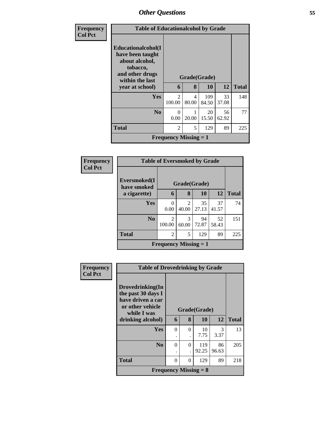| Frequency      | <b>Table of Educationalcohol by Grade</b>                                                                  |                              |            |              |             |              |
|----------------|------------------------------------------------------------------------------------------------------------|------------------------------|------------|--------------|-------------|--------------|
| <b>Col Pct</b> | Educationalcohol(I<br>have been taught<br>about alcohol,<br>tobacco,<br>and other drugs<br>within the last | Grade(Grade)                 |            |              |             |              |
|                | year at school)                                                                                            | 6                            | 8          | 10           | 12          | <b>Total</b> |
|                | <b>Yes</b>                                                                                                 | $\mathfrak{D}$<br>100.00     | 4<br>80.00 | 109<br>84.50 | 33<br>37.08 | 148          |
|                | N <sub>0</sub>                                                                                             | $\Omega$<br>0.00             | 20.00      | 20<br>15.50  | 56<br>62.92 | 77           |
|                | <b>Total</b>                                                                                               | $\overline{2}$               | 5          | 129          | 89          | 225          |
|                |                                                                                                            | <b>Frequency Missing = 1</b> |            |              |             |              |

| <b>Frequency</b> |                                             | <b>Table of Eversmoked by Grade</b> |                         |             |             |              |  |  |
|------------------|---------------------------------------------|-------------------------------------|-------------------------|-------------|-------------|--------------|--|--|
| <b>Col Pct</b>   | Eversmoked(I<br>have smoked<br>a cigarette) | 6                                   | Grade(Grade)<br>8       | 10          | 12          | <b>Total</b> |  |  |
|                  |                                             |                                     |                         |             |             |              |  |  |
|                  | Yes                                         | 0<br>0.00                           | $\mathfrak{D}$<br>40.00 | 35<br>27.13 | 37<br>41.57 | 74           |  |  |
|                  | N <sub>0</sub>                              | $\mathfrak{D}$<br>100.00            | 3<br>60.00              | 94<br>72.87 | 52<br>58.43 | 151          |  |  |
|                  | <b>Total</b>                                | $\mathfrak{D}$                      | 5                       | 129         | 89          | 225          |  |  |
|                  |                                             | <b>Frequency Missing = 1</b>        |                         |             |             |              |  |  |

| Frequency      | <b>Table of Drovedrinking by Grade</b>                                                         |              |          |                              |       |              |
|----------------|------------------------------------------------------------------------------------------------|--------------|----------|------------------------------|-------|--------------|
| <b>Col Pct</b> | Drovedrinking(In<br>the past 30 days I<br>have driven a car<br>or other vehicle<br>while I was | Grade(Grade) |          |                              |       |              |
|                | drinking alcohol)                                                                              | 6            | 8        | 10                           | 12    | <b>Total</b> |
|                | Yes                                                                                            | $\Omega$     | $\Omega$ | 10                           | 3     | 13           |
|                |                                                                                                |              |          | 7.75                         | 3.37  |              |
|                | $\bf N_0$                                                                                      | 0            | $\Omega$ | 119                          | 86    | 205          |
|                |                                                                                                | ٠            |          | 92.25                        | 96.63 |              |
|                | <b>Total</b>                                                                                   | $\Omega$     | 0        | 129                          | 89    | 218          |
|                |                                                                                                |              |          | <b>Frequency Missing = 8</b> |       |              |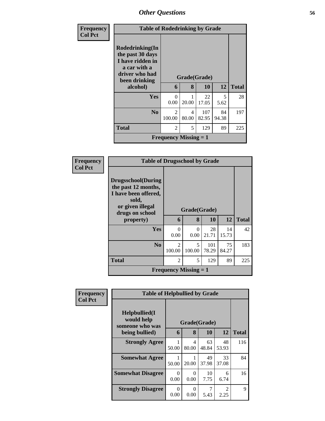| <b>Frequency</b> |                                                                                                            | <b>Table of Rodedrinking by Grade</b>     |            |              |             |              |  |  |  |
|------------------|------------------------------------------------------------------------------------------------------------|-------------------------------------------|------------|--------------|-------------|--------------|--|--|--|
| <b>Col Pct</b>   | Rodedrinking(In<br>the past 30 days<br>I have ridden in<br>a car with a<br>driver who had<br>been drinking | Grade(Grade)                              |            |              |             |              |  |  |  |
|                  | alcohol)                                                                                                   | 6                                         | 8          | 10           | 12          | <b>Total</b> |  |  |  |
|                  | Yes                                                                                                        | $\Omega$<br>0.00                          | 20.00      | 22<br>17.05  | 5<br>5.62   | 28           |  |  |  |
|                  | N <sub>0</sub>                                                                                             | $\mathcal{D}_{\mathcal{L}}$<br>100.00     | 4<br>80.00 | 107<br>82.95 | 84<br>94.38 | 197          |  |  |  |
|                  | <b>Total</b>                                                                                               | $\mathfrak{D}$                            | 5          | 129          | 89          | 225          |  |  |  |
|                  |                                                                                                            | <b>Frequency Missing <math>= 1</math></b> |            |              |             |              |  |  |  |

| <b>Frequency</b> | <b>Table of Drugsschool by Grade</b>                                                                                      |                              |                                    |              |             |              |  |  |
|------------------|---------------------------------------------------------------------------------------------------------------------------|------------------------------|------------------------------------|--------------|-------------|--------------|--|--|
| <b>Col Pct</b>   | <b>Drugsschool</b> (During<br>the past 12 months,<br>I have been offered,<br>sold,<br>or given illegal<br>drugs on school | Grade(Grade)                 |                                    |              |             |              |  |  |
|                  | property)                                                                                                                 | 6                            | 8                                  | 10           | 12          | <b>Total</b> |  |  |
|                  | Yes                                                                                                                       | 0<br>0.00                    | 0<br>0.00                          | 28<br>21.71  | 14<br>15.73 | 42           |  |  |
|                  | N <sub>0</sub>                                                                                                            | 2<br>100.00                  | $\overline{\phantom{0}}$<br>100.00 | 101<br>78.29 | 75<br>84.27 | 183          |  |  |
|                  | <b>Total</b>                                                                                                              | $\overline{2}$               | 5                                  | 129          | 89          | 225          |  |  |
|                  |                                                                                                                           | <b>Frequency Missing = 1</b> |                                    |              |             |              |  |  |

| Frequency      | <b>Table of Helpbullied by Grade</b>                 |              |                  |             |                        |              |
|----------------|------------------------------------------------------|--------------|------------------|-------------|------------------------|--------------|
| <b>Col Pct</b> | $Helpb$ ullied $(I$<br>would help<br>someone who was | Grade(Grade) |                  |             |                        |              |
|                | being bullied)                                       | 6            | 8                | 10          | 12                     | <b>Total</b> |
|                | <b>Strongly Agree</b>                                | 50.00        | 4<br>80.00       | 63<br>48.84 | 48<br>53.93            | 116          |
|                | <b>Somewhat Agree</b>                                | 50.00        | 20.00            | 49<br>37.98 | 33<br>37.08            | 84           |
|                | <b>Somewhat Disagree</b>                             | 0<br>0.00    | $\Omega$<br>0.00 | 10<br>7.75  | 6<br>6.74              | 16           |
|                | <b>Strongly Disagree</b>                             | 0<br>0.00    | 0<br>0.00        | 5.43        | $\mathfrak{D}$<br>2.25 | 9            |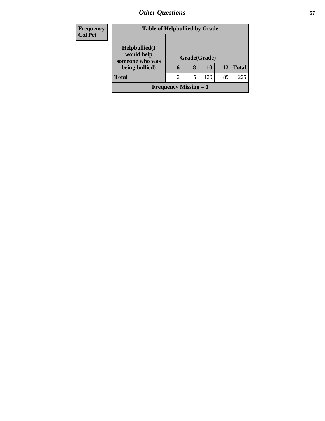| <b>Frequency</b> |                                                | <b>Table of Helpbullied by Grade</b> |   |              |    |              |  |  |
|------------------|------------------------------------------------|--------------------------------------|---|--------------|----|--------------|--|--|
| <b>Col Pct</b>   | Helpbullied(I<br>would help<br>someone who was |                                      |   | Grade(Grade) |    |              |  |  |
|                  | being bullied)                                 | 6                                    | 8 | 10           | 12 | <b>Total</b> |  |  |
|                  | <b>Total</b>                                   | 2                                    | 5 | 129          | 89 | 225          |  |  |
|                  | <b>Frequency Missing = 1</b>                   |                                      |   |              |    |              |  |  |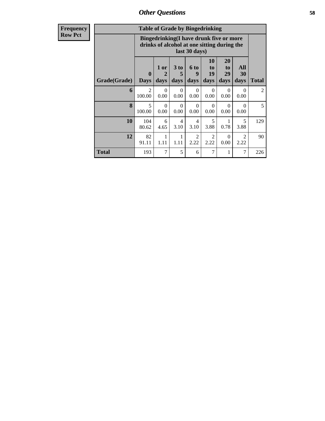| <b>Table of Grade by Bingedrinking</b> |                          |                                                                                                                |                        |                          |                        |                        |                        |                |
|----------------------------------------|--------------------------|----------------------------------------------------------------------------------------------------------------|------------------------|--------------------------|------------------------|------------------------|------------------------|----------------|
|                                        |                          | <b>Bingedrinking(I have drunk five or more</b><br>drinks of alcohol at one sitting during the<br>last 30 days) |                        |                          |                        |                        |                        |                |
| Grade(Grade)                           | 0<br><b>Days</b>         | 1 or<br>2<br>days                                                                                              | 3 to<br>days           | <b>6 to</b><br>9<br>days | 10<br>to<br>19<br>days | 20<br>to<br>29<br>days | All<br>30<br>days      | <b>Total</b>   |
| 6                                      | $\mathfrak{D}$<br>100.00 | $\Omega$<br>0.00                                                                                               | $\Omega$<br>0.00       | $\Omega$<br>0.00         | $\Omega$<br>0.00       | $\Omega$<br>0.00       | 0<br>0.00              | $\overline{2}$ |
| 8                                      | 5<br>100.00              | 0<br>0.00                                                                                                      | 0<br>0.00              | 0<br>0.00                | $\Omega$<br>0.00       | 0<br>0.00              | 0<br>0.00              | 5              |
| 10                                     | 104<br>80.62             | 6<br>4.65                                                                                                      | $\overline{4}$<br>3.10 | $\overline{4}$<br>3.10   | 5<br>3.88              | 1<br>0.78              | 5<br>3.88              | 129            |
| 12                                     | 82<br>91.11              | 1<br>1.11                                                                                                      | 1<br>1.11              | $\overline{2}$<br>2.22   | $\mathfrak{D}$<br>2.22 | $\Omega$<br>0.00       | $\mathfrak{D}$<br>2.22 | 90             |
| <b>Total</b>                           | 193                      | 7                                                                                                              | 5                      | 6                        | 7                      | 1                      | 7                      | 226            |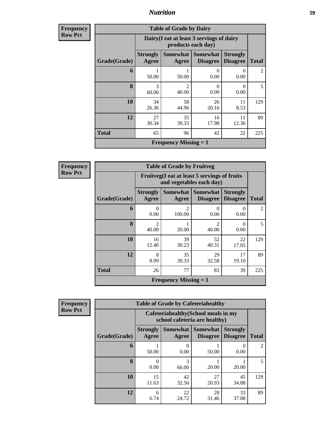**Frequency Row Pct**

| <b>Table of Grade by Dairy</b> |                          |                                                                                                               |                  |                  |     |  |  |  |  |
|--------------------------------|--------------------------|---------------------------------------------------------------------------------------------------------------|------------------|------------------|-----|--|--|--|--|
|                                |                          | Dairy (I eat at least 3 servings of dairy<br>products each day)                                               |                  |                  |     |  |  |  |  |
| Grade(Grade)                   | <b>Strongly</b><br>Agree | Somewhat<br><b>Somewhat</b><br><b>Strongly</b><br><b>Disagree</b><br><b>Disagree</b><br><b>Total</b><br>Agree |                  |                  |     |  |  |  |  |
| 6                              | 50.00                    | 50.00                                                                                                         | $\theta$<br>0.00 | $\theta$<br>0.00 | 2   |  |  |  |  |
| 8                              | 3<br>60.00               | $\mathcal{D}_{\mathcal{L}}$<br>40.00                                                                          | 0<br>0.00        | 0<br>0.00        | 5   |  |  |  |  |
| 10                             | 34<br>26.36              | 58<br>44.96                                                                                                   | 26<br>20.16      | 11<br>8.53       | 129 |  |  |  |  |
| 12                             | 27<br>30.34              | 35<br>39.33                                                                                                   | 16<br>17.98      | 11<br>12.36      | 89  |  |  |  |  |
| <b>Total</b>                   | 65                       | 96                                                                                                            | 42               | 22               | 225 |  |  |  |  |
|                                |                          | <b>Frequency Missing = 1</b>                                                                                  |                  |                  |     |  |  |  |  |

**Frequency Row Pct**

| <b>Table of Grade by Fruitveg</b> |                          |                                                                                                       |                           |             |                |  |  |  |
|-----------------------------------|--------------------------|-------------------------------------------------------------------------------------------------------|---------------------------|-------------|----------------|--|--|--|
|                                   |                          | Fruitveg(I eat at least 5 servings of fruits<br>and vegetables each day)                              |                           |             |                |  |  |  |
| Grade(Grade)                      | <b>Strongly</b><br>Agree | Somewhat   Somewhat<br><b>Strongly</b><br><b>Disagree</b><br><b>Disagree</b><br><b>Total</b><br>Agree |                           |             |                |  |  |  |
| 6                                 | 0<br>0.00                | $\mathcal{D}$<br>100.00                                                                               | $\mathbf{\Omega}$<br>0.00 | 0.00        | $\mathfrak{D}$ |  |  |  |
| 8                                 | $\mathfrak{D}$<br>40.00  | 20.00                                                                                                 | $\mathfrak{D}$<br>40.00   | 0<br>0.00   | 5              |  |  |  |
| 10                                | 16<br>12.40              | 39<br>30.23                                                                                           | 52<br>40.31               | 22<br>17.05 | 129            |  |  |  |
| 12                                | 8<br>8.99                | 35<br>39.33                                                                                           | 29<br>32.58               | 17<br>19.10 | 89             |  |  |  |
| <b>Total</b>                      | 26                       | 77                                                                                                    | 83                        | 39          | 225            |  |  |  |
|                                   |                          | <b>Frequency Missing = 1</b>                                                                          |                           |             |                |  |  |  |

| <b>Table of Grade by Cafeteriahealthy</b> |                          |                                                                       |                             |                                    |                |  |  |  |
|-------------------------------------------|--------------------------|-----------------------------------------------------------------------|-----------------------------|------------------------------------|----------------|--|--|--|
|                                           |                          | Cafeteriahealthy (School meals in my<br>school cafeteria are healthy) |                             |                                    |                |  |  |  |
| Grade(Grade)                              | <b>Strongly</b><br>Agree | <b>Somewhat</b><br>Agree                                              | <b>Somewhat</b><br>Disagree | <b>Strongly</b><br><b>Disagree</b> | <b>Total</b>   |  |  |  |
| 6                                         | 50.00                    | 0.00                                                                  | 50.00                       | 0.00                               | $\mathfrak{D}$ |  |  |  |
| 8                                         | 0.00                     | 3<br>60.00                                                            | 20.00                       | 20.00                              | 5              |  |  |  |
| 10                                        | 15<br>11.63              | 42<br>32.56                                                           | 27<br>20.93                 | 45<br>34.88                        | 129            |  |  |  |
| 12                                        | 6<br>6.74                | 22<br>24.72                                                           | 28<br>31.46                 | 33<br>37.08                        | 89             |  |  |  |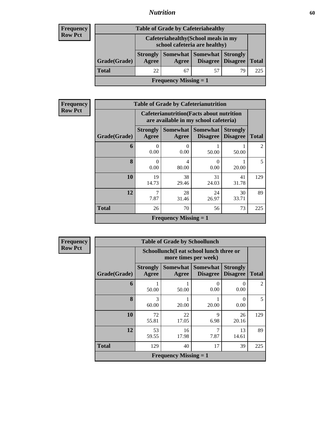### **Frequency Row Pct**

| <b>Table of Grade by Cafeteriahealthy</b> |                          |                                                                       |                     |                                             |              |  |  |
|-------------------------------------------|--------------------------|-----------------------------------------------------------------------|---------------------|---------------------------------------------|--------------|--|--|
|                                           |                          | Cafeteriahealthy (School meals in my<br>school cafeteria are healthy) |                     |                                             |              |  |  |
| Grade(Grade)                              | <b>Strongly</b><br>Agree | Agree                                                                 | Somewhat   Somewhat | <b>Strongly</b><br><b>Disagree</b> Disagree | <b>Total</b> |  |  |
| <b>Total</b>                              | 22                       | 67                                                                    | 57                  | 79                                          | 225          |  |  |
| <b>Frequency Missing = 1</b>              |                          |                                                                       |                     |                                             |              |  |  |

| <b>Frequency</b> |
|------------------|
| <b>Row Pct</b>   |

| <b>Table of Grade by Cafeterianutrition</b> |                          |                                                                                           |                                      |                                    |              |  |  |
|---------------------------------------------|--------------------------|-------------------------------------------------------------------------------------------|--------------------------------------|------------------------------------|--------------|--|--|
|                                             |                          | <b>Cafeterianutrition</b> (Facts about nutrition<br>are available in my school cafeteria) |                                      |                                    |              |  |  |
| Grade(Grade)                                | <b>Strongly</b><br>Agree | Agree                                                                                     | Somewhat Somewhat<br><b>Disagree</b> | <b>Strongly</b><br><b>Disagree</b> | <b>Total</b> |  |  |
| 6                                           | 0<br>0.00                | $\theta$<br>0.00                                                                          | 50.00                                | 50.00                              | 2            |  |  |
| 8                                           | 0<br>0.00                | 4<br>80.00                                                                                | $\Omega$<br>0.00                     | 20.00                              | 5            |  |  |
| 10                                          | 19<br>14.73              | 38<br>29.46                                                                               | 31<br>24.03                          | 41<br>31.78                        | 129          |  |  |
| 12                                          | 7.87                     | 28<br>31.46                                                                               | 24<br>26.97                          | 30<br>33.71                        | 89           |  |  |
| <b>Total</b>                                | 26                       | 70                                                                                        | 56                                   | 73                                 | 225          |  |  |
| <b>Frequency Missing = 1</b>                |                          |                                                                                           |                                      |                                    |              |  |  |

|              | <b>Table of Grade by Schoollunch</b> |                                                                 |                                    |                                    |                |  |  |  |
|--------------|--------------------------------------|-----------------------------------------------------------------|------------------------------------|------------------------------------|----------------|--|--|--|
|              |                                      | Schoollunch(I eat school lunch three or<br>more times per week) |                                    |                                    |                |  |  |  |
| Grade(Grade) | <b>Strongly</b><br>Agree             | Somewhat<br>Agree                                               | <b>Somewhat</b><br><b>Disagree</b> | <b>Strongly</b><br><b>Disagree</b> | <b>Total</b>   |  |  |  |
| 6            | 1<br>50.00                           | 50.00                                                           | 0<br>0.00                          | $\theta$<br>0.00                   | $\mathfrak{D}$ |  |  |  |
| 8            | 3<br>60.00                           | 20.00                                                           | 20.00                              | 0<br>0.00                          | 5              |  |  |  |
| 10           | 72<br>55.81                          | 22<br>17.05                                                     | $\mathbf Q$<br>6.98                | 26<br>20.16                        | 129            |  |  |  |
| 12           | 53<br>59.55                          | 16<br>17.98                                                     | 7<br>7.87                          | 13<br>14.61                        | 89             |  |  |  |
| <b>Total</b> | 129                                  | 40                                                              | 17                                 | 39                                 | 225            |  |  |  |
|              | <b>Frequency Missing = 1</b>         |                                                                 |                                    |                                    |                |  |  |  |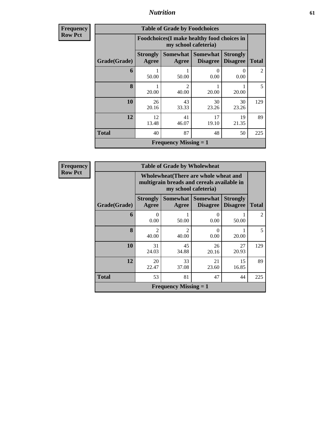| <b>Frequency</b><br>Row Pct |
|-----------------------------|
|                             |

| <b>Table of Grade by Foodchoices</b> |                          |                                                                                                                      |                  |             |                |  |  |  |
|--------------------------------------|--------------------------|----------------------------------------------------------------------------------------------------------------------|------------------|-------------|----------------|--|--|--|
|                                      |                          | Foodchoices (I make healthy food choices in<br>my school cafeteria)                                                  |                  |             |                |  |  |  |
| Grade(Grade)                         | <b>Strongly</b><br>Agree | <b>Somewhat</b><br><b>Somewhat</b><br><b>Strongly</b><br><b>Disagree</b><br><b>Disagree</b><br><b>Total</b><br>Agree |                  |             |                |  |  |  |
| 6                                    | 50.00                    | 50.00                                                                                                                | $\Omega$<br>0.00 | 0<br>0.00   | $\mathfrak{D}$ |  |  |  |
| 8                                    | 20.00                    | $\mathfrak{D}$<br>40.00                                                                                              | 20.00            | 20.00       | 5              |  |  |  |
| 10                                   | 26<br>20.16              | 43<br>33.33                                                                                                          | 30<br>23.26      | 30<br>23.26 | 129            |  |  |  |
| 12                                   | 12<br>13.48              | 41<br>46.07                                                                                                          | 17<br>19.10      | 19<br>21.35 | 89             |  |  |  |
| <b>Total</b>                         | 40                       | 87                                                                                                                   | 48               | 50          | 225            |  |  |  |
|                                      |                          | <b>Frequency Missing = 1</b>                                                                                         |                  |             |                |  |  |  |

| <b>Table of Grade by Wholewheat</b> |                              |                                                                                                                 |                  |             |                |  |  |  |
|-------------------------------------|------------------------------|-----------------------------------------------------------------------------------------------------------------|------------------|-------------|----------------|--|--|--|
|                                     |                              | Wholewheat (There are whole wheat and<br>multigrain breads and cereals available in<br>my school cafeteria)     |                  |             |                |  |  |  |
| Grade(Grade)                        | <b>Strongly</b><br>Agree     | Somewhat  <br><b>Somewhat</b><br><b>Strongly</b><br><b>Disagree</b><br><b>Total</b><br>Agree<br><b>Disagree</b> |                  |             |                |  |  |  |
| 6                                   | 0<br>0.00                    | 50.00                                                                                                           | 0<br>0.00        | 50.00       | $\overline{2}$ |  |  |  |
| 8                                   | $\mathfrak{D}$<br>40.00      | $\mathcal{D}_{\mathcal{L}}$<br>40.00                                                                            | $\Omega$<br>0.00 | 20.00       | 5              |  |  |  |
| 10                                  | 31<br>24.03                  | 45<br>34.88                                                                                                     | 26<br>20.16      | 27<br>20.93 | 129            |  |  |  |
| 12                                  | 20<br>22.47                  | 33<br>37.08                                                                                                     | 21<br>23.60      | 15<br>16.85 | 89             |  |  |  |
| <b>Total</b>                        | 53                           | 81                                                                                                              | 47               | 44          | 225            |  |  |  |
|                                     | <b>Frequency Missing = 1</b> |                                                                                                                 |                  |             |                |  |  |  |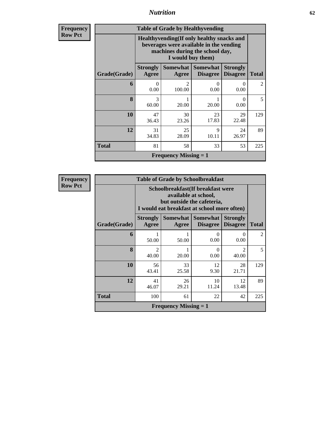| <b>Frequency</b><br>Row Pct |
|-----------------------------|
|                             |

| <b>Table of Grade by Healthyvending</b> |                              |                                                                                                                                               |                             |                                    |                |  |  |  |
|-----------------------------------------|------------------------------|-----------------------------------------------------------------------------------------------------------------------------------------------|-----------------------------|------------------------------------|----------------|--|--|--|
|                                         |                              | Healthyvending (If only healthy snacks and<br>beverages were available in the vending<br>machines during the school day,<br>I would buy them) |                             |                                    |                |  |  |  |
| Grade(Grade)                            | <b>Strongly</b><br>Agree     | <b>Somewhat</b><br>Agree                                                                                                                      | Somewhat<br><b>Disagree</b> | <b>Strongly</b><br><b>Disagree</b> | <b>Total</b>   |  |  |  |
| 6                                       | 0<br>0.00                    | $\mathcal{D}_{\mathcal{L}}$<br>100.00                                                                                                         | $\Omega$<br>0.00            | 0<br>0.00                          | $\mathfrak{D}$ |  |  |  |
| 8                                       | 3<br>60.00                   | 20.00                                                                                                                                         | 1<br>20.00                  | 0<br>0.00                          | 5              |  |  |  |
| 10                                      | 47<br>36.43                  | 30<br>23.26                                                                                                                                   | 23<br>17.83                 | 29<br>22.48                        | 129            |  |  |  |
| 12                                      | 31<br>34.83                  | 25<br>28.09                                                                                                                                   | $\mathbf Q$<br>10.11        | 24<br>26.97                        | 89             |  |  |  |
| <b>Total</b>                            | 81                           | 58                                                                                                                                            | 33                          | 53                                 | 225            |  |  |  |
|                                         | <b>Frequency Missing = 1</b> |                                                                                                                                               |                             |                                    |                |  |  |  |

| <b>Table of Grade by Schoolbreakfast</b> |                                                                                                                                           |                                                                                                                                         |             |                         |                |  |  |  |
|------------------------------------------|-------------------------------------------------------------------------------------------------------------------------------------------|-----------------------------------------------------------------------------------------------------------------------------------------|-------------|-------------------------|----------------|--|--|--|
|                                          |                                                                                                                                           | Schoolbreakfast (If breakfast were<br>available at school,<br>but outside the cafeteria,<br>I would eat breakfast at school more often) |             |                         |                |  |  |  |
| Grade(Grade)                             | Somewhat<br><b>Somewhat</b><br><b>Strongly</b><br><b>Strongly</b><br><b>Disagree</b><br>Agree<br><b>Total</b><br><b>Disagree</b><br>Agree |                                                                                                                                         |             |                         |                |  |  |  |
| 6                                        | 50.00                                                                                                                                     | 50.00                                                                                                                                   | 0<br>0.00   | 0<br>0.00               | $\overline{2}$ |  |  |  |
| $\bf{8}$                                 | $\mathfrak{D}$<br>40.00                                                                                                                   | 20.00                                                                                                                                   | 0<br>0.00   | $\mathfrak{D}$<br>40.00 | 5              |  |  |  |
| 10                                       | 56<br>43.41                                                                                                                               | 33<br>25.58                                                                                                                             | 12<br>9.30  | 28<br>21.71             | 129            |  |  |  |
| 12                                       | 41<br>46.07                                                                                                                               | 26<br>29.21                                                                                                                             | 10<br>11.24 | 12<br>13.48             | 89             |  |  |  |
| <b>Total</b>                             | 100                                                                                                                                       | 61                                                                                                                                      | 22          | 42                      | 225            |  |  |  |
|                                          | <b>Frequency Missing = 1</b>                                                                                                              |                                                                                                                                         |             |                         |                |  |  |  |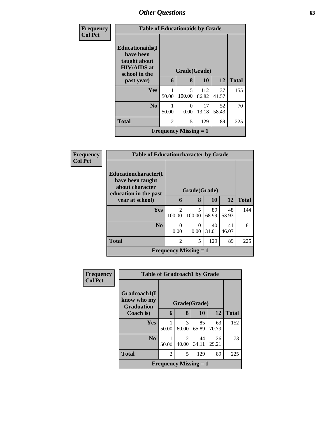| <b>Frequency</b> | <b>Table of Educationaids by Grade</b>                                                      |                |                                           |              |             |              |
|------------------|---------------------------------------------------------------------------------------------|----------------|-------------------------------------------|--------------|-------------|--------------|
| <b>Col Pct</b>   | <b>Educationaids</b> (I<br>have been<br>taught about<br><b>HIV/AIDS</b> at<br>school in the | Grade(Grade)   |                                           |              |             |              |
|                  | past year)                                                                                  | 6              | 8                                         | 10           | 12          | <b>Total</b> |
|                  | Yes                                                                                         | 50.00          | 5<br>100.00                               | 112<br>86.82 | 37<br>41.57 | 155          |
|                  | N <sub>0</sub>                                                                              | 50.00          | $\Omega$<br>0.00                          | 17<br>13.18  | 52<br>58.43 | 70           |
|                  | <b>Total</b>                                                                                | $\mathfrak{D}$ | 5                                         | 129          | 89          | 225          |
|                  |                                                                                             |                | <b>Frequency Missing <math>= 1</math></b> |              |             |              |

| <b>Frequency</b> | <b>Table of Educationcharacter by Grade</b> |                                       |                  |             |             |              |
|------------------|---------------------------------------------|---------------------------------------|------------------|-------------|-------------|--------------|
| <b>Col Pct</b>   | Educationcharacter(I<br>have been taught    |                                       |                  |             |             |              |
|                  | about character<br>education in the past    | Grade(Grade)                          |                  |             |             |              |
|                  | year at school)                             | 6                                     | 8                | 10          | <b>12</b>   | <b>Total</b> |
|                  | Yes                                         | $\mathcal{D}_{\mathcal{A}}$<br>100.00 | 5<br>100.00      | 89<br>68.99 | 48<br>53.93 | 144          |
|                  | N <sub>0</sub>                              | 0<br>0.00                             | $\Omega$<br>0.00 | 40<br>31.01 | 41<br>46.07 | 81           |
|                  | <b>Total</b>                                | $\overline{2}$                        | 5                | 129         | 89          | 225          |
|                  |                                             | <b>Frequency Missing = 1</b>          |                  |             |             |              |

| <b>Frequency</b> | <b>Table of Gradcoach1 by Grade</b>              |                |            |             |             |              |  |  |
|------------------|--------------------------------------------------|----------------|------------|-------------|-------------|--------------|--|--|
| <b>Col Pct</b>   | Gradcoach1(I<br>know who my<br><b>Graduation</b> | Grade(Grade)   |            |             |             |              |  |  |
|                  | Coach is)                                        | 6              | 8          | <b>10</b>   | 12          | <b>Total</b> |  |  |
|                  | Yes                                              | 50.00          | 3<br>60.00 | 85<br>65.89 | 63<br>70.79 | 152          |  |  |
|                  | N <sub>0</sub>                                   | 50.00          | 2<br>40.00 | 44<br>34.11 | 26<br>29.21 | 73           |  |  |
|                  | <b>Total</b>                                     | $\overline{2}$ | 5          | 129         | 89          | 225          |  |  |
|                  | <b>Frequency Missing = 1</b>                     |                |            |             |             |              |  |  |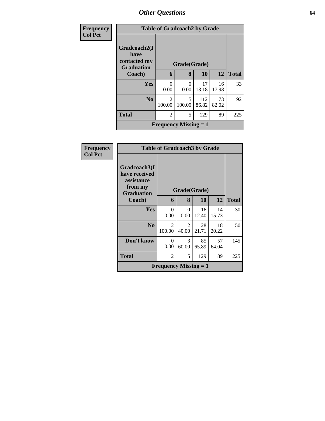| Frequency      |                                                           | <b>Table of Gradcoach2 by Grade</b> |                  |              |             |              |  |
|----------------|-----------------------------------------------------------|-------------------------------------|------------------|--------------|-------------|--------------|--|
| <b>Col Pct</b> | Gradcoach2(I<br>have<br>contacted my<br><b>Graduation</b> | Grade(Grade)                        |                  |              |             |              |  |
|                | Coach)                                                    | 6                                   | 8                | 10           | 12          | <b>Total</b> |  |
|                | <b>Yes</b>                                                | 0<br>0.00                           | $\Omega$<br>0.00 | 17<br>13.18  | 16<br>17.98 | 33           |  |
|                | N <sub>0</sub>                                            | $\mathfrak{D}$<br>100.00            | 5<br>100.00      | 112<br>86.82 | 73<br>82.02 | 192          |  |
|                | <b>Total</b>                                              | 2                                   | 5                | 129          | 89          | 225          |  |
|                | <b>Frequency Missing = 1</b>                              |                                     |                  |              |             |              |  |

| Frequency<br><b>Col Pct</b> |                                                                             | <b>Table of Gradcoach3 by Grade</b> |                  |             |             |              |  |  |
|-----------------------------|-----------------------------------------------------------------------------|-------------------------------------|------------------|-------------|-------------|--------------|--|--|
|                             | Gradcoach3(I<br>have received<br>assistance<br>from my<br><b>Graduation</b> |                                     | Grade(Grade)     |             |             |              |  |  |
|                             | Coach)                                                                      | 6                                   | 8                | 10          | 12          | <b>Total</b> |  |  |
|                             | <b>Yes</b>                                                                  | $\Omega$<br>0.00                    | $\Omega$<br>0.00 | 16<br>12.40 | 14<br>15.73 | 30           |  |  |
|                             | N <sub>0</sub>                                                              | 2<br>100.00                         | 2<br>40.00       | 28<br>21.71 | 18<br>20.22 | 50           |  |  |
|                             | Don't know                                                                  | $\Omega$<br>0.00                    | 3<br>60.00       | 85<br>65.89 | 57<br>64.04 | 145          |  |  |
|                             | <b>Total</b>                                                                | $\overline{2}$                      | 5                | 129         | 89          | 225          |  |  |
|                             | <b>Frequency Missing = 1</b>                                                |                                     |                  |             |             |              |  |  |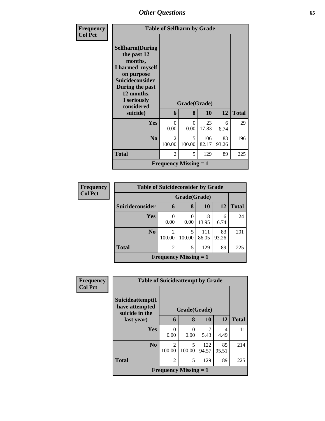| Frequency<br><b>Col Pct</b> |                                                                                                                                                                                        | <b>Table of Selfharm by Grade</b> |                              |              |             |              |  |  |
|-----------------------------|----------------------------------------------------------------------------------------------------------------------------------------------------------------------------------------|-----------------------------------|------------------------------|--------------|-------------|--------------|--|--|
|                             | <b>Selfharm</b> (During<br>the past 12<br>months,<br>I harmed myself<br>on purpose<br><b>Suicideconsider</b><br>During the past<br>12 months,<br>I seriously<br>considered<br>suicide) | 6                                 | Grade(Grade)<br>8            | 10           | 12          | <b>Total</b> |  |  |
|                             | <b>Yes</b>                                                                                                                                                                             | $\Omega$<br>0.00                  | $\Omega$<br>0.00             | 23<br>17.83  | 6<br>6.74   | 29           |  |  |
|                             | N <sub>0</sub>                                                                                                                                                                         | $\mathfrak{D}$<br>100.00          | 5<br>100.00                  | 106<br>82.17 | 83<br>93.26 | 196          |  |  |
|                             | Total                                                                                                                                                                                  | $\overline{2}$                    | 5                            | 129          | 89          | 225          |  |  |
|                             |                                                                                                                                                                                        |                                   | <b>Frequency Missing = 1</b> |              |             |              |  |  |

| <b>Frequency</b> | <b>Table of Suicideconsider by Grade</b> |                          |                              |              |             |              |  |  |  |
|------------------|------------------------------------------|--------------------------|------------------------------|--------------|-------------|--------------|--|--|--|
| <b>Col Pct</b>   |                                          |                          | Grade(Grade)                 |              |             |              |  |  |  |
|                  | Suicideconsider                          | 6                        | 8                            | 10           | 12          | <b>Total</b> |  |  |  |
|                  | <b>Yes</b>                               | 0.00                     | 0<br>0.00                    | 18<br>13.95  | 6<br>6.74   | 24           |  |  |  |
|                  | N <sub>o</sub>                           | $\mathfrak{D}$<br>100.00 | 5<br>100.00                  | 111<br>86.05 | 83<br>93.26 | 201          |  |  |  |
|                  | <b>Total</b>                             | 2                        | 5                            | 129          | 89          | 225          |  |  |  |
|                  |                                          |                          | <b>Frequency Missing = 1</b> |              |             |              |  |  |  |

| Frequency      | <b>Table of Suicideattempt by Grade</b>              |                              |             |              |             |              |
|----------------|------------------------------------------------------|------------------------------|-------------|--------------|-------------|--------------|
| <b>Col Pct</b> | Suicideattempt(I<br>have attempted<br>suicide in the | Grade(Grade)                 |             |              |             |              |
|                | last year)                                           | 6                            | 8           | 10           | 12          | <b>Total</b> |
|                | <b>Yes</b>                                           | 0<br>0.00                    | 0<br>0.00   | 7<br>5.43    | 4<br>4.49   | 11           |
|                | N <sub>0</sub>                                       | $\mathfrak{D}$<br>100.00     | 5<br>100.00 | 122<br>94.57 | 85<br>95.51 | 214          |
|                | <b>Total</b>                                         | $\overline{2}$               | 5           | 129          | 89          | 225          |
|                |                                                      | <b>Frequency Missing = 1</b> |             |              |             |              |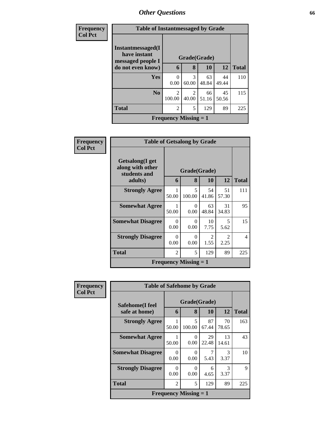| <b>Frequency</b> | <b>Table of Instantmessaged by Grade</b>               |                                       |            |             |             |              |  |  |  |
|------------------|--------------------------------------------------------|---------------------------------------|------------|-------------|-------------|--------------|--|--|--|
| <b>Col Pct</b>   | Instantmessaged(I<br>have instant<br>messaged people I | Grade(Grade)                          |            |             |             |              |  |  |  |
|                  | do not even know)                                      | 6                                     | 8          | 10          | 12          | <b>Total</b> |  |  |  |
|                  | Yes                                                    | 0<br>0.00                             | 3<br>60.00 | 63<br>48.84 | 44<br>49.44 | 110          |  |  |  |
|                  | N <sub>0</sub>                                         | $\mathcal{D}_{\mathcal{L}}$<br>100.00 | 2<br>40.00 | 66<br>51.16 | 45<br>50.56 | 115          |  |  |  |
|                  | <b>Total</b>                                           | $\overline{c}$                        | 5          | 129         | 89          | 225          |  |  |  |
|                  | <b>Frequency Missing = 1</b>                           |                                       |            |             |             |              |  |  |  |

| Frequency      | <b>Table of Getsalong by Grade</b>                  |                  |                              |             |                        |              |
|----------------|-----------------------------------------------------|------------------|------------------------------|-------------|------------------------|--------------|
| <b>Col Pct</b> | Getsalong(I get<br>along with other<br>students and | Grade(Grade)     |                              |             |                        |              |
|                | adults)                                             | 6                | 8                            | 10          | 12                     | <b>Total</b> |
|                | <b>Strongly Agree</b>                               | 50.00            | 5<br>100.00                  | 54<br>41.86 | 51<br>57.30            | 111          |
|                | <b>Somewhat Agree</b>                               | 50.00            | 0<br>0.00                    | 63<br>48.84 | 31<br>34.83            | 95           |
|                | <b>Somewhat Disagree</b>                            | $\Omega$<br>0.00 | $\Omega$<br>0.00             | 10<br>7.75  | 5<br>5.62              | 15           |
|                | <b>Strongly Disagree</b>                            | 0<br>0.00        | $\Omega$<br>0.00             | 2<br>1.55   | $\mathfrak{D}$<br>2.25 | 4            |
|                | <b>Total</b>                                        | $\mathfrak{D}$   | 5                            | 129         | 89                     | 225          |
|                |                                                     |                  | <b>Frequency Missing = 1</b> |             |                        |              |

| Frequency      | <b>Table of Safehome by Grade</b> |                  |                              |             |             |              |  |  |
|----------------|-----------------------------------|------------------|------------------------------|-------------|-------------|--------------|--|--|
| <b>Col Pct</b> | Safehome(I feel<br>safe at home)  | 6                | Grade(Grade)<br>8            | <b>10</b>   | 12          | <b>Total</b> |  |  |
|                | <b>Strongly Agree</b>             | 50.00            | 5<br>100.00                  | 87<br>67.44 | 70<br>78.65 | 163          |  |  |
|                | <b>Somewhat Agree</b>             | 50.00            | 0<br>0.00                    | 29<br>22.48 | 13<br>14.61 | 43           |  |  |
|                | <b>Somewhat Disagree</b>          | $\Omega$<br>0.00 | 0<br>0.00                    | 7<br>5.43   | 3<br>3.37   | 10           |  |  |
|                | <b>Strongly Disagree</b>          | $\Omega$<br>0.00 | 0<br>0.00                    | 6<br>4.65   | 3<br>3.37   | 9            |  |  |
|                | <b>Total</b>                      | $\overline{2}$   | 5                            | 129         | 89          | 225          |  |  |
|                |                                   |                  | <b>Frequency Missing = 1</b> |             |             |              |  |  |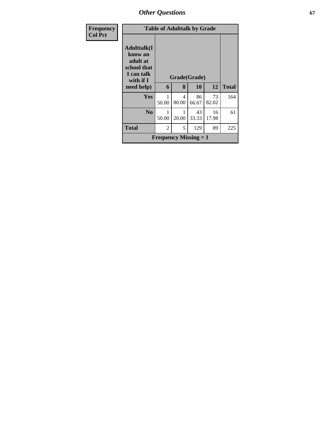*Other Questions* **67**

| <b>Frequency</b> |                                                                                     | <b>Table of Adulttalk by Grade</b> |            |                              |             |              |  |  |
|------------------|-------------------------------------------------------------------------------------|------------------------------------|------------|------------------------------|-------------|--------------|--|--|
| <b>Col Pct</b>   | <b>Adulttalk(I</b><br>know an<br>adult at<br>school that<br>I can talk<br>with if I | Grade(Grade)                       |            |                              |             |              |  |  |
|                  | need help)                                                                          | 6                                  | 8          | 10                           | 12          | <b>Total</b> |  |  |
|                  | <b>Yes</b>                                                                          | 50.00                              | 4<br>80.00 | 86<br>66.67                  | 73<br>82.02 | 164          |  |  |
|                  | $\bf No$                                                                            | 50.00                              | 20.00      | 43<br>33.33                  | 16<br>17.98 | 61           |  |  |
|                  | <b>Total</b>                                                                        | $\overline{2}$                     | 5          | 129                          | 89          | 225          |  |  |
|                  |                                                                                     |                                    |            | <b>Frequency Missing = 1</b> |             |              |  |  |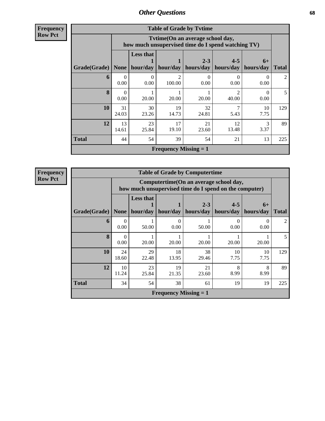**Frequency Row Pct**

| <b>Table of Grade by Tvtime</b> |                  |                                                                                        |                              |                      |                          |                   |              |  |  |
|---------------------------------|------------------|----------------------------------------------------------------------------------------|------------------------------|----------------------|--------------------------|-------------------|--------------|--|--|
|                                 |                  | Tvtime(On an average school day,<br>how much unsupervised time do I spend watching TV) |                              |                      |                          |                   |              |  |  |
| <b>Grade</b> (Grade)            | None $ $         | <b>Less that</b><br>hour/day                                                           | hour/day                     | $2 - 3$<br>hours/day | $4 - 5$<br>hours/day     | $6+$<br>hours/day | <b>Total</b> |  |  |
| 6                               | 0<br>0.00        | $\Omega$<br>0.00                                                                       | っ<br>100.00                  | 0<br>0.00            | $\left( \right)$<br>0.00 | $\Omega$<br>0.00  | 2            |  |  |
| 8                               | $\Omega$<br>0.00 | 20.00                                                                                  | 20.00                        | 20.00                | っ<br>40.00               | 0<br>0.00         | 5            |  |  |
| 10                              | 31<br>24.03      | 30<br>23.26                                                                            | 19<br>14.73                  | 32<br>24.81          | 7<br>5.43                | 10<br>7.75        | 129          |  |  |
| 12                              | 13<br>14.61      | 23<br>25.84                                                                            | 17<br>19.10                  | 21<br>23.60          | 12<br>13.48              | 3<br>3.37         | 89           |  |  |
| <b>Total</b>                    | 44               | 54                                                                                     | 39                           | 54                   | 21                       | 13                | 225          |  |  |
|                                 |                  |                                                                                        | <b>Frequency Missing = 1</b> |                      |                          |                   |              |  |  |

| <b>Table of Grade by Computertime</b> |                          |                                                                                                                               |                              |             |                           |            |                |  |  |  |
|---------------------------------------|--------------------------|-------------------------------------------------------------------------------------------------------------------------------|------------------------------|-------------|---------------------------|------------|----------------|--|--|--|
|                                       |                          | Computertime(On an average school day,<br>how much unsupervised time do I spend on the computer)                              |                              |             |                           |            |                |  |  |  |
| Grade(Grade)                          | None                     | <b>Less that</b><br>$2 - 3$<br>$4 - 5$<br>$6+$<br>hour/day<br>hour/day<br>hours/day<br>hours/day<br>hours/day<br><b>Total</b> |                              |             |                           |            |                |  |  |  |
| 6                                     | $\left( \right)$<br>0.00 | 50.00                                                                                                                         | 0<br>0.00                    | 50.00       | $\mathbf{\Omega}$<br>0.00 | 0<br>0.00  | $\mathfrak{D}$ |  |  |  |
| 8                                     | 0<br>0.00                | 20.00                                                                                                                         | 20.00                        | 20.00       | 20.00                     | 20.00      | 5              |  |  |  |
| 10                                    | 24<br>18.60              | 29<br>22.48                                                                                                                   | 18<br>13.95                  | 38<br>29.46 | 10<br>7.75                | 10<br>7.75 | 129            |  |  |  |
| 12                                    | 10<br>11.24              | 23<br>25.84                                                                                                                   | 19<br>21.35                  | 21<br>23.60 | 8<br>8.99                 | 8<br>8.99  | 89             |  |  |  |
| <b>Total</b>                          | 34                       | 54<br>38<br>19<br>225<br>61<br>19                                                                                             |                              |             |                           |            |                |  |  |  |
|                                       |                          |                                                                                                                               | <b>Frequency Missing = 1</b> |             |                           |            |                |  |  |  |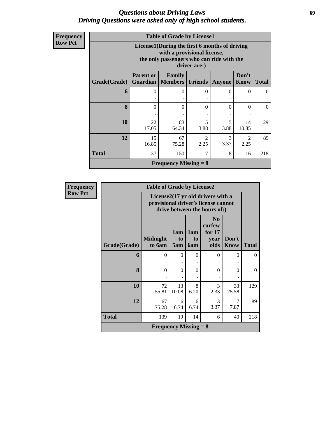## *Questions about Driving Laws* **69** *Driving Questions were asked only of high school students.*

| Frequency |  |
|-----------|--|
| Row Pct   |  |

| <b>Table of Grade by License1</b> |                                                                                                                                           |                                                                                                 |                        |           |                        |     |  |  |  |  |
|-----------------------------------|-------------------------------------------------------------------------------------------------------------------------------------------|-------------------------------------------------------------------------------------------------|------------------------|-----------|------------------------|-----|--|--|--|--|
|                                   | License1(During the first 6 months of driving<br>with a provisional license,<br>the only passengers who can ride with the<br>driver are:) |                                                                                                 |                        |           |                        |     |  |  |  |  |
| Grade(Grade)                      | <b>Parent or</b>                                                                                                                          | Don't<br>Family<br><b>Guardian   Members   Friends</b><br><b>Know</b><br>Anyone<br><b>Total</b> |                        |           |                        |     |  |  |  |  |
| 6                                 | $\mathbf{\Omega}$                                                                                                                         | 0                                                                                               | $\Omega$               | $\Omega$  | 0                      | 0   |  |  |  |  |
| 8                                 | 0                                                                                                                                         | $\Omega$                                                                                        | $\Omega$               | $\Omega$  | 0                      | 0   |  |  |  |  |
| 10                                | 22<br>17.05                                                                                                                               | 83<br>64.34                                                                                     | 5<br>3.88              | 5<br>3.88 | 14<br>10.85            | 129 |  |  |  |  |
| 12                                | 15<br>16.85                                                                                                                               | 67<br>75.28                                                                                     | $\mathfrak{D}$<br>2.25 | 3<br>3.37 | $\overline{2}$<br>2.25 | 89  |  |  |  |  |
| <b>Total</b>                      | 37                                                                                                                                        | 7<br>8<br>150<br>16                                                                             |                        |           |                        |     |  |  |  |  |
| <b>Frequency Missing = 8</b>      |                                                                                                                                           |                                                                                                 |                        |           |                        |     |  |  |  |  |

| Frequency      | <b>Table of Grade by License2</b>                                                                        |                              |                  |                         |                                                      |                      |              |  |  |  |
|----------------|----------------------------------------------------------------------------------------------------------|------------------------------|------------------|-------------------------|------------------------------------------------------|----------------------|--------------|--|--|--|
| <b>Row Pct</b> | License2(17 yr old drivers with a<br>provisional driver's license cannot<br>drive between the hours of:) |                              |                  |                         |                                                      |                      |              |  |  |  |
|                | Grade(Grade)                                                                                             | <b>Midnight</b><br>to 6am    | 1am<br>to<br>5am | 1am<br>to<br><b>6am</b> | N <sub>0</sub><br>curfew<br>for $17$<br>year<br>olds | Don't<br><b>Know</b> | <b>Total</b> |  |  |  |
|                | 6                                                                                                        | $\Omega$                     | $\Omega$         | $\Omega$<br>٠           | $\Omega$                                             | $\Omega$             | $\Omega$     |  |  |  |
|                | 8                                                                                                        | $\Omega$                     | $\Omega$         | $\Omega$<br>٠           | $\theta$                                             | $\Omega$             | $\Omega$     |  |  |  |
|                | 10                                                                                                       | 72<br>55.81                  | 13<br>10.08      | 8<br>6.20               | 3<br>2.33                                            | 33<br>25.58          | 129          |  |  |  |
|                | 12                                                                                                       | 67<br>75.28                  | 6<br>6.74        | 6<br>6.74               | 3<br>3.37                                            | 7<br>7.87            | 89           |  |  |  |
|                | <b>Total</b>                                                                                             | 139                          | 19               | 14                      | 6                                                    | 40                   | 218          |  |  |  |
|                |                                                                                                          | <b>Frequency Missing = 8</b> |                  |                         |                                                      |                      |              |  |  |  |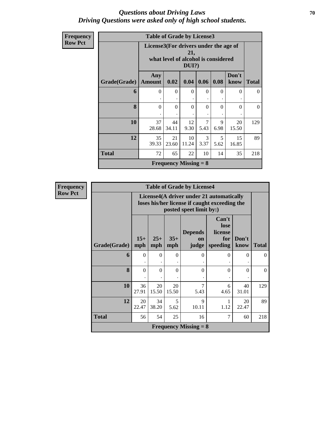## *Questions about Driving Laws* **70** *Driving Questions were asked only of high school students.*

| Frequency      | <b>Table of Grade by License3</b> |                                                                              |             |                              |           |           |               |              |
|----------------|-----------------------------------|------------------------------------------------------------------------------|-------------|------------------------------|-----------|-----------|---------------|--------------|
| <b>Row Pct</b> |                                   | License3(For drivers under the age of<br>what level of alcohol is considered |             |                              |           |           |               |              |
|                | Grade(Grade)                      | Any<br><b>Amount</b>                                                         | 0.02        | 0.04                         | 0.06      | 0.08      | Don't<br>know | <b>Total</b> |
|                | 6                                 | $\Omega$                                                                     | $\Omega$    | $\mathbf{0}$<br>٠            | $\Omega$  | $\Omega$  | $\theta$      | $\Omega$     |
|                | 8                                 | $\theta$                                                                     | $\Omega$    | $\Omega$                     | $\theta$  | $\Omega$  | $\theta$      | $\Omega$     |
|                | 10                                | 37<br>28.68                                                                  | 44<br>34.11 | 12<br>9.30                   | 7<br>5.43 | 9<br>6.98 | 20<br>15.50   | 129          |
|                | 12                                | 35<br>39.33                                                                  | 21<br>23.60 | 10<br>11.24                  | 3<br>3.37 | 5<br>5.62 | 15<br>16.85   | 89           |
|                | <b>Total</b>                      | 72                                                                           | 65          | 22                           | 10        | 14        | 35            | 218          |
|                |                                   |                                                                              |             | <b>Frequency Missing = 8</b> |           |           |               |              |

| <b>Frequency</b> | <b>Table of Grade by License4</b> |              |              |                |                               |                                                                                           |               |              |  |  |
|------------------|-----------------------------------|--------------|--------------|----------------|-------------------------------|-------------------------------------------------------------------------------------------|---------------|--------------|--|--|
| <b>Row Pct</b>   |                                   |              |              |                | posted speet limit by:)       | License4(A driver under 21 automatically<br>loses his/her license if caught exceeding the |               |              |  |  |
|                  | Grade(Grade)                      | $15+$<br>mph | $25+$<br>mph | $35+$<br>mph   | <b>Depends</b><br>on<br>judge | Can't<br>lose<br>license<br>for<br>speeding                                               | Don't<br>know | <b>Total</b> |  |  |
|                  | 6                                 | $\Omega$     | $\theta$     | $\overline{0}$ | $\Omega$                      | $\Omega$                                                                                  | $\Omega$      | $\Omega$     |  |  |
|                  | 8                                 | $\theta$     | $\theta$     | $\Omega$       | $\Omega$                      | $\Omega$                                                                                  | $\Omega$      | $\Omega$     |  |  |
|                  | 10                                | 36<br>27.91  | 20<br>15.50  | 20<br>15.50    | 7<br>5.43                     | 6<br>4.65                                                                                 | 40<br>31.01   | 129          |  |  |
|                  | 12                                | 20<br>22.47  | 34<br>38.20  | 5<br>5.62      | $\mathbf Q$<br>10.11          | 1.12                                                                                      | 20<br>22.47   | 89           |  |  |
|                  | <b>Total</b>                      | 56           | 54           | 25             | 16                            | 7                                                                                         | 60            | 218          |  |  |
|                  | <b>Frequency Missing = 8</b>      |              |              |                |                               |                                                                                           |               |              |  |  |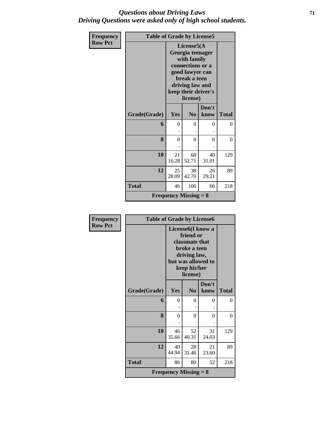## *Questions about Driving Laws* **71** *Driving Questions were asked only of high school students.*

| Frequency      | <b>Table of Grade by License5</b> |                                                                                                                                                            |                |               |              |  |  |
|----------------|-----------------------------------|------------------------------------------------------------------------------------------------------------------------------------------------------------|----------------|---------------|--------------|--|--|
| <b>Row Pct</b> |                                   | License5(A<br>Georgia teenager<br>with family<br>connections or a<br>good lawyer can<br>break a teen<br>driving law and<br>keep their driver's<br>license) |                |               |              |  |  |
|                | Grade(Grade)                      | Yes                                                                                                                                                        | N <sub>0</sub> | Don't<br>know | <b>Total</b> |  |  |
|                | 6                                 | $\theta$                                                                                                                                                   | $\theta$       | $\theta$      | $\Omega$     |  |  |
|                | 8                                 | $\overline{0}$                                                                                                                                             | $\theta$       | $\theta$      | $\theta$     |  |  |
|                | 10                                | 21<br>16.28                                                                                                                                                | 68<br>52.71    | 40<br>31.01   | 129          |  |  |
|                | 12                                | 25<br>28.09                                                                                                                                                | 38<br>42.70    | 26<br>29.21   | 89           |  |  |
|                | <b>Total</b>                      | 46                                                                                                                                                         | 106            | 66            | 218          |  |  |
|                |                                   | <b>Frequency Missing = 8</b>                                                                                                                               |                |               |              |  |  |

| <b>Frequency</b> | <b>Table of Grade by License6</b> |                                                                                                                                    |                              |               |              |  |
|------------------|-----------------------------------|------------------------------------------------------------------------------------------------------------------------------------|------------------------------|---------------|--------------|--|
| <b>Row Pct</b>   |                                   | License6(I know a<br>friend or<br>classmate that<br>broke a teen<br>driving law,<br>but was allowed to<br>keep his/her<br>license) |                              |               |              |  |
|                  | Grade(Grade)                      | Yes                                                                                                                                | N <sub>0</sub>               | Don't<br>know | <b>Total</b> |  |
|                  | 6                                 | $\theta$                                                                                                                           | $\Omega$                     | $\theta$      | $\theta$     |  |
|                  | 8                                 | $\theta$                                                                                                                           | $\theta$                     | $\theta$      | 0            |  |
|                  | 10                                | 46<br>35.66                                                                                                                        | 52<br>40.31                  | 31<br>24.03   | 129          |  |
|                  | 12                                | 40<br>44.94                                                                                                                        | 28<br>31.46                  | 21<br>23.60   | 89           |  |
|                  | <b>Total</b>                      | 86                                                                                                                                 | 80                           | 52            | 218          |  |
|                  |                                   |                                                                                                                                    | <b>Frequency Missing = 8</b> |               |              |  |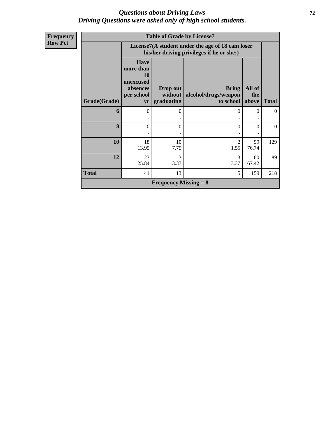## *Questions about Driving Laws* **72** *Driving Questions were asked only of high school students.*

| <b>Frequency</b> | <b>Table of Grade by License7</b> |                                                                                               |                              |                                                   |                        |                |  |  |  |  |
|------------------|-----------------------------------|-----------------------------------------------------------------------------------------------|------------------------------|---------------------------------------------------|------------------------|----------------|--|--|--|--|
| <b>Row Pct</b>   |                                   | License7(A student under the age of 18 cam loser<br>his/her driving privileges if he or she:) |                              |                                                   |                        |                |  |  |  |  |
|                  |                                   | <b>Have</b><br>more than<br><b>10</b><br>unexcused<br>absences<br>per school                  | Drop out<br>without          | <b>Bring</b><br>alcohol/drugs/weapon<br>to school | All of<br>the<br>above | <b>Total</b>   |  |  |  |  |
|                  | Grade(Grade)                      | yr                                                                                            | graduating                   |                                                   |                        |                |  |  |  |  |
|                  | 6                                 | $\Omega$                                                                                      | $\Omega$                     | $\Omega$                                          | $\Omega$<br>٠          | $\theta$       |  |  |  |  |
|                  | 8                                 | $\theta$                                                                                      | $\Omega$                     | $\mathbf{0}$                                      | $\theta$               | $\overline{0}$ |  |  |  |  |
|                  | 10                                | 18<br>13.95                                                                                   | 10<br>7.75                   | 2<br>1.55                                         | 99<br>76.74            | 129            |  |  |  |  |
|                  | 12                                | 23<br>25.84                                                                                   | 3<br>3.37                    | 3<br>3.37                                         | 60<br>67.42            | 89             |  |  |  |  |
|                  | <b>Total</b>                      | 41                                                                                            | 13                           | 5                                                 | 159                    | 218            |  |  |  |  |
|                  |                                   |                                                                                               | <b>Frequency Missing = 8</b> |                                                   |                        |                |  |  |  |  |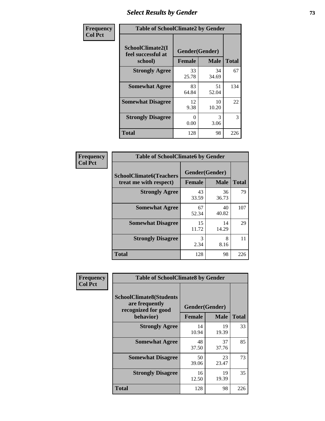### *Select Results by Gender* **73**

| Frequency      | <b>Table of SchoolClimate2 by Gender</b>          |                                 |             |              |
|----------------|---------------------------------------------------|---------------------------------|-------------|--------------|
| <b>Col Pct</b> | SchoolClimate2(I<br>feel successful at<br>school) | Gender(Gender)<br><b>Female</b> | <b>Male</b> | <b>Total</b> |
|                | <b>Strongly Agree</b>                             | 33<br>25.78                     | 34<br>34.69 | 67           |
|                | <b>Somewhat Agree</b>                             | 83<br>64.84                     | 51<br>52.04 | 134          |
|                | <b>Somewhat Disagree</b>                          | 12<br>9.38                      | 10<br>10.20 | 22           |
|                | <b>Strongly Disagree</b>                          | 0<br>0.00                       | 3<br>3.06   | 3            |
|                | <b>Total</b>                                      | 128                             | 98          | 226          |

| Frequency      | <b>Table of SchoolClimate6 by Gender</b>                 |                                 |             |              |  |
|----------------|----------------------------------------------------------|---------------------------------|-------------|--------------|--|
| <b>Col Pct</b> | <b>SchoolClimate6(Teachers</b><br>treat me with respect) | Gender(Gender)<br><b>Female</b> | <b>Male</b> | <b>Total</b> |  |
|                | <b>Strongly Agree</b>                                    | 43<br>33.59                     | 36<br>36.73 | 79           |  |
|                | <b>Somewhat Agree</b>                                    | 67<br>52.34                     | 40<br>40.82 | 107          |  |
|                | <b>Somewhat Disagree</b>                                 | 15<br>11.72                     | 14<br>14.29 | 29           |  |
|                | <b>Strongly Disagree</b>                                 | 3<br>2.34                       | 8<br>8.16   | 11           |  |
|                | <b>Total</b>                                             | 128                             | 98          | 226          |  |

| <b>Frequency</b> |                                                                                      | <b>Table of SchoolClimate8 by Gender</b> |                                                |              |  |  |
|------------------|--------------------------------------------------------------------------------------|------------------------------------------|------------------------------------------------|--------------|--|--|
| <b>Col Pct</b>   | <b>SchoolClimate8(Students</b><br>are frequently<br>recognized for good<br>behavior) |                                          | Gender(Gender)<br><b>Male</b><br><b>Female</b> |              |  |  |
|                  |                                                                                      |                                          |                                                | <b>Total</b> |  |  |
|                  | <b>Strongly Agree</b>                                                                | 14<br>10.94                              | 19<br>19.39                                    | 33           |  |  |
|                  | <b>Somewhat Agree</b>                                                                | 48<br>37.50                              | 37<br>37.76                                    | 85           |  |  |
|                  | <b>Somewhat Disagree</b>                                                             | 50<br>39.06                              | 23<br>23.47                                    | 73           |  |  |
|                  | <b>Strongly Disagree</b>                                                             | 16<br>12.50                              | 19<br>19.39                                    | 35           |  |  |
|                  | <b>Total</b>                                                                         | 128                                      | 98                                             | 226          |  |  |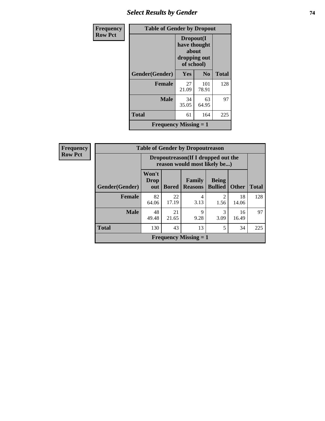# *Select Results by Gender* **74**

| Frequency      | <b>Table of Gender by Dropout</b> |                                                                  |                |              |
|----------------|-----------------------------------|------------------------------------------------------------------|----------------|--------------|
| <b>Row Pct</b> |                                   | Dropout(I<br>have thought<br>about<br>dropping out<br>of school) |                |              |
|                | Gender(Gender)                    | <b>Yes</b>                                                       | N <sub>0</sub> | <b>Total</b> |
|                | <b>Female</b>                     | 27<br>21.09                                                      | 101<br>78.91   | 128          |
|                | <b>Male</b>                       | 34<br>35.05                                                      | 63<br>64.95    | 97           |
|                | <b>Total</b>                      | 61                                                               | 164            | 225          |
|                | Frequency Missing $= 1$           |                                                                  |                |              |

| <b>Frequency</b> |
|------------------|
| <b>Row Pct</b>   |

| 2y | <b>Table of Gender by Dropoutreason</b> |                                                                                                                           |                                                                     |                              |                        |             |              |
|----|-----------------------------------------|---------------------------------------------------------------------------------------------------------------------------|---------------------------------------------------------------------|------------------------------|------------------------|-------------|--------------|
|    |                                         |                                                                                                                           | Dropoutreason (If I dropped out the<br>reason would most likely be) |                              |                        |             |              |
|    | <b>Gender</b> (Gender)                  | Won't<br>Family<br><b>Being</b><br><b>Drop</b><br><b>Bullied</b><br><b>Other</b><br><b>Reasons</b><br><b>Bored</b><br>out |                                                                     |                              |                        |             | <b>Total</b> |
|    | <b>Female</b>                           | 82<br>64.06                                                                                                               | 22<br>17.19                                                         | 4<br>3.13                    | $\mathfrak{D}$<br>1.56 | 18<br>14.06 | 128          |
|    | <b>Male</b>                             | 48<br>9<br>21<br>3<br>16<br>21.65<br>49.48<br>9.28<br>3.09<br>16.49                                                       |                                                                     |                              |                        |             |              |
|    | <b>Total</b>                            | 130                                                                                                                       | 43                                                                  | 13                           | 5                      | 34          | 225          |
|    |                                         |                                                                                                                           |                                                                     | <b>Frequency Missing = 1</b> |                        |             |              |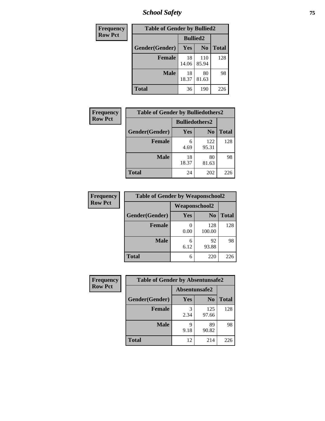*School Safety* **75**

| Frequency      | <b>Table of Gender by Bullied2</b> |                 |                |              |  |
|----------------|------------------------------------|-----------------|----------------|--------------|--|
| <b>Row Pct</b> |                                    | <b>Bullied2</b> |                |              |  |
|                | Gender(Gender)                     | Yes             | N <sub>0</sub> | <b>Total</b> |  |
|                | <b>Female</b>                      | 18<br>14.06     | 110<br>85.94   | 128          |  |
|                | <b>Male</b>                        | 18<br>18.37     | 80<br>81.63    | 98           |  |
|                | <b>Total</b>                       | 36              | 190            | 226          |  |

| <b>Frequency</b> | <b>Table of Gender by Bulliedothers2</b> |             |                |       |
|------------------|------------------------------------------|-------------|----------------|-------|
| <b>Row Pct</b>   | <b>Bulliedothers2</b>                    |             |                |       |
|                  | Gender(Gender)                           | <b>Yes</b>  | N <sub>0</sub> | Total |
|                  | <b>Female</b>                            | 6<br>4.69   | 122<br>95.31   | 128   |
|                  | <b>Male</b>                              | 18<br>18.37 | 80<br>81.63    | 98    |
|                  | <b>Total</b>                             | 24          | 202            | 226   |

| Frequency      | <b>Table of Gender by Weaponschool2</b> |                      |                |              |
|----------------|-----------------------------------------|----------------------|----------------|--------------|
| <b>Row Pct</b> |                                         | <b>Weaponschool2</b> |                |              |
|                | Gender(Gender)                          | <b>Yes</b>           | N <sub>0</sub> | <b>Total</b> |
|                | <b>Female</b>                           | 0.00                 | 128<br>100.00  | 128          |
|                | <b>Male</b>                             | 6<br>6.12            | 92<br>93.88    | 98           |
|                | <b>Total</b>                            | 6                    | 220            | 226          |

| Frequency      | <b>Table of Gender by Absentunsafe2</b> |               |                |              |
|----------------|-----------------------------------------|---------------|----------------|--------------|
| <b>Row Pct</b> |                                         | Absentunsafe2 |                |              |
|                | Gender(Gender)                          | Yes           | N <sub>0</sub> | <b>Total</b> |
|                | <b>Female</b>                           | 2.34          | 125<br>97.66   | 128          |
|                | <b>Male</b>                             | 9.18          | 89<br>90.82    | 98           |
|                | <b>Total</b>                            | 12            | 214            | 226          |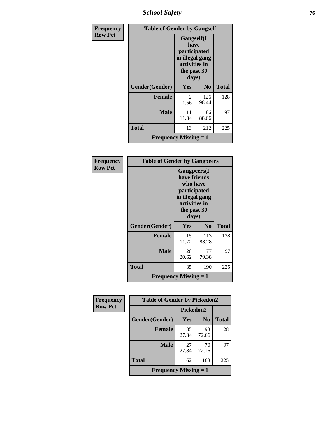*School Safety* **76**

| Frequency      | <b>Table of Gender by Gangself</b>        |                                                                                                        |                |              |
|----------------|-------------------------------------------|--------------------------------------------------------------------------------------------------------|----------------|--------------|
| <b>Row Pct</b> |                                           | <b>Gangself</b> (I<br>have<br>participated<br>in illegal gang<br>activities in<br>the past 30<br>days) |                |              |
|                | Gender(Gender)                            | <b>Yes</b>                                                                                             | N <sub>0</sub> | <b>Total</b> |
|                | <b>Female</b>                             | 2<br>1.56                                                                                              | 126<br>98.44   | 128          |
|                | <b>Male</b>                               | 11<br>11.34                                                                                            | 86<br>88.66    | 97           |
|                | <b>Total</b>                              | 13                                                                                                     | 212            | 225          |
|                | <b>Frequency Missing <math>= 1</math></b> |                                                                                                        |                |              |

| Frequency      | <b>Table of Gender by Gangpeers</b> |                                                                                                                             |                |              |
|----------------|-------------------------------------|-----------------------------------------------------------------------------------------------------------------------------|----------------|--------------|
| <b>Row Pct</b> |                                     | <b>Gangpeers</b> (I<br>have friends<br>who have<br>participated<br>in illegal gang<br>activities in<br>the past 30<br>days) |                |              |
|                | Gender(Gender)                      | Yes                                                                                                                         | N <sub>0</sub> | <b>Total</b> |
|                | <b>Female</b>                       | 15<br>11.72                                                                                                                 | 113<br>88.28   | 128          |
|                | <b>Male</b>                         | 20<br>20.62                                                                                                                 | 77<br>79.38    | 97           |
|                | <b>Total</b>                        | 35                                                                                                                          | 190            | 225          |
|                | <b>Frequency Missing = 1</b>        |                                                                                                                             |                |              |

| <b>Frequency</b> | <b>Table of Gender by Pickedon2</b>       |             |                |              |  |
|------------------|-------------------------------------------|-------------|----------------|--------------|--|
| <b>Row Pct</b>   |                                           | Pickedon2   |                |              |  |
|                  | Gender(Gender)                            | Yes         | N <sub>0</sub> | <b>Total</b> |  |
|                  | <b>Female</b>                             | 35<br>27.34 | 93<br>72.66    | 128          |  |
|                  | <b>Male</b>                               | 27<br>27.84 | 70<br>72.16    | 97           |  |
|                  | <b>Total</b>                              | 62          | 163            | 225          |  |
|                  | <b>Frequency Missing <math>= 1</math></b> |             |                |              |  |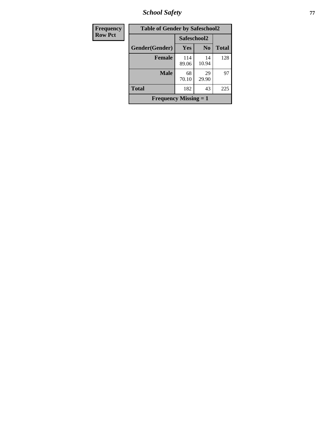*School Safety* **77**

| <b>Frequency</b> | <b>Table of Gender by Safeschool2</b> |              |                |              |
|------------------|---------------------------------------|--------------|----------------|--------------|
| <b>Row Pct</b>   |                                       | Safeschool2  |                |              |
|                  | Gender(Gender)                        | Yes          | N <sub>0</sub> | <b>Total</b> |
|                  | <b>Female</b>                         | 114<br>89.06 | 14<br>10.94    | 128          |
|                  | <b>Male</b>                           | 68<br>70.10  | 29<br>29.90    | 97           |
|                  | <b>Total</b>                          | 182          | 43             | 225          |
|                  | <b>Frequency Missing = 1</b>          |              |                |              |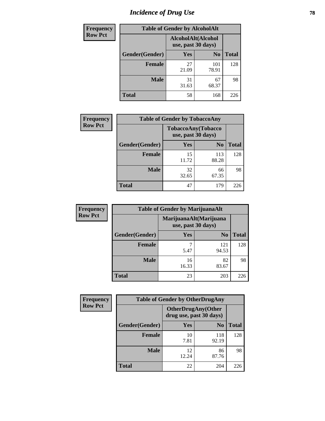# *Incidence of Drug Use* 78

| <b>Frequency</b> | <b>Table of Gender by AlcoholAlt</b> |                                          |                |              |  |
|------------------|--------------------------------------|------------------------------------------|----------------|--------------|--|
| <b>Row Pct</b>   |                                      | AlcoholAlt(Alcohol<br>use, past 30 days) |                |              |  |
|                  | Gender(Gender)                       | <b>Yes</b>                               | N <sub>0</sub> | <b>Total</b> |  |
|                  | <b>Female</b>                        | 27<br>21.09                              | 101<br>78.91   | 128          |  |
|                  | <b>Male</b>                          | 31<br>31.63                              | 67<br>68.37    | 98           |  |
|                  | <b>Total</b>                         | 58                                       | 168            | 226          |  |

| <b>Frequency</b> | <b>Table of Gender by TobaccoAny</b> |                                          |                |              |
|------------------|--------------------------------------|------------------------------------------|----------------|--------------|
| <b>Row Pct</b>   |                                      | TobaccoAny(Tobacco<br>use, past 30 days) |                |              |
|                  | Gender(Gender)                       | Yes                                      | N <sub>0</sub> | <b>Total</b> |
|                  | <b>Female</b>                        | 15<br>11.72                              | 113<br>88.28   | 128          |
|                  | <b>Male</b>                          | 32<br>32.65                              | 66<br>67.35    | 98           |
|                  | <b>Total</b>                         | 47                                       | 179            | 226          |

| <b>Frequency</b> | <b>Table of Gender by MarijuanaAlt</b> |                    |                        |              |
|------------------|----------------------------------------|--------------------|------------------------|--------------|
| <b>Row Pct</b>   |                                        | use, past 30 days) | MarijuanaAlt(Marijuana |              |
|                  | Gender(Gender)                         | <b>Yes</b>         | N <sub>0</sub>         | <b>Total</b> |
|                  | <b>Female</b>                          | 7<br>5.47          | 121<br>94.53           | 128          |
|                  | <b>Male</b>                            | 16<br>16.33        | 82<br>83.67            | 98           |
|                  | <b>Total</b>                           | 23                 | 203                    | 226          |

| <b>Frequency</b> | <b>Table of Gender by OtherDrugAny</b> |                                                      |                |              |
|------------------|----------------------------------------|------------------------------------------------------|----------------|--------------|
| <b>Row Pct</b>   |                                        | <b>OtherDrugAny(Other</b><br>drug use, past 30 days) |                |              |
|                  | Gender(Gender)                         | <b>Yes</b>                                           | N <sub>0</sub> | <b>Total</b> |
|                  | <b>Female</b>                          | 10<br>7.81                                           | 118<br>92.19   | 128          |
|                  | <b>Male</b>                            | 12<br>12.24                                          | 86<br>87.76    | 98           |
|                  | <b>Total</b>                           | 22                                                   | 204            | 226          |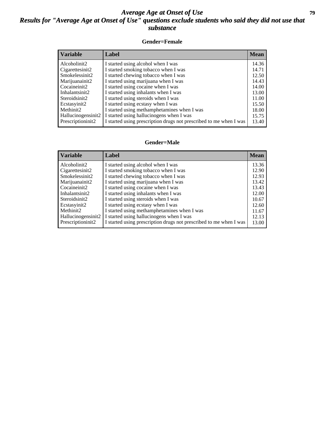### *Average Age at Onset of Use* **79** *Results for "Average Age at Onset of Use" questions exclude students who said they did not use that substance*

### **Gender=Female**

| <b>Variable</b>                 | <b>Label</b>                                                       | <b>Mean</b> |
|---------------------------------|--------------------------------------------------------------------|-------------|
| Alcoholinit2                    | I started using alcohol when I was                                 | 14.36       |
| Cigarettesinit2                 | I started smoking tobacco when I was                               | 14.71       |
| Smokelessinit2                  | I started chewing tobacco when I was                               | 12.50       |
| Marijuanainit2                  | I started using marijuana when I was                               | 14.43       |
| Cocaineinit2                    | I started using cocaine when I was                                 | 14.00       |
| Inhalantsinit2                  | I started using inhalants when I was                               | 13.00       |
| Steroidsinit2                   | I started using steroids when I was                                | 11.00       |
| Ecstasyinit2                    | I started using ecstasy when I was                                 | 15.50       |
| Methinit2                       | I started using methamphetamines when I was                        | 18.00       |
| Hallucinogensinit2              | I started using hallucinogens when I was                           | 15.75       |
| Prescription in it <sub>2</sub> | I started using prescription drugs not prescribed to me when I was | 13.40       |

#### **Gender=Male**

| <b>Variable</b>    | Label                                                              | <b>Mean</b> |
|--------------------|--------------------------------------------------------------------|-------------|
| Alcoholinit2       | I started using alcohol when I was                                 | 13.36       |
| Cigarettesinit2    | I started smoking tobacco when I was                               | 12.90       |
| Smokelessinit2     | I started chewing tobacco when I was                               | 12.93       |
| Marijuanainit2     | I started using marijuana when I was                               | 13.42       |
| Cocaineinit2       | I started using cocaine when I was                                 | 13.43       |
| Inhalantsinit2     | I started using inhalants when I was                               | 12.00       |
| Steroidsinit2      | I started using steroids when I was                                | 10.67       |
| Ecstasyinit2       | I started using ecstasy when I was                                 | 12.60       |
| Methinit2          | I started using methamphetamines when I was                        | 11.67       |
| Hallucinogensinit2 | I started using hallucinogens when I was                           | 12.13       |
| Prescriptioninit2  | I started using prescription drugs not prescribed to me when I was | 13.00       |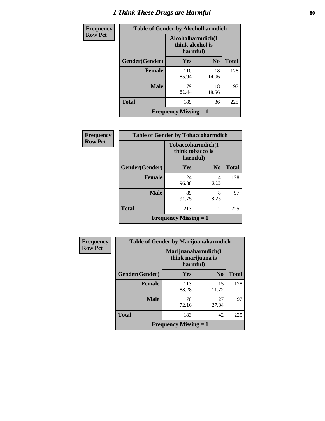# *I Think These Drugs are Harmful* **80**

| Frequency      | <b>Table of Gender by Alcoholharmdich</b> |                                                   |                |              |
|----------------|-------------------------------------------|---------------------------------------------------|----------------|--------------|
| <b>Row Pct</b> |                                           | Alcoholharmdich(I<br>think alcohol is<br>harmful) |                |              |
|                | <b>Gender</b> (Gender)                    | Yes                                               | N <sub>0</sub> | <b>Total</b> |
|                | <b>Female</b>                             | 110<br>85.94                                      | 18<br>14.06    | 128          |
|                | <b>Male</b>                               | 79<br>81.44                                       | 18<br>18.56    | 97           |
|                | <b>Total</b>                              | 189                                               | 36             | 225          |
|                |                                           | <b>Frequency Missing = 1</b>                      |                |              |

| Frequency      | <b>Table of Gender by Tobaccoharmdich</b> |                                                   |                |              |
|----------------|-------------------------------------------|---------------------------------------------------|----------------|--------------|
| <b>Row Pct</b> |                                           | Tobaccoharmdich(I<br>think tobacco is<br>harmful) |                |              |
|                | Gender(Gender)                            | <b>Yes</b>                                        | N <sub>0</sub> | <b>Total</b> |
|                | <b>Female</b>                             | 124<br>96.88                                      | 4<br>3.13      | 128          |
|                | <b>Male</b>                               | 89<br>91.75                                       | 8<br>8.25      | 97           |
|                | <b>Total</b>                              | 213                                               | 12             | 225          |
|                | <b>Frequency Missing = 1</b>              |                                                   |                |              |

| Frequency      | <b>Table of Gender by Marijuanaharmdich</b> |                                                       |             |              |
|----------------|---------------------------------------------|-------------------------------------------------------|-------------|--------------|
| <b>Row Pct</b> |                                             | Marijuanaharmdich(I<br>think marijuana is<br>harmful) |             |              |
|                | Gender(Gender)                              | <b>Yes</b>                                            | $\bf N_0$   | <b>Total</b> |
|                | <b>Female</b>                               | 113<br>88.28                                          | 15<br>11.72 | 128          |
|                | <b>Male</b>                                 | 70<br>72.16                                           | 27<br>27.84 | 97           |
|                | <b>Total</b>                                | 183                                                   | 42          | 225          |
|                |                                             | <b>Frequency Missing = 1</b>                          |             |              |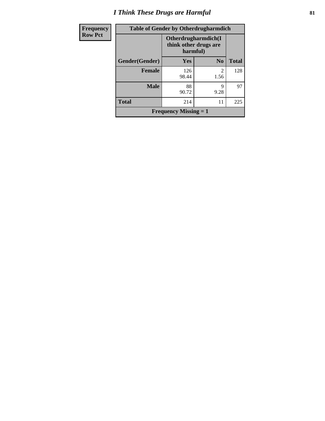# *I Think These Drugs are Harmful* **81**

| <b>Frequency</b> | <b>Table of Gender by Otherdrugharmdich</b> |                                   |                     |              |
|------------------|---------------------------------------------|-----------------------------------|---------------------|--------------|
| <b>Row Pct</b>   |                                             | think other drugs are<br>harmful) | Otherdrugharmdich(I |              |
|                  | Gender(Gender)                              | Yes                               | N <sub>0</sub>      | <b>Total</b> |
|                  | <b>Female</b>                               | 126<br>98.44                      | 2<br>1.56           | 128          |
|                  | <b>Male</b>                                 | 88<br>90.72                       | 9<br>9.28           | 97           |
|                  | <b>Total</b>                                | 214                               | 11                  | 225          |
|                  |                                             | <b>Frequency Missing = 1</b>      |                     |              |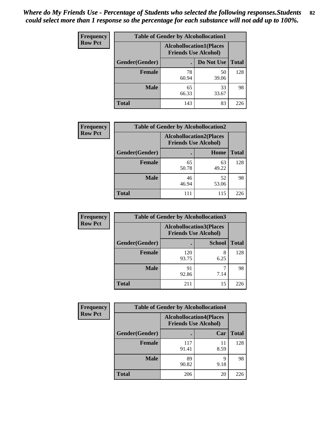| <b>Frequency</b> | <b>Table of Gender by Alcohollocation1</b> |                                                               |             |              |
|------------------|--------------------------------------------|---------------------------------------------------------------|-------------|--------------|
| <b>Row Pct</b>   |                                            | <b>Alcohollocation1(Places</b><br><b>Friends Use Alcohol)</b> |             |              |
|                  | Gender(Gender)                             |                                                               | Do Not Use  | <b>Total</b> |
|                  | <b>Female</b>                              | 78<br>60.94                                                   | 50<br>39.06 | 128          |
|                  | <b>Male</b>                                | 65<br>66.33                                                   | 33<br>33.67 | 98           |
|                  | <b>Total</b>                               | 143                                                           | 83          | 226          |

| <b>Frequency</b> | <b>Table of Gender by Alcohollocation2</b> |                                                               |             |              |
|------------------|--------------------------------------------|---------------------------------------------------------------|-------------|--------------|
| <b>Row Pct</b>   |                                            | <b>Alcohollocation2(Places</b><br><b>Friends Use Alcohol)</b> |             |              |
|                  | Gender(Gender)                             |                                                               | Home        | <b>Total</b> |
|                  | <b>Female</b>                              | 65<br>50.78                                                   | 63<br>49.22 | 128          |
|                  | <b>Male</b>                                | 46<br>46.94                                                   | 52<br>53.06 | 98           |
|                  | <b>Total</b>                               | 111                                                           | 115         | 226          |

| Frequency      | <b>Table of Gender by Alcohollocation3</b> |                                                               |               |              |
|----------------|--------------------------------------------|---------------------------------------------------------------|---------------|--------------|
| <b>Row Pct</b> |                                            | <b>Alcohollocation3(Places</b><br><b>Friends Use Alcohol)</b> |               |              |
|                | Gender(Gender)                             |                                                               | <b>School</b> | <b>Total</b> |
|                | <b>Female</b>                              | 120<br>93.75                                                  | 8<br>6.25     | 128          |
|                | <b>Male</b>                                | 91<br>92.86                                                   | 7.14          | 98           |
|                | <b>Total</b>                               | 211                                                           | 15            | 226          |

| Frequency      | <b>Table of Gender by Alcohollocation4</b> |                                                               |            |              |
|----------------|--------------------------------------------|---------------------------------------------------------------|------------|--------------|
| <b>Row Pct</b> |                                            | <b>Alcohollocation4(Places</b><br><b>Friends Use Alcohol)</b> |            |              |
|                | Gender(Gender)                             |                                                               | Car        | <b>Total</b> |
|                | Female                                     | 117<br>91.41                                                  | 11<br>8.59 | 128          |
|                | <b>Male</b>                                | 89<br>90.82                                                   | q<br>9.18  | 98           |
|                | <b>Total</b>                               | 206                                                           | 20         | 226          |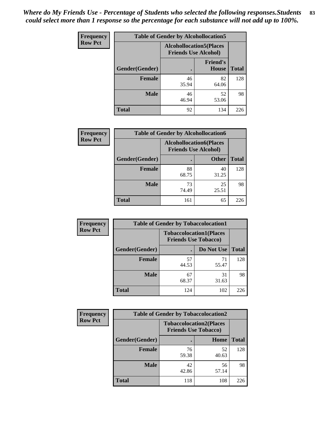| <b>Frequency</b> | <b>Table of Gender by Alcohollocation5</b> |                                                               |                                 |              |
|------------------|--------------------------------------------|---------------------------------------------------------------|---------------------------------|--------------|
| <b>Row Pct</b>   |                                            | <b>Alcohollocation5(Places</b><br><b>Friends Use Alcohol)</b> |                                 |              |
|                  | Gender(Gender)                             |                                                               | <b>Friend's</b><br><b>House</b> | <b>Total</b> |
|                  | <b>Female</b>                              | 46<br>35.94                                                   | 82<br>64.06                     | 128          |
|                  | <b>Male</b>                                | 46<br>46.94                                                   | 52<br>53.06                     | 98           |
|                  | <b>Total</b>                               | 92                                                            | 134                             | 226          |

| <b>Frequency</b> | <b>Table of Gender by Alcohollocation6</b> |                                                               |              |              |
|------------------|--------------------------------------------|---------------------------------------------------------------|--------------|--------------|
| <b>Row Pct</b>   |                                            | <b>Alcohollocation6(Places</b><br><b>Friends Use Alcohol)</b> |              |              |
|                  | Gender(Gender)                             |                                                               | <b>Other</b> | <b>Total</b> |
|                  | <b>Female</b>                              | 88<br>68.75                                                   | 40<br>31.25  | 128          |
|                  | <b>Male</b>                                | 73<br>74.49                                                   | 25<br>25.51  | 98           |
|                  | <b>Total</b>                               | 161                                                           | 65           | 226          |

| Frequency      | <b>Table of Gender by Tobaccolocation1</b> |                                                               |             |              |  |
|----------------|--------------------------------------------|---------------------------------------------------------------|-------------|--------------|--|
| <b>Row Pct</b> |                                            | <b>Tobaccolocation1(Places</b><br><b>Friends Use Tobacco)</b> |             |              |  |
|                | Gender(Gender)                             |                                                               | Do Not Use  | <b>Total</b> |  |
|                | <b>Female</b>                              | 57<br>44.53                                                   | 71<br>55.47 | 128          |  |
|                | <b>Male</b>                                | 67<br>68.37                                                   | 31<br>31.63 | 98           |  |
|                | <b>Total</b>                               | 124                                                           | 102         | 226          |  |

| <b>Frequency</b> | <b>Table of Gender by Tobaccolocation2</b> |                                                               |             |              |  |
|------------------|--------------------------------------------|---------------------------------------------------------------|-------------|--------------|--|
| <b>Row Pct</b>   |                                            | <b>Tobaccolocation2(Places</b><br><b>Friends Use Tobacco)</b> |             |              |  |
|                  | Gender(Gender)                             |                                                               | Home        | <b>Total</b> |  |
|                  | Female                                     | 76<br>59.38                                                   | 52<br>40.63 | 128          |  |
|                  | <b>Male</b>                                | 42<br>42.86                                                   | 56<br>57.14 | 98           |  |
|                  | <b>Total</b>                               | 118                                                           | 108         | 226          |  |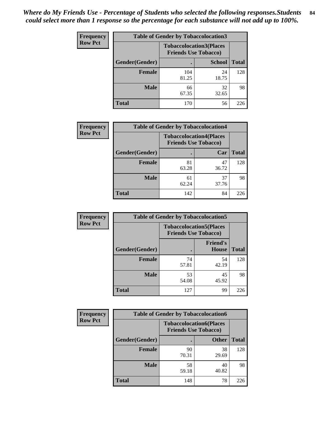| <b>Frequency</b> | <b>Table of Gender by Tobaccolocation3</b> |                             |                                |              |
|------------------|--------------------------------------------|-----------------------------|--------------------------------|--------------|
| <b>Row Pct</b>   |                                            | <b>Friends Use Tobacco)</b> | <b>Tobaccolocation3(Places</b> |              |
|                  | Gender(Gender)                             |                             | <b>School</b>                  | <b>Total</b> |
|                  | Female                                     | 104<br>81.25                | 24<br>18.75                    | 128          |
|                  | <b>Male</b>                                | 66<br>67.35                 | 32<br>32.65                    | 98           |
|                  | <b>Total</b>                               | 170                         | 56                             | 226          |

| <b>Frequency</b> | <b>Table of Gender by Tobaccolocation4</b> |                             |                                |              |
|------------------|--------------------------------------------|-----------------------------|--------------------------------|--------------|
| <b>Row Pct</b>   |                                            | <b>Friends Use Tobacco)</b> | <b>Tobaccolocation4(Places</b> |              |
|                  | Gender(Gender)                             |                             | Car                            | <b>Total</b> |
|                  | Female                                     | 81<br>63.28                 | 47<br>36.72                    | 128          |
|                  | <b>Male</b>                                | 61<br>62.24                 | 37<br>37.76                    | 98           |
|                  | <b>Total</b>                               | 142                         | 84                             | 226          |

| <b>Frequency</b> | <b>Table of Gender by Tobaccolocation5</b> |                                                               |                                 |              |
|------------------|--------------------------------------------|---------------------------------------------------------------|---------------------------------|--------------|
| <b>Row Pct</b>   |                                            | <b>Tobaccolocation5(Places</b><br><b>Friends Use Tobacco)</b> |                                 |              |
|                  | Gender(Gender)                             |                                                               | <b>Friend's</b><br><b>House</b> | <b>Total</b> |
|                  | <b>Female</b>                              | 74<br>57.81                                                   | 54<br>42.19                     | 128          |
|                  | <b>Male</b>                                | 53<br>54.08                                                   | 45<br>45.92                     | 98           |
|                  | <b>Total</b>                               | 127                                                           | 99                              | 226          |

| <b>Frequency</b> | <b>Table of Gender by Tobaccolocation6</b> |                                                               |              |              |
|------------------|--------------------------------------------|---------------------------------------------------------------|--------------|--------------|
| <b>Row Pct</b>   |                                            | <b>Tobaccolocation6(Places</b><br><b>Friends Use Tobacco)</b> |              |              |
|                  | Gender(Gender)                             |                                                               | <b>Other</b> | <b>Total</b> |
|                  | Female                                     | 90<br>70.31                                                   | 38<br>29.69  | 128          |
|                  | <b>Male</b>                                | 58<br>59.18                                                   | 40<br>40.82  | 98           |
|                  | <b>Total</b>                               | 148                                                           | 78           | 226          |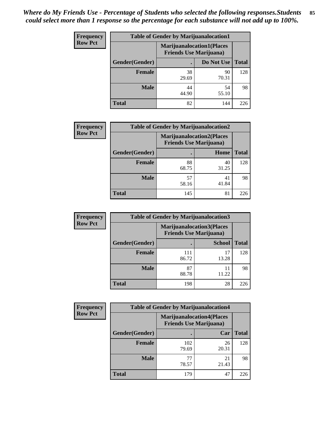| <b>Frequency</b> | <b>Table of Gender by Marijuanalocation1</b> |                                                                    |             |              |
|------------------|----------------------------------------------|--------------------------------------------------------------------|-------------|--------------|
| <b>Row Pct</b>   |                                              | <b>Marijuanalocation1(Places</b><br><b>Friends Use Marijuana</b> ) |             |              |
|                  | Gender(Gender)                               |                                                                    | Do Not Use  | <b>Total</b> |
|                  | <b>Female</b>                                | 38<br>29.69                                                        | 90<br>70.31 | 128          |
|                  | <b>Male</b>                                  | 44<br>44.90                                                        | 54<br>55.10 | 98           |
|                  | Total                                        | 82                                                                 | 144         | 226          |

| <b>Frequency</b> | <b>Table of Gender by Marijuanalocation2</b> |                                                                    |             |              |
|------------------|----------------------------------------------|--------------------------------------------------------------------|-------------|--------------|
| <b>Row Pct</b>   |                                              | <b>Marijuanalocation2(Places</b><br><b>Friends Use Marijuana</b> ) |             |              |
|                  | Gender(Gender)                               |                                                                    | Home        | <b>Total</b> |
|                  | Female                                       | 88<br>68.75                                                        | 40<br>31.25 | 128          |
|                  | <b>Male</b>                                  | 57<br>58.16                                                        | 41<br>41.84 | 98           |
|                  | <b>Total</b>                                 | 145                                                                | 81          | 226          |

| Frequency      | <b>Table of Gender by Marijuanalocation3</b> |                                                                    |               |              |
|----------------|----------------------------------------------|--------------------------------------------------------------------|---------------|--------------|
| <b>Row Pct</b> |                                              | <b>Marijuanalocation3(Places</b><br><b>Friends Use Marijuana</b> ) |               |              |
|                | Gender(Gender)                               |                                                                    | <b>School</b> | <b>Total</b> |
|                | Female                                       | 111<br>86.72                                                       | 17<br>13.28   | 128          |
|                | <b>Male</b>                                  | 87<br>88.78                                                        | 11<br>11.22   | 98           |
|                | <b>Total</b>                                 | 198                                                                | 28            | 226          |

| Frequency      | <b>Table of Gender by Marijuanalocation4</b> |                                |                                  |              |
|----------------|----------------------------------------------|--------------------------------|----------------------------------|--------------|
| <b>Row Pct</b> |                                              | <b>Friends Use Marijuana</b> ) | <b>Marijuanalocation4(Places</b> |              |
|                | Gender(Gender)                               |                                | Car                              | <b>Total</b> |
|                | <b>Female</b>                                | 102<br>79.69                   | 26<br>20.31                      | 128          |
|                | <b>Male</b>                                  | 77<br>78.57                    | 21<br>21.43                      | 98           |
|                | <b>Total</b>                                 | 179                            | 47                               | 226          |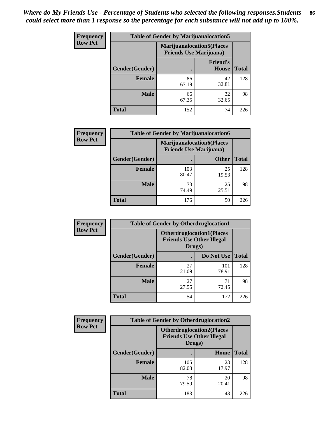| <b>Frequency</b> | <b>Table of Gender by Marijuanalocation5</b> |                                                                     |                          |              |
|------------------|----------------------------------------------|---------------------------------------------------------------------|--------------------------|--------------|
| <b>Row Pct</b>   |                                              | <b>Marijuanalocation5</b> (Places<br><b>Friends Use Marijuana</b> ) |                          |              |
|                  | Gender(Gender)                               |                                                                     | <b>Friend's</b><br>House | <b>Total</b> |
|                  | <b>Female</b>                                | 86<br>67.19                                                         | 42<br>32.81              | 128          |
|                  | <b>Male</b>                                  | 66<br>67.35                                                         | 32<br>32.65              | 98           |
|                  | <b>Total</b>                                 | 152                                                                 | 74                       | 226          |

| <b>Frequency</b> | <b>Table of Gender by Marijuanalocation6</b> |                                |                                  |              |
|------------------|----------------------------------------------|--------------------------------|----------------------------------|--------------|
| <b>Row Pct</b>   |                                              | <b>Friends Use Marijuana</b> ) | <b>Marijuanalocation6(Places</b> |              |
|                  | Gender(Gender)                               |                                | <b>Other</b>                     | <b>Total</b> |
|                  | <b>Female</b>                                | 103<br>80.47                   | 25<br>19.53                      | 128          |
|                  | <b>Male</b>                                  | 73<br>74.49                    | 25<br>25.51                      | 98           |
|                  | <b>Total</b>                                 | 176                            | 50                               | 226          |

| <b>Frequency</b> | <b>Table of Gender by Otherdruglocation1</b> |                                                                                |              |              |
|------------------|----------------------------------------------|--------------------------------------------------------------------------------|--------------|--------------|
| <b>Row Pct</b>   |                                              | <b>Otherdruglocation1(Places</b><br><b>Friends Use Other Illegal</b><br>Drugs) |              |              |
|                  | Gender(Gender)                               |                                                                                | Do Not Use   | <b>Total</b> |
|                  | Female                                       | 27<br>21.09                                                                    | 101<br>78.91 | 128          |
|                  | <b>Male</b>                                  | 27<br>27.55                                                                    | 71<br>72.45  | 98           |
|                  | <b>Total</b>                                 | 54                                                                             | 172          | 226          |

| <b>Frequency</b> | <b>Table of Gender by Otherdruglocation2</b> |              |                                                                      |              |
|------------------|----------------------------------------------|--------------|----------------------------------------------------------------------|--------------|
| <b>Row Pct</b>   |                                              | Drugs)       | <b>Otherdruglocation2(Places</b><br><b>Friends Use Other Illegal</b> |              |
|                  | Gender(Gender)                               |              | Home                                                                 | <b>Total</b> |
|                  | Female                                       | 105<br>82.03 | 23<br>17.97                                                          | 128          |
|                  | <b>Male</b>                                  | 78<br>79.59  | 20<br>20.41                                                          | 98           |
|                  | <b>Total</b>                                 | 183          | 43                                                                   | 226          |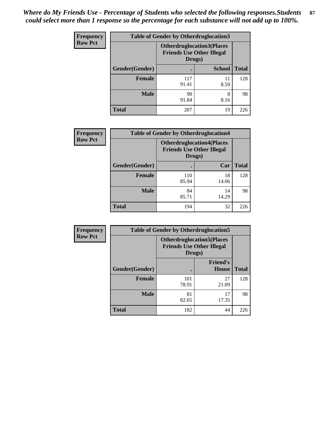| <b>Frequency</b> | <b>Table of Gender by Otherdruglocation3</b> |                                                                                |               |              |
|------------------|----------------------------------------------|--------------------------------------------------------------------------------|---------------|--------------|
| <b>Row Pct</b>   |                                              | <b>Otherdruglocation3(Places</b><br><b>Friends Use Other Illegal</b><br>Drugs) |               |              |
|                  | Gender(Gender)                               |                                                                                | <b>School</b> | <b>Total</b> |
|                  | <b>Female</b>                                | 117<br>91.41                                                                   | 11<br>8.59    | 128          |
|                  | <b>Male</b>                                  | 90<br>91.84                                                                    | 8<br>8.16     | 98           |
|                  | <b>Total</b>                                 | 207                                                                            | 19            | 226          |

| Frequency      | <b>Table of Gender by Otherdruglocation4</b> |                                                                                |             |              |
|----------------|----------------------------------------------|--------------------------------------------------------------------------------|-------------|--------------|
| <b>Row Pct</b> |                                              | <b>Otherdruglocation4(Places</b><br><b>Friends Use Other Illegal</b><br>Drugs) |             |              |
|                | Gender(Gender)                               |                                                                                | Car         | <b>Total</b> |
|                | <b>Female</b>                                | 110<br>85.94                                                                   | 18<br>14.06 | 128          |
|                | <b>Male</b>                                  | 84<br>85.71                                                                    | 14<br>14.29 | 98           |
|                | <b>Total</b>                                 | 194                                                                            | 32          | 226          |

| Frequency      | <b>Table of Gender by Otherdruglocation5</b>                                   |              |                                 |              |
|----------------|--------------------------------------------------------------------------------|--------------|---------------------------------|--------------|
| <b>Row Pct</b> | <b>Otherdruglocation5(Places</b><br><b>Friends Use Other Illegal</b><br>Drugs) |              |                                 |              |
|                | Gender(Gender)                                                                 |              | <b>Friend's</b><br><b>House</b> | <b>Total</b> |
|                | <b>Female</b>                                                                  | 101<br>78.91 | 27<br>21.09                     | 128          |
|                | <b>Male</b>                                                                    | 81<br>82.65  | 17<br>17.35                     | 98           |
|                | <b>Total</b>                                                                   | 182          | 44                              | 226          |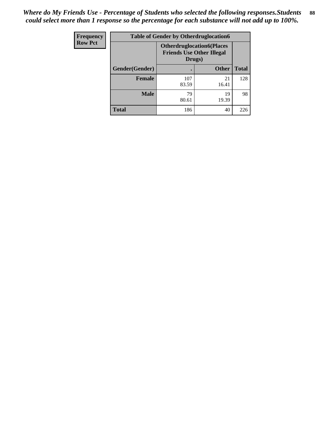| Frequency      | <b>Table of Gender by Otherdruglocation6</b> |                                            |                                  |              |
|----------------|----------------------------------------------|--------------------------------------------|----------------------------------|--------------|
| <b>Row Pct</b> |                                              | <b>Friends Use Other Illegal</b><br>Drugs) | <b>Otherdruglocation6(Places</b> |              |
|                | Gender(Gender)                               |                                            | <b>Other</b>                     | <b>Total</b> |
|                | <b>Female</b>                                | 107<br>83.59                               | 21<br>16.41                      | 128          |
|                | <b>Male</b>                                  | 79<br>80.61                                | 19<br>19.39                      | 98           |
|                | <b>Total</b>                                 | 186                                        | 40                               | 226          |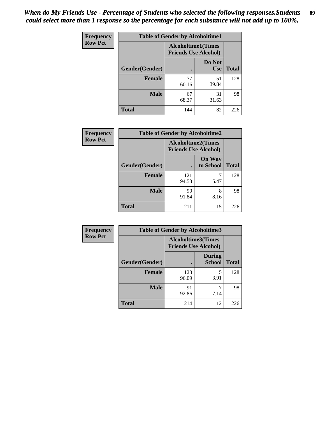| <b>Frequency</b> | <b>Table of Gender by Alcoholtime1</b> |                                                          |                      |              |
|------------------|----------------------------------------|----------------------------------------------------------|----------------------|--------------|
| <b>Row Pct</b>   |                                        | <b>Alcoholtime1(Times</b><br><b>Friends Use Alcohol)</b> |                      |              |
|                  | Gender(Gender)                         | $\bullet$                                                | Do Not<br><b>Use</b> | <b>Total</b> |
|                  | <b>Female</b>                          | 77<br>60.16                                              | 51<br>39.84          | 128          |
|                  | <b>Male</b>                            | 67<br>68.37                                              | 31<br>31.63          | 98           |
|                  | <b>Total</b>                           | 144                                                      | 82                   | 226          |

| Frequency      | <b>Table of Gender by Alcoholtime2</b> |                                                          |                            |              |
|----------------|----------------------------------------|----------------------------------------------------------|----------------------------|--------------|
| <b>Row Pct</b> |                                        | <b>Alcoholtime2(Times</b><br><b>Friends Use Alcohol)</b> |                            |              |
|                | Gender(Gender)                         |                                                          | <b>On Way</b><br>to School | <b>Total</b> |
|                | <b>Female</b>                          | 121<br>94.53                                             | 5.47                       | 128          |
|                | <b>Male</b>                            | 90<br>91.84                                              | 8<br>8.16                  | 98           |
|                | <b>Total</b>                           | 211                                                      | 15                         | 226          |

| Frequency      | <b>Table of Gender by Alcoholtime3</b> |                                                   |                                |              |
|----------------|----------------------------------------|---------------------------------------------------|--------------------------------|--------------|
| <b>Row Pct</b> |                                        | Alcoholtime3(Times<br><b>Friends Use Alcohol)</b> |                                |              |
|                | Gender(Gender)                         |                                                   | <b>During</b><br><b>School</b> | <b>Total</b> |
|                | Female                                 | 123<br>96.09                                      | 5<br>3.91                      | 128          |
|                | <b>Male</b>                            | 91<br>92.86                                       | 7.14                           | 98           |
|                | <b>Total</b>                           | 214                                               | 12                             | 226          |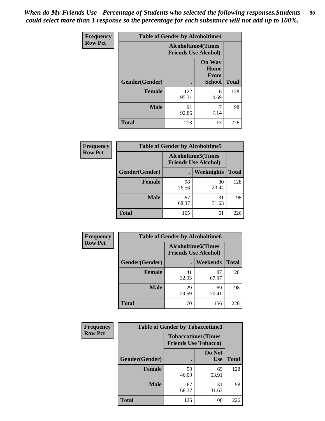*When do My Friends Use - Percentage of Students who selected the following responses.Students could select more than 1 response so the percentage for each substance will not add up to 100%.* **90**

| <b>Frequency</b> | <b>Table of Gender by Alcoholtime4</b> |                                                          |                                                |              |
|------------------|----------------------------------------|----------------------------------------------------------|------------------------------------------------|--------------|
| <b>Row Pct</b>   |                                        | <b>Alcoholtime4(Times</b><br><b>Friends Use Alcohol)</b> |                                                |              |
|                  | Gender(Gender)                         |                                                          | <b>On Way</b><br>Home<br>From<br><b>School</b> | <b>Total</b> |
|                  | <b>Female</b>                          | 122<br>95.31                                             | 6<br>4.69                                      | 128          |
|                  | <b>Male</b>                            | 91<br>92.86                                              | 7<br>7.14                                      | 98           |
|                  | <b>Total</b>                           | 213                                                      | 13                                             | 226          |

| <b>Frequency</b> | <b>Table of Gender by Alcoholtime5</b> |                                                           |             |              |
|------------------|----------------------------------------|-----------------------------------------------------------|-------------|--------------|
| <b>Row Pct</b>   |                                        | <b>Alcoholtime5</b> (Times<br><b>Friends Use Alcohol)</b> |             |              |
|                  | Gender(Gender)                         |                                                           | Weeknights  | <b>Total</b> |
|                  | <b>Female</b>                          | 98<br>76.56                                               | 30<br>23.44 | 128          |
|                  | <b>Male</b>                            | 67<br>68.37                                               | 31<br>31.63 | 98           |
|                  | <b>Total</b>                           | 165                                                       | 61          | 226          |

| <b>Frequency</b> | <b>Table of Gender by Alcoholtime6</b> |             |                                                          |              |
|------------------|----------------------------------------|-------------|----------------------------------------------------------|--------------|
| <b>Row Pct</b>   |                                        |             | <b>Alcoholtime6(Times</b><br><b>Friends Use Alcohol)</b> |              |
|                  | Gender(Gender)                         |             | Weekends                                                 | <b>Total</b> |
|                  | <b>Female</b>                          | 41<br>32.03 | 87<br>67.97                                              | 128          |
|                  | <b>Male</b>                            | 29<br>29.59 | 69<br>70.41                                              | 98           |
|                  | Total                                  | 70          | 156                                                      | 226          |

| Frequency      | <b>Table of Gender by Tobaccotime1</b> |                                                          |                      |              |
|----------------|----------------------------------------|----------------------------------------------------------|----------------------|--------------|
| <b>Row Pct</b> |                                        | <b>Tobaccotime1(Times</b><br><b>Friends Use Tobacco)</b> |                      |              |
|                | Gender(Gender)                         |                                                          | Do Not<br><b>Use</b> | <b>Total</b> |
|                | <b>Female</b>                          | 59<br>46.09                                              | 69<br>53.91          | 128          |
|                | <b>Male</b>                            | 67<br>68.37                                              | 31<br>31.63          | 98           |
|                | <b>Total</b>                           | 126                                                      | 100                  | 226          |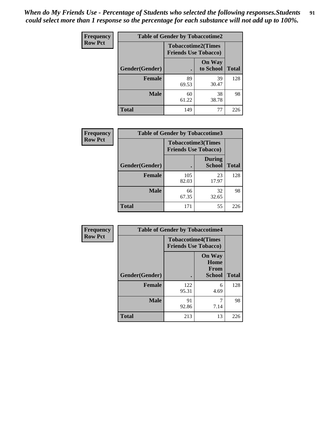| <b>Frequency</b> | <b>Table of Gender by Tobaccotime2</b> |                             |                            |              |
|------------------|----------------------------------------|-----------------------------|----------------------------|--------------|
| <b>Row Pct</b>   |                                        | <b>Friends Use Tobacco)</b> | <b>Tobaccotime2(Times</b>  |              |
|                  | Gender(Gender)                         |                             | <b>On Way</b><br>to School | <b>Total</b> |
|                  | <b>Female</b>                          | 89<br>69.53                 | 39<br>30.47                | 128          |
|                  | <b>Male</b>                            | 60<br>61.22                 | 38<br>38.78                | 98           |
|                  | <b>Total</b>                           | 149                         | 77                         | 226          |

| <b>Frequency</b> | <b>Table of Gender by Tobaccotime3</b> |                                                          |                                |              |
|------------------|----------------------------------------|----------------------------------------------------------|--------------------------------|--------------|
| <b>Row Pct</b>   |                                        | <b>Tobaccotime3(Times</b><br><b>Friends Use Tobacco)</b> |                                |              |
|                  | Gender(Gender)                         |                                                          | <b>During</b><br><b>School</b> | <b>Total</b> |
|                  | Female                                 | 105<br>82.03                                             | 23<br>17.97                    | 128          |
|                  | <b>Male</b>                            | 66<br>67.35                                              | 32<br>32.65                    | 98           |
|                  | <b>Total</b>                           | 171                                                      | 55                             | 226          |

| <b>Frequency</b> | <b>Table of Gender by Tobaccotime4</b> |                                                          |                                                       |              |
|------------------|----------------------------------------|----------------------------------------------------------|-------------------------------------------------------|--------------|
| <b>Row Pct</b>   |                                        | <b>Tobaccotime4(Times</b><br><b>Friends Use Tobacco)</b> |                                                       |              |
|                  | Gender(Gender)                         |                                                          | <b>On Way</b><br>Home<br><b>From</b><br><b>School</b> | <b>Total</b> |
|                  | <b>Female</b>                          | 122<br>95.31                                             | 6<br>4.69                                             | 128          |
|                  | <b>Male</b>                            | 91<br>92.86                                              | 7<br>7.14                                             | 98           |
|                  | <b>Total</b>                           | 213                                                      | 13                                                    | 226          |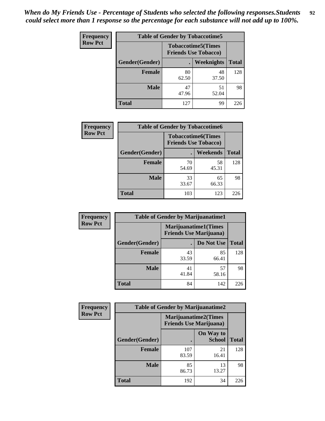| Frequency      | <b>Table of Gender by Tobaccotime5</b> |             |                                                           |              |  |
|----------------|----------------------------------------|-------------|-----------------------------------------------------------|--------------|--|
| <b>Row Pct</b> |                                        |             | <b>Tobaccotime5</b> (Times<br><b>Friends Use Tobacco)</b> |              |  |
|                | <b>Gender</b> (Gender)                 |             | Weeknights                                                | <b>Total</b> |  |
|                | <b>Female</b>                          | 80<br>62.50 | 48<br>37.50                                               | 128          |  |
|                | <b>Male</b>                            | 47<br>47.96 | 51<br>52.04                                               | 98           |  |
|                | <b>Total</b>                           | 127         | 99                                                        | 226          |  |

| <b>Frequency</b> |                | <b>Table of Gender by Tobaccotime6</b>                   |             |              |
|------------------|----------------|----------------------------------------------------------|-------------|--------------|
| <b>Row Pct</b>   |                | <b>Tobaccotime6(Times</b><br><b>Friends Use Tobacco)</b> |             |              |
|                  | Gender(Gender) |                                                          | Weekends    | <b>Total</b> |
|                  | Female         | 70<br>54.69                                              | 58<br>45.31 | 128          |
|                  | <b>Male</b>    | 33<br>33.67                                              | 65<br>66.33 | 98           |
|                  | <b>Total</b>   | 103                                                      | 123         | 226          |

| <b>Frequency</b> | <b>Table of Gender by Marijuanatime1</b> |                                                               |             |              |  |
|------------------|------------------------------------------|---------------------------------------------------------------|-------------|--------------|--|
| <b>Row Pct</b>   |                                          | <b>Marijuanatime1(Times</b><br><b>Friends Use Marijuana</b> ) |             |              |  |
|                  | Gender(Gender)                           |                                                               | Do Not Use  | <b>Total</b> |  |
|                  | <b>Female</b>                            | 43<br>33.59                                                   | 85<br>66.41 | 128          |  |
|                  | <b>Male</b>                              | 41<br>41.84                                                   | 57<br>58.16 | 98           |  |
|                  | <b>Total</b>                             | 84                                                            | 142         | 226          |  |

| <b>Frequency</b> | <b>Table of Gender by Marijuanatime2</b> |                                                               |                            |              |
|------------------|------------------------------------------|---------------------------------------------------------------|----------------------------|--------------|
| <b>Row Pct</b>   |                                          | <b>Marijuanatime2(Times</b><br><b>Friends Use Marijuana</b> ) |                            |              |
|                  | Gender(Gender)                           |                                                               | On Way to<br><b>School</b> | <b>Total</b> |
|                  | Female                                   | 107<br>83.59                                                  | 21<br>16.41                | 128          |
|                  | <b>Male</b>                              | 85<br>86.73                                                   | 13<br>13.27                | 98           |
|                  | <b>Total</b>                             | 192                                                           | 34                         | 226          |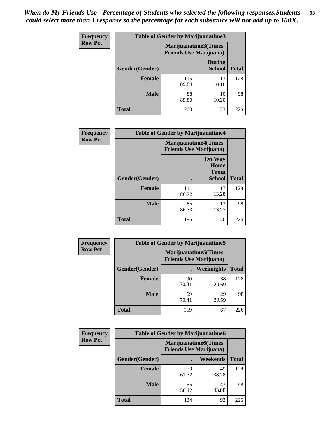| Frequency      | Table of Gender by Marijuanatime3 |                                                        |                                |              |
|----------------|-----------------------------------|--------------------------------------------------------|--------------------------------|--------------|
| <b>Row Pct</b> |                                   | Marijuanatime3(Times<br><b>Friends Use Marijuana</b> ) |                                |              |
|                | <b>Gender</b> (Gender)            |                                                        | <b>During</b><br><b>School</b> | <b>Total</b> |
|                | Female                            | 115<br>89.84                                           | 13<br>10.16                    | 128          |
|                | <b>Male</b>                       | 88<br>89.80                                            | 10<br>10.20                    | 98           |
|                | <b>Total</b>                      | 203                                                    | 23                             | 226          |

| Frequency      | <b>Table of Gender by Marijuanatime4</b> |                                                               |                                                |              |
|----------------|------------------------------------------|---------------------------------------------------------------|------------------------------------------------|--------------|
| <b>Row Pct</b> |                                          | <b>Marijuanatime4(Times</b><br><b>Friends Use Marijuana</b> ) |                                                |              |
|                | Gender(Gender)                           |                                                               | <b>On Way</b><br>Home<br>From<br><b>School</b> | <b>Total</b> |
|                | <b>Female</b>                            | 111<br>86.72                                                  | 17<br>13.28                                    | 128          |
|                | <b>Male</b>                              | 85<br>86.73                                                   | 13<br>13.27                                    | 98           |
|                | <b>Total</b>                             | 196                                                           | 30                                             | 226          |

| Frequency      | <b>Table of Gender by Marijuanatime5</b> |                                                                |             |              |  |
|----------------|------------------------------------------|----------------------------------------------------------------|-------------|--------------|--|
| <b>Row Pct</b> |                                          | <b>Marijuanatime5</b> (Times<br><b>Friends Use Marijuana</b> ) |             |              |  |
|                | Gender(Gender)                           | ٠                                                              | Weeknights  | <b>Total</b> |  |
|                | <b>Female</b>                            | 90<br>70.31                                                    | 38<br>29.69 | 128          |  |
|                | <b>Male</b>                              | 69<br>70.41                                                    | 29<br>29.59 | 98           |  |
|                | <b>Total</b>                             | 159                                                            | 67          | 226          |  |

| <b>Frequency</b> | <b>Table of Gender by Marijuanatime6</b> |                                                               |                 |              |  |
|------------------|------------------------------------------|---------------------------------------------------------------|-----------------|--------------|--|
| <b>Row Pct</b>   |                                          | <b>Marijuanatime6(Times</b><br><b>Friends Use Marijuana</b> ) |                 |              |  |
|                  | Gender(Gender)                           |                                                               | <b>Weekends</b> | <b>Total</b> |  |
|                  | <b>Female</b>                            | 79<br>61.72                                                   | 49<br>38.28     | 128          |  |
|                  | <b>Male</b>                              | 55<br>56.12                                                   | 43<br>43.88     | 98           |  |
|                  | <b>Total</b>                             | 134                                                           | 92              | 226          |  |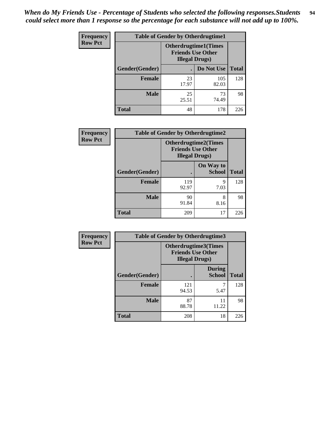*When do My Friends Use - Percentage of Students who selected the following responses.Students could select more than 1 response so the percentage for each substance will not add up to 100%.* **94**

| <b>Frequency</b> | <b>Table of Gender by Otherdrugtime1</b> |                                                                                    |              |              |
|------------------|------------------------------------------|------------------------------------------------------------------------------------|--------------|--------------|
| <b>Row Pct</b>   |                                          | <b>Otherdrugtime1</b> (Times<br><b>Friends Use Other</b><br><b>Illegal Drugs</b> ) |              |              |
|                  | Gender(Gender)                           |                                                                                    | Do Not Use   | <b>Total</b> |
|                  | <b>Female</b>                            | 23<br>17.97                                                                        | 105<br>82.03 | 128          |
|                  | <b>Male</b>                              | 25<br>25.51                                                                        | 73<br>74.49  | 98           |
|                  | <b>Total</b>                             | 48                                                                                 | 178          | 226          |

| Frequency      |                | <b>Table of Gender by Otherdrugtime2</b>           |                             |              |
|----------------|----------------|----------------------------------------------------|-----------------------------|--------------|
| <b>Row Pct</b> |                | <b>Friends Use Other</b><br><b>Illegal Drugs</b> ) | <b>Otherdrugtime2(Times</b> |              |
|                | Gender(Gender) |                                                    | On Way to<br><b>School</b>  | <b>Total</b> |
|                | <b>Female</b>  | 119<br>92.97                                       | 9<br>7.03                   | 128          |
|                | <b>Male</b>    | 90<br>91.84                                        | 8<br>8.16                   | 98           |
|                | <b>Total</b>   | 209                                                | 17                          | 226          |

| Frequency      | <b>Table of Gender by Otherdrugtime3</b> |                        |                                                  |              |
|----------------|------------------------------------------|------------------------|--------------------------------------------------|--------------|
| <b>Row Pct</b> |                                          | <b>Illegal Drugs</b> ) | Otherdrugtime3(Times<br><b>Friends Use Other</b> |              |
|                | Gender(Gender)                           |                        | <b>During</b><br><b>School</b>                   | <b>Total</b> |
|                | <b>Female</b>                            | 121<br>94.53           | 7<br>5.47                                        | 128          |
|                | <b>Male</b>                              | 87<br>88.78            | 11<br>11.22                                      | 98           |
|                | <b>Total</b>                             | 208                    | 18                                               | 226          |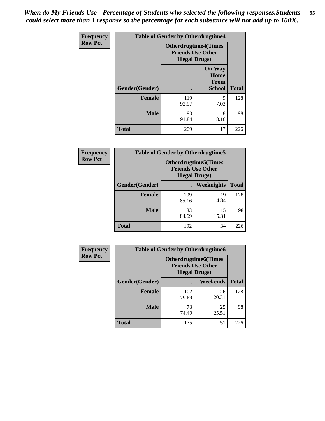*When do My Friends Use - Percentage of Students who selected the following responses.Students could select more than 1 response so the percentage for each substance will not add up to 100%.* **95**

| <b>Frequency</b> | <b>Table of Gender by Otherdrugtime4</b> |                       |                                                         |              |
|------------------|------------------------------------------|-----------------------|---------------------------------------------------------|--------------|
| <b>Row Pct</b>   |                                          | <b>Illegal Drugs)</b> | <b>Otherdrugtime4(Times</b><br><b>Friends Use Other</b> |              |
|                  | <b>Gender</b> (Gender)                   |                       | <b>On Way</b><br>Home<br><b>From</b><br><b>School</b>   | <b>Total</b> |
|                  | <b>Female</b>                            | 119<br>92.97          | 9<br>7.03                                               | 128          |
|                  | <b>Male</b>                              | 90<br>91.84           | 8<br>8.16                                               | 98           |
|                  | Total                                    | 209                   | 17                                                      | 226          |

| Frequency      | <b>Table of Gender by Otherdrugtime5</b> |                                                                                    |                   |              |
|----------------|------------------------------------------|------------------------------------------------------------------------------------|-------------------|--------------|
| <b>Row Pct</b> |                                          | <b>Otherdrugtime5</b> (Times<br><b>Friends Use Other</b><br><b>Illegal Drugs</b> ) |                   |              |
|                | Gender(Gender)                           |                                                                                    | <b>Weeknights</b> | <b>Total</b> |
|                | <b>Female</b>                            | 109<br>85.16                                                                       | 19<br>14.84       | 128          |
|                | <b>Male</b>                              | 83<br>84.69                                                                        | 15<br>15.31       | 98           |
|                | <b>Total</b>                             | 192                                                                                | 34                | 226          |

| <b>Frequency</b> | <b>Table of Gender by Otherdrugtime6</b> |                                                                                   |             |              |
|------------------|------------------------------------------|-----------------------------------------------------------------------------------|-------------|--------------|
| <b>Row Pct</b>   |                                          | <b>Otherdrugtime6(Times</b><br><b>Friends Use Other</b><br><b>Illegal Drugs</b> ) |             |              |
|                  | Gender(Gender)                           |                                                                                   | Weekends    | <b>Total</b> |
|                  | <b>Female</b>                            | 102<br>79.69                                                                      | 26<br>20.31 | 128          |
|                  | <b>Male</b>                              | 73<br>74.49                                                                       | 25<br>25.51 | 98           |
|                  | <b>Total</b>                             | 175                                                                               | 51          | 226          |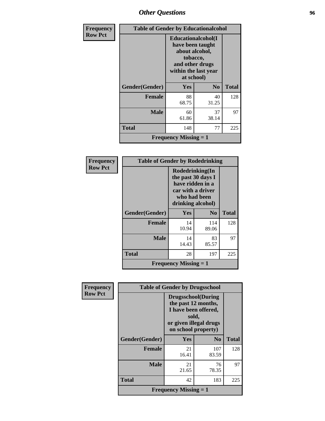### *Other Questions* **96**

| <b>Frequency</b> |                              | <b>Table of Gender by Educationalcohol</b>                                                                                            |                |              |  |  |
|------------------|------------------------------|---------------------------------------------------------------------------------------------------------------------------------------|----------------|--------------|--|--|
| <b>Row Pct</b>   |                              | <b>Educationalcohol</b> (I<br>have been taught<br>about alcohol,<br>tobacco,<br>and other drugs<br>within the last year<br>at school) |                |              |  |  |
|                  | Gender(Gender)               | Yes                                                                                                                                   | N <sub>0</sub> | <b>Total</b> |  |  |
|                  | <b>Female</b>                | 88<br>68.75                                                                                                                           | 40<br>31.25    | 128          |  |  |
|                  | <b>Male</b>                  | 60<br>61.86                                                                                                                           | 37<br>38.14    | 97           |  |  |
|                  | <b>Total</b>                 | 148                                                                                                                                   | 77             | 225          |  |  |
|                  | <b>Frequency Missing = 1</b> |                                                                                                                                       |                |              |  |  |

| Frequency      | <b>Table of Gender by Rodedrinking</b>    |                                                                                                                     |                |              |  |  |
|----------------|-------------------------------------------|---------------------------------------------------------------------------------------------------------------------|----------------|--------------|--|--|
| <b>Row Pct</b> |                                           | Rodedrinking(In<br>the past 30 days I<br>have ridden in a<br>car with a driver<br>who had been<br>drinking alcohol) |                |              |  |  |
|                | Gender(Gender)                            | <b>Yes</b>                                                                                                          | N <sub>0</sub> | <b>Total</b> |  |  |
|                | <b>Female</b>                             | 14<br>10.94                                                                                                         | 114<br>89.06   | 128          |  |  |
|                | <b>Male</b>                               | 14<br>14.43                                                                                                         | 83<br>85.57    | 97           |  |  |
|                | <b>Total</b>                              | 28                                                                                                                  | 197            | 225          |  |  |
|                | <b>Frequency Missing <math>= 1</math></b> |                                                                                                                     |                |              |  |  |

| Frequency      | <b>Table of Gender by Drugsschool</b>     |                                                                                                                                     |                |              |  |
|----------------|-------------------------------------------|-------------------------------------------------------------------------------------------------------------------------------------|----------------|--------------|--|
| <b>Row Pct</b> |                                           | <b>Drugsschool</b> (During<br>the past 12 months,<br>I have been offered,<br>sold,<br>or given illegal drugs<br>on school property) |                |              |  |
|                | Gender(Gender)                            | Yes                                                                                                                                 | N <sub>o</sub> | <b>Total</b> |  |
|                | <b>Female</b>                             | 21<br>16.41                                                                                                                         | 107<br>83.59   | 128          |  |
|                | <b>Male</b>                               | 21<br>21.65                                                                                                                         | 76<br>78.35    | 97           |  |
|                | <b>Total</b>                              | 42                                                                                                                                  | 183            | 225          |  |
|                | <b>Frequency Missing <math>= 1</math></b> |                                                                                                                                     |                |              |  |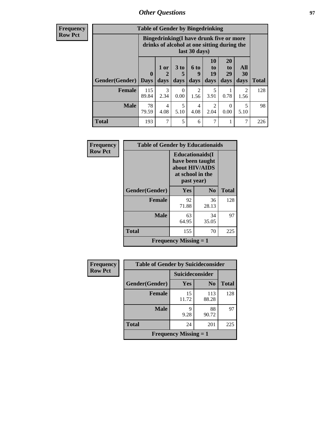### *Other Questions* **97**

**Frequency Row Pct**

| <b>Table of Gender by Bingedrinking</b> |                                                                                                         |              |                   |                   |                        |                               |                          |              |
|-----------------------------------------|---------------------------------------------------------------------------------------------------------|--------------|-------------------|-------------------|------------------------|-------------------------------|--------------------------|--------------|
|                                         | Bingedrinking(I have drunk five or more<br>drinks of alcohol at one sitting during the<br>last 30 days) |              |                   |                   |                        |                               |                          |              |
| Gender(Gender)                          | $\mathbf 0$<br><b>Days</b>                                                                              | 1 or<br>days | 3 to<br>5<br>days | 6 to<br>q<br>days | 10<br>to<br>19<br>days | <b>20</b><br>to<br>29<br>days | All<br><b>30</b><br>days | <b>Total</b> |
| <b>Female</b>                           | 115                                                                                                     | 3            | 0                 | $\overline{c}$    | 5                      |                               | $\mathfrak{D}$           | 128          |
|                                         | 89.84                                                                                                   | 2.34         | 0.00              | 1.56              | 3.91                   | 0.78                          | 1.56                     |              |
| <b>Male</b>                             | 78<br>79.59                                                                                             | 4<br>4.08    | 5<br>5.10         | 4<br>4.08         | $\overline{2}$<br>2.04 | $\Omega$<br>0.00              | 5<br>5.10                | 98           |

| Frequency      | <b>Table of Gender by Educationaids</b> |                                                                                                 |                |              |  |
|----------------|-----------------------------------------|-------------------------------------------------------------------------------------------------|----------------|--------------|--|
| <b>Row Pct</b> |                                         | <b>Educationaids</b> (I<br>have been taught<br>about HIV/AIDS<br>at school in the<br>past year) |                |              |  |
|                | Gender(Gender)                          | Yes                                                                                             | N <sub>0</sub> | <b>Total</b> |  |
|                | <b>Female</b>                           | 92<br>71.88                                                                                     | 36<br>28.13    | 128          |  |
|                | <b>Male</b>                             | 63<br>64.95                                                                                     | 34<br>35.05    | 97           |  |
|                | <b>Total</b>                            | 155                                                                                             | 70             | 225          |  |
|                |                                         | <b>Frequency Missing <math>= 1</math></b>                                                       |                |              |  |

| <b>Frequency</b> | <b>Table of Gender by Suicideconsider</b> |                 |                |              |
|------------------|-------------------------------------------|-----------------|----------------|--------------|
| <b>Row Pct</b>   |                                           | Suicideconsider |                |              |
|                  | Gender(Gender)                            | Yes             | N <sub>0</sub> | <b>Total</b> |
|                  | <b>Female</b>                             | 15<br>11.72     | 113<br>88.28   | 128          |
|                  | <b>Male</b>                               | 9<br>9.28       | 88<br>90.72    | 97           |
|                  | <b>Total</b>                              | 24              | 201            | 225          |
|                  | <b>Frequency Missing <math>= 1</math></b> |                 |                |              |